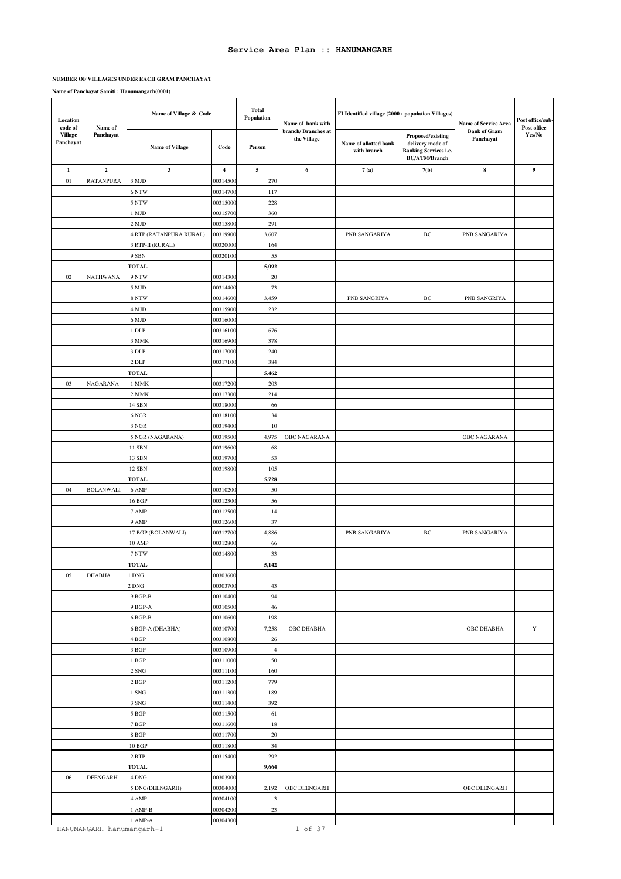#### **NUMBER OF VILLAGES UNDER EACH GRAM PANCHAYAT**

| Location<br>code of  | Name of                   | Name of Village & Code              |                      | <b>Total</b><br>Population    | Name of bank with                  | FI Identified village (2000+ population Villages) | <b>Name of Service Area</b>                                                                   | Post office/sub-<br>Post office  |                  |
|----------------------|---------------------------|-------------------------------------|----------------------|-------------------------------|------------------------------------|---------------------------------------------------|-----------------------------------------------------------------------------------------------|----------------------------------|------------------|
| Village<br>Panchayat | Panchayat                 | <b>Name of Village</b>              | Code                 | Person                        | branch/ Branches at<br>the Village | Name of allotted bank<br>with branch              | Proposed/existing<br>delivery mode of<br><b>Banking Services i.e.</b><br><b>BC/ATM/Branch</b> | <b>Bank of Gram</b><br>Panchayat | Yes/No           |
| $\mathbf{1}$         | $\overline{2}$            | $\mathbf{3}$                        | $\overline{4}$       | $\sqrt{5}$                    | $\bf 6$                            | 7(a)                                              | 7(b)                                                                                          | $\bf8$                           | $\boldsymbol{9}$ |
| 01                   | RATANPURA                 | 3 MJD                               | 00314500             | 270                           |                                    |                                                   |                                                                                               |                                  |                  |
|                      |                           | 6 NTW                               | 00314700             | 117                           |                                    |                                                   |                                                                                               |                                  |                  |
|                      |                           | 5 NTW                               | 00315000             | 228                           |                                    |                                                   |                                                                                               |                                  |                  |
|                      |                           | 1 MJD                               | 00315700             | 360                           |                                    |                                                   |                                                                                               |                                  |                  |
|                      |                           | 2 MJD                               | 00315800             | 291                           |                                    |                                                   |                                                                                               |                                  |                  |
|                      |                           | 4 RTP (RATANPURA RURAL)             | 00319900             | 3,607                         |                                    | PNB SANGARIYA                                     | BC                                                                                            | PNB SANGARIYA                    |                  |
|                      |                           | 3 RTP-II (RURAL)<br>9 SBN           | 00320000<br>00320100 | 164<br>55                     |                                    |                                                   |                                                                                               |                                  |                  |
|                      |                           | <b>TOTAL</b>                        |                      | 5,092                         |                                    |                                                   |                                                                                               |                                  |                  |
| 02                   | NATHWANA                  | 9 NTW                               | 00314300             | 20                            |                                    |                                                   |                                                                                               |                                  |                  |
|                      |                           | 5 MJD                               | 00314400             | 73                            |                                    |                                                   |                                                                                               |                                  |                  |
|                      |                           | 8 NTW                               | 00314600             | 3,459                         |                                    | PNB SANGRIYA                                      | BC                                                                                            | PNB SANGRIYA                     |                  |
|                      |                           | 4 MJD                               | 00315900             | 232                           |                                    |                                                   |                                                                                               |                                  |                  |
|                      |                           | 6 MJD                               | 00316000             |                               |                                    |                                                   |                                                                                               |                                  |                  |
|                      |                           | $1$ DLP                             | 00316100             | 676                           |                                    |                                                   |                                                                                               |                                  |                  |
|                      |                           | 3 MMK                               | 00316900             | 378                           |                                    |                                                   |                                                                                               |                                  |                  |
|                      |                           | 3 DLP                               | 00317000             | 240                           |                                    |                                                   |                                                                                               |                                  |                  |
|                      |                           | 2 DLP                               | 00317100             | 384                           |                                    |                                                   |                                                                                               |                                  |                  |
|                      |                           | <b>TOTAL</b>                        |                      | 5,462                         |                                    |                                                   |                                                                                               |                                  |                  |
| 03                   | NAGARANA                  | 1 MMK                               | 00317200             | 203                           |                                    |                                                   |                                                                                               |                                  |                  |
|                      |                           | 2 MMK<br>14 SBN                     | 00317300<br>00318000 | 214<br>66                     |                                    |                                                   |                                                                                               |                                  |                  |
|                      |                           | 6 NGR                               | 00318100             | 34                            |                                    |                                                   |                                                                                               |                                  |                  |
|                      |                           | 3 NGR                               | 00319400             | $10\,$                        |                                    |                                                   |                                                                                               |                                  |                  |
|                      |                           | 5 NGR (NAGARANA)                    | 00319500             | 4,975                         | OBC NAGARANA                       |                                                   |                                                                                               | OBC NAGARANA                     |                  |
|                      |                           | 11 SBN                              | 00319600             | 68                            |                                    |                                                   |                                                                                               |                                  |                  |
|                      |                           | 13 SBN                              | 00319700             | 53                            |                                    |                                                   |                                                                                               |                                  |                  |
|                      |                           | 12 SBN                              | 00319800             | 105                           |                                    |                                                   |                                                                                               |                                  |                  |
|                      |                           | <b>TOTAL</b>                        |                      | 5,728                         |                                    |                                                   |                                                                                               |                                  |                  |
| 04                   | <b>BOLANWALI</b>          | 6 AMP                               | 00310200             | 50                            |                                    |                                                   |                                                                                               |                                  |                  |
|                      |                           | 16 BGP                              | 00312300             | 56                            |                                    |                                                   |                                                                                               |                                  |                  |
|                      |                           | 7 AMP                               | 00312500             | 14                            |                                    |                                                   |                                                                                               |                                  |                  |
|                      |                           | 9 AMP<br>17 BGP (BOLANWALI)         | 00312600<br>00312700 | 37<br>4,886                   |                                    | PNB SANGARIYA                                     | BC                                                                                            | PNB SANGARIYA                    |                  |
|                      |                           | 10 AMP                              | 00312800             | 66                            |                                    |                                                   |                                                                                               |                                  |                  |
|                      |                           | $7\,\mathrm{NTW}$                   | 00314800             | 33                            |                                    |                                                   |                                                                                               |                                  |                  |
|                      |                           | <b>TOTAL</b>                        |                      | 5,142                         |                                    |                                                   |                                                                                               |                                  |                  |
| 05                   | <b>DHABHA</b>             | $1$ DNG $\,$                        | 00303600             |                               |                                    |                                                   |                                                                                               |                                  |                  |
|                      |                           | 2 DNG                               | 00303700             | 43                            |                                    |                                                   |                                                                                               |                                  |                  |
|                      |                           | 9 BGP-B                             | 00310400             | 94                            |                                    |                                                   |                                                                                               |                                  |                  |
|                      |                           | 9 BGP-A                             | 00310500             | 46                            |                                    |                                                   |                                                                                               |                                  |                  |
|                      |                           | $6$ BGP-B $\,$                      | 00310600             | 198                           |                                    |                                                   |                                                                                               |                                  |                  |
|                      |                           | 6 BGP-A (DHABHA)                    | 00310700             | 7,258                         | OBC DHABHA                         |                                                   |                                                                                               | OBC DHABHA                       | $\mathbf Y$      |
|                      |                           | 4 BGP                               | 00310800             | 26                            |                                    |                                                   |                                                                                               |                                  |                  |
|                      |                           | 3 BGP                               | 00310900             | $\overline{4}$                |                                    |                                                   |                                                                                               |                                  |                  |
|                      |                           | $1\;\mathrm{BGP}$<br>$2\;{\rm SNG}$ | 00311000<br>00311100 | 50<br>160                     |                                    |                                                   |                                                                                               |                                  |                  |
|                      |                           | 2 BGP                               | 00311200             | 779                           |                                    |                                                   |                                                                                               |                                  |                  |
|                      |                           | $1\;{\rm SNG}$                      | 00311300             | 189                           |                                    |                                                   |                                                                                               |                                  |                  |
|                      |                           | $3\ \mathrm{SNG}$                   | 00311400             | 392                           |                                    |                                                   |                                                                                               |                                  |                  |
|                      |                           | $5\,\mathrm{BGP}$                   | 00311500             | 61                            |                                    |                                                   |                                                                                               |                                  |                  |
|                      |                           | $7\,\mathrm{BGP}$                   | 00311600             | 18                            |                                    |                                                   |                                                                                               |                                  |                  |
|                      |                           | $8\,$ BGP                           | 00311700             | $20\,$                        |                                    |                                                   |                                                                                               |                                  |                  |
|                      |                           | 10 BGP                              | 00311800             | 34                            |                                    |                                                   |                                                                                               |                                  |                  |
|                      |                           | 2 RTP                               | 00315400             | 292                           |                                    |                                                   |                                                                                               |                                  |                  |
|                      |                           | TOTAL                               |                      | 9,664                         |                                    |                                                   |                                                                                               |                                  |                  |
| 06                   | <b>DEENGARH</b>           | $4$ DNG $\,$                        | 00303900             |                               |                                    |                                                   |                                                                                               |                                  |                  |
|                      |                           | 5 DNG(DEENGARH)                     | 00304000             | 2,192                         | OBC DEENGARH                       |                                                   |                                                                                               | OBC DEENGARH                     |                  |
|                      |                           | 4 AMP<br>$1$ AMP-B $\,$             | 00304100<br>00304200 | $\overline{\mathbf{3}}$<br>23 |                                    |                                                   |                                                                                               |                                  |                  |
|                      |                           | 1 AMP-A                             | 00304300             |                               |                                    |                                                   |                                                                                               |                                  |                  |
|                      | HANUMANGARH hanumangarh-1 |                                     |                      |                               | 1 of 37                            |                                                   |                                                                                               |                                  |                  |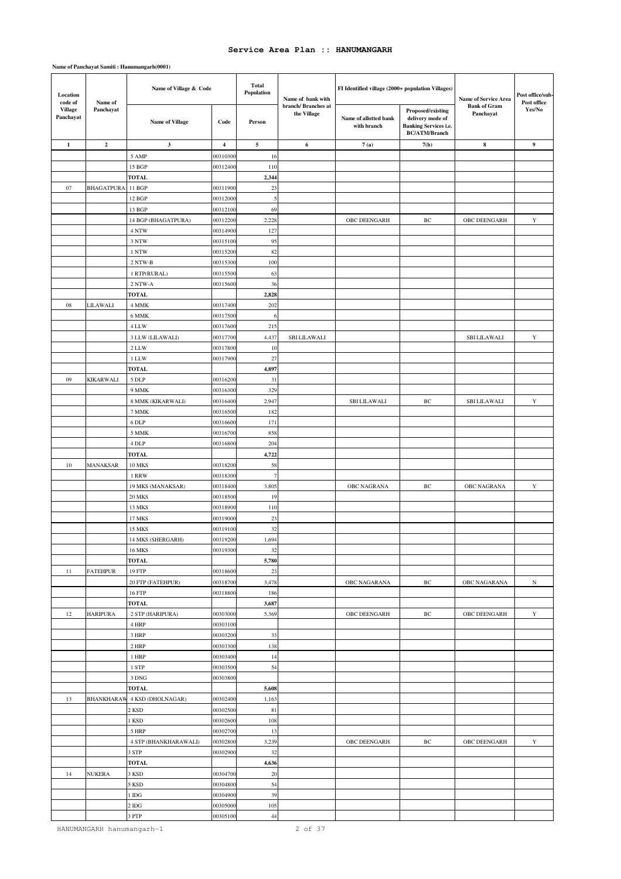### **Name of Panchayat Samiti : Hanumangarh(0001)**

| Location<br>code of         | Name of                 | Name of Village & Code    |                         | <b>Total</b><br>Population | Name of bank with                  | FI Identified village (2000+ population Villages) |                                                                                               | Name of Service Area             | Post office/sub-<br>Post office |
|-----------------------------|-------------------------|---------------------------|-------------------------|----------------------------|------------------------------------|---------------------------------------------------|-----------------------------------------------------------------------------------------------|----------------------------------|---------------------------------|
| <b>Village</b><br>Panchayat | Panchayat               | Name of Village           | Code                    | Person                     | branch/ Branches at<br>the Village | Name of allotted bank<br>with branch              | Proposed/existing<br>delivery mode of<br><b>Banking Services i.e.</b><br><b>BC/ATM/Branch</b> | <b>Bank of Gram</b><br>Panchayat | Yes/No                          |
| $\mathbf{1}$                | $\overline{\mathbf{c}}$ | $\mathbf{3}$              | $\overline{\mathbf{4}}$ | 5                          | 6                                  | 7(a)                                              | 7(b)                                                                                          | $\bf8$                           | $\boldsymbol{9}$                |
|                             |                         | 5 AMP                     | 0031030                 | 16                         |                                    |                                                   |                                                                                               |                                  |                                 |
|                             |                         | 15 BGP                    | 0031240                 | 110                        |                                    |                                                   |                                                                                               |                                  |                                 |
|                             |                         | <b>TOTAL</b>              |                         | 2,344                      |                                    |                                                   |                                                                                               |                                  |                                 |
| 07                          | <b>BHAGATPURA</b>       | 11 BGP                    | 0031190                 | 23                         |                                    |                                                   |                                                                                               |                                  |                                 |
|                             |                         | 12 BGP                    | 00312000                | 5                          |                                    |                                                   |                                                                                               |                                  |                                 |
|                             |                         | 13 BGP                    | 0031210                 | 69                         |                                    |                                                   |                                                                                               |                                  |                                 |
|                             |                         | 14 BGP (BHAGATPURA)       | 0031220                 | 2,228                      |                                    | OBC DEENGARH                                      | $\rm BC$                                                                                      | OBC DEENGARH                     | $\mathbf Y$                     |
|                             |                         | 4 NTW                     | 0031490                 | 127                        |                                    |                                                   |                                                                                               |                                  |                                 |
|                             |                         | 3 NTW                     | 0031510                 | 95                         |                                    |                                                   |                                                                                               |                                  |                                 |
|                             |                         | 1 NTW                     | 00315200                | 82                         |                                    |                                                   |                                                                                               |                                  |                                 |
|                             |                         | 2 NTW-B                   | 0031530                 | 100                        |                                    |                                                   |                                                                                               |                                  |                                 |
|                             |                         | 1 RTP(RURAL)              | 0031550                 | 63                         |                                    |                                                   |                                                                                               |                                  |                                 |
|                             |                         | 2 NTW-A                   | 0031560                 | 36                         |                                    |                                                   |                                                                                               |                                  |                                 |
|                             |                         | <b>TOTAL</b>              |                         | 2,828                      |                                    |                                                   |                                                                                               |                                  |                                 |
| 08                          | LILAWALI                | 4 MMK                     | 00317400                | 202                        |                                    |                                                   |                                                                                               |                                  |                                 |
|                             |                         | 6 MMK<br>4 LLW            | 0031750<br>00317600     | 6<br>215                   |                                    |                                                   |                                                                                               |                                  |                                 |
|                             |                         | 3 LLW (LILAWALI)          | 0031770                 | 4,437                      | <b>SBI LILAWALI</b>                |                                                   |                                                                                               | <b>SBI LILAWALI</b>              | Y                               |
|                             |                         | 2 LLW                     | 0031780                 | 10                         |                                    |                                                   |                                                                                               |                                  |                                 |
|                             |                         | 1 LLW                     | 00317900                | $27\,$                     |                                    |                                                   |                                                                                               |                                  |                                 |
|                             |                         | <b>TOTAL</b>              |                         | 4,897                      |                                    |                                                   |                                                                                               |                                  |                                 |
| 09                          | KIKARWALI               | 5 DLP                     | 0031620                 | 31                         |                                    |                                                   |                                                                                               |                                  |                                 |
|                             |                         | 9 MMK                     | 0031630                 | 329                        |                                    |                                                   |                                                                                               |                                  |                                 |
|                             |                         | 8 MMK (KIKARWALI)         | 0031640                 | 2,947                      |                                    | <b>SBI LILAWALI</b>                               | ВC                                                                                            | <b>SBILILAWALI</b>               | Y                               |
|                             |                         | 7 MMK                     | 00316500                | 182                        |                                    |                                                   |                                                                                               |                                  |                                 |
|                             |                         | 6 DLP                     | 0031660                 | 171                        |                                    |                                                   |                                                                                               |                                  |                                 |
|                             |                         | 5 MMK                     | 00316700                | 858                        |                                    |                                                   |                                                                                               |                                  |                                 |
|                             |                         | 4 DLP                     | 0031680                 | 204                        |                                    |                                                   |                                                                                               |                                  |                                 |
|                             |                         | <b>TOTAL</b>              |                         | 4,722                      |                                    |                                                   |                                                                                               |                                  |                                 |
| 10                          | MANAKSAR                | <b>10 MKS</b>             | 0031820                 | 58                         |                                    |                                                   |                                                                                               |                                  |                                 |
|                             |                         | 1 RRW                     | 0031830                 | $\overline{7}$             |                                    |                                                   |                                                                                               |                                  |                                 |
|                             |                         | 19 MKS (MANAKSAR)         | 0031840                 | 3,805                      |                                    | OBC NAGRANA                                       | $\rm BC$                                                                                      | <b>OBC NAGRANA</b>               | Y                               |
|                             |                         | <b>20 MKS</b>             | 0031850                 | 19                         |                                    |                                                   |                                                                                               |                                  |                                 |
|                             |                         | 13 MKS                    | 0031890                 | 110                        |                                    |                                                   |                                                                                               |                                  |                                 |
|                             |                         | 17 MKS                    | 0031900                 | 23                         |                                    |                                                   |                                                                                               |                                  |                                 |
|                             |                         | <b>15 MKS</b>             | 00319100                | 32                         |                                    |                                                   |                                                                                               |                                  |                                 |
|                             |                         | 14 MKS (SHERGARH)         | 00319200                | 1,694                      |                                    |                                                   |                                                                                               |                                  |                                 |
|                             |                         | <b>16 MKS</b>             | 00319300                | 32                         |                                    |                                                   |                                                                                               |                                  |                                 |
|                             |                         | <b>TOTAL</b>              |                         | 5,780                      |                                    |                                                   |                                                                                               |                                  |                                 |
| 11                          | <b>FATEHPUR</b>         | 19 FTP                    | 00318600                | 23                         |                                    |                                                   |                                                                                               |                                  |                                 |
|                             |                         | 20 FTP (FATEHPUR)         | 00318700                | 3,478                      |                                    | OBC NAGARANA                                      | $\rm{BC}$                                                                                     | OBC NAGARANA                     | $_{\rm N}$                      |
|                             |                         | 16 FTP                    | 00318800                | 186                        |                                    |                                                   |                                                                                               |                                  |                                 |
|                             |                         | <b>TOTAL</b>              | 00303000                | 3,687                      |                                    |                                                   |                                                                                               | OBC DEENGARH                     |                                 |
| 12                          | <b>HARIPURA</b>         | 2 STP (HARIPURA)<br>4 HRP | 00303100                | 5,369                      |                                    | OBC DEENGARH                                      | ВC                                                                                            |                                  | Y                               |
|                             |                         | 3 HRP                     | 00303200                | 33                         |                                    |                                                   |                                                                                               |                                  |                                 |
|                             |                         | 2 HRP                     | 00303300                | 138                        |                                    |                                                   |                                                                                               |                                  |                                 |
|                             |                         | 1 HRP                     | 00303400                | 14                         |                                    |                                                   |                                                                                               |                                  |                                 |
|                             |                         | 1 STP                     | 00303500                | 54                         |                                    |                                                   |                                                                                               |                                  |                                 |
|                             |                         | 3 DNG                     | 00303800                |                            |                                    |                                                   |                                                                                               |                                  |                                 |
|                             |                         | <b>TOTAL</b>              |                         | 5,608                      |                                    |                                                   |                                                                                               |                                  |                                 |
| 13                          | <b>BHANKHARAW</b>       | 4 KSD (DHOLNAGAR)         | 00302400                | 1,163                      |                                    |                                                   |                                                                                               |                                  |                                 |
|                             |                         | 2 KSD                     | 00302500                | $8\sqrt{1}$                |                                    |                                                   |                                                                                               |                                  |                                 |
|                             |                         | 1 KSD                     | 00302600                | 108                        |                                    |                                                   |                                                                                               |                                  |                                 |
|                             |                         | 5 HRP                     | 00302700                | 13                         |                                    |                                                   |                                                                                               |                                  |                                 |
|                             |                         | 4 STP (BHANKHARAWALI)     | 0030280                 | 3,239                      |                                    | OBC DEENGARH                                      | $\rm BC$                                                                                      | OBC DEENGARH                     | $\mathbf Y$                     |
|                             |                         | 3 STP                     | 00302900                | 32                         |                                    |                                                   |                                                                                               |                                  |                                 |
|                             |                         | <b>TOTAL</b>              |                         | 4,636                      |                                    |                                                   |                                                                                               |                                  |                                 |
| 14                          | NUKERA                  | 3 KSD                     | 00304700                | 20                         |                                    |                                                   |                                                                                               |                                  |                                 |
|                             |                         | 5 KSD                     | 00304800                | 54                         |                                    |                                                   |                                                                                               |                                  |                                 |
|                             |                         | $1\,\mathrm{IDG}$         | 00304900                | 39                         |                                    |                                                   |                                                                                               |                                  |                                 |
|                             |                         | $2$ IDG                   | 00305000                | 105                        |                                    |                                                   |                                                                                               |                                  |                                 |
|                             |                         | 3 PTP                     | 00305100                | 44                         |                                    |                                                   |                                                                                               |                                  |                                 |

HANUMANGARH hanumangarh-1 2 of 37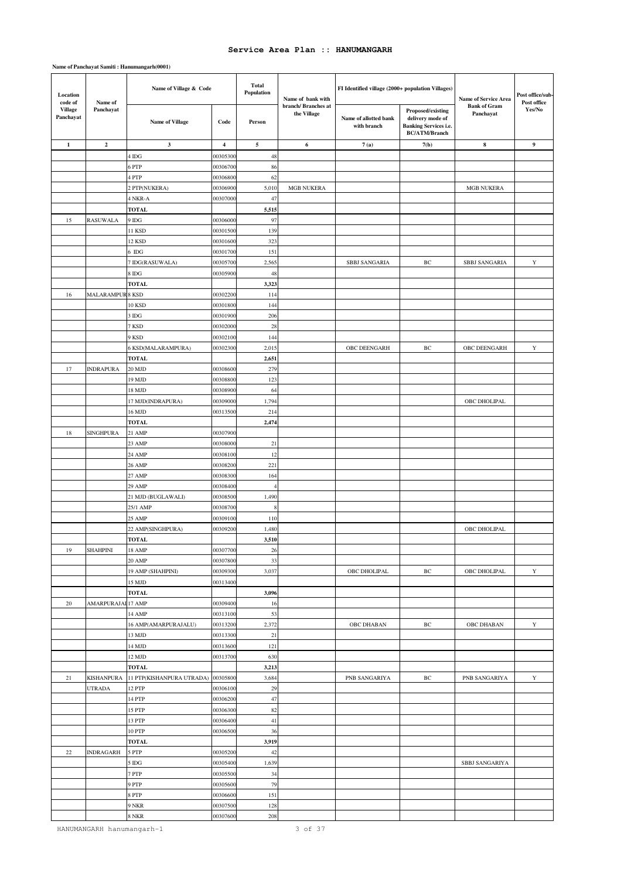### **Name of Panchayat Samiti : Hanumangarh(0001)**

| Location<br>code of  | Name of                   | Name of Village & Code         |                      | <b>Total</b><br>Population | Name of bank with                  | FI Identified village (2000+ population Villages) |                                                                                               | Name of Service Area             | Post office/sub-<br>Post office |
|----------------------|---------------------------|--------------------------------|----------------------|----------------------------|------------------------------------|---------------------------------------------------|-----------------------------------------------------------------------------------------------|----------------------------------|---------------------------------|
| Village<br>Panchayat | Panchayat                 | <b>Name of Village</b>         | Code                 | Person                     | branch/ Branches at<br>the Village | Name of allotted bank<br>with branch              | Proposed/existing<br>delivery mode of<br><b>Banking Services i.e.</b><br><b>BC/ATM/Branch</b> | <b>Bank of Gram</b><br>Panchayat | Yes/No                          |
| $\mathbf{1}$         | $\boldsymbol{2}$          | 3                              | 4                    | 5                          | 6                                  | 7(a)                                              | 7(b)                                                                                          | ${\bf 8}$                        | $\boldsymbol{9}$                |
|                      |                           | 4 IDG                          | 0030530              | 48                         |                                    |                                                   |                                                                                               |                                  |                                 |
|                      |                           | 6 PTP                          | 0030670              | 86                         |                                    |                                                   |                                                                                               |                                  |                                 |
|                      |                           | 4 PTP                          | 0030680              | 62                         |                                    |                                                   |                                                                                               |                                  |                                 |
|                      |                           | 2 PTP(NUKERA)                  | 0030690              | 5,010                      | <b>MGB NUKERA</b>                  |                                                   |                                                                                               | <b>MGB NUKERA</b>                |                                 |
|                      |                           | 4 NKR-A                        | 0030700              | 47                         |                                    |                                                   |                                                                                               |                                  |                                 |
|                      |                           | <b>TOTAL</b>                   |                      | 5,515                      |                                    |                                                   |                                                                                               |                                  |                                 |
| 15                   | RASUWALA                  | 9 IDG                          | 0030600              | 97                         |                                    |                                                   |                                                                                               |                                  |                                 |
|                      |                           | 11 KSD                         | 0030150              | 139                        |                                    |                                                   |                                                                                               |                                  |                                 |
|                      |                           | 12 KSD                         | 0030160              | 323                        |                                    |                                                   |                                                                                               |                                  |                                 |
|                      |                           | $6$ IDG                        | 0030170              | 151                        |                                    |                                                   |                                                                                               |                                  |                                 |
|                      |                           | 7 IDG(RASUWALA)                | 0030570              | 2,565                      |                                    | <b>SBBJ SANGARIA</b>                              | $\rm BC$                                                                                      | <b>SBBJ SANGARIA</b>             | $\mathbf Y$                     |
|                      |                           | 8 IDG                          | 0030590              | 48                         |                                    |                                                   |                                                                                               |                                  |                                 |
|                      |                           | <b>TOTAL</b>                   |                      | 3,323                      |                                    |                                                   |                                                                                               |                                  |                                 |
| 16                   | <b>MALARAMPUR</b>         | 8 KSD                          | 0030220              | 114                        |                                    |                                                   |                                                                                               |                                  |                                 |
|                      |                           | 10 KSD                         | 0030180              | 144                        |                                    |                                                   |                                                                                               |                                  |                                 |
|                      |                           | 3 IDG                          | 0030190<br>00302000  | 206                        |                                    |                                                   |                                                                                               |                                  |                                 |
|                      |                           | 7 KSD<br>9 KSD                 | 0030210              | 28<br>144                  |                                    |                                                   |                                                                                               |                                  |                                 |
|                      |                           | 6 KSD(MALARAMPURA)             | 0030230              | 2,015                      |                                    | OBC DEENGARH                                      | $\rm BC$                                                                                      | OBC DEENGARH                     | $\mathbf Y$                     |
|                      |                           | <b>TOTAL</b>                   |                      | 2,651                      |                                    |                                                   |                                                                                               |                                  |                                 |
| 17                   | <b>INDRAPURA</b>          | 20 MJD                         | 0030860              | 279                        |                                    |                                                   |                                                                                               |                                  |                                 |
|                      |                           | 19 MJD                         | 0030880              | 123                        |                                    |                                                   |                                                                                               |                                  |                                 |
|                      |                           | 18 MJD                         | 00308900             | 64                         |                                    |                                                   |                                                                                               |                                  |                                 |
|                      |                           | 17 MJD(INDRAPURA)              | 0030900              | 1,794                      |                                    |                                                   |                                                                                               | OBC DHOLIPAL                     |                                 |
|                      |                           | 16 MJD                         | 00313500             | 214                        |                                    |                                                   |                                                                                               |                                  |                                 |
|                      |                           | <b>TOTAL</b>                   |                      | 2,474                      |                                    |                                                   |                                                                                               |                                  |                                 |
| 18                   | SINGHPURA                 | 21 AMP                         | 00307900             |                            |                                    |                                                   |                                                                                               |                                  |                                 |
|                      |                           | 23 AMP                         | 0030800              | 21                         |                                    |                                                   |                                                                                               |                                  |                                 |
|                      |                           | 24 AMP                         | 0030810              | 12                         |                                    |                                                   |                                                                                               |                                  |                                 |
|                      |                           | 26 AMP                         | 00308200             | 221                        |                                    |                                                   |                                                                                               |                                  |                                 |
|                      |                           | 27 AMP                         | 0030830              | 164                        |                                    |                                                   |                                                                                               |                                  |                                 |
|                      |                           | 29 AMP                         | 0030840              | $\overline{4}$             |                                    |                                                   |                                                                                               |                                  |                                 |
|                      |                           | 21 MJD (BUGLAWALI)             | 0030850              | 1,490                      |                                    |                                                   |                                                                                               |                                  |                                 |
|                      |                           | 25/1 AMP                       | 0030870              | 8                          |                                    |                                                   |                                                                                               |                                  |                                 |
|                      |                           | 25 AMP                         | 0030910              | 110                        |                                    |                                                   |                                                                                               |                                  |                                 |
|                      |                           | 22 AMP(SINGHPURA)              | 00309200             | 1,480                      |                                    |                                                   |                                                                                               | OBC DHOLIPAL                     |                                 |
|                      |                           | <b>TOTAL</b>                   |                      | 3,510                      |                                    |                                                   |                                                                                               |                                  |                                 |
| 19                   | SHAHPINI                  | 18 AMP                         | 00307700             | 26                         |                                    |                                                   |                                                                                               |                                  |                                 |
|                      |                           | 20 AMP                         | 00307800             | 33                         |                                    |                                                   |                                                                                               |                                  |                                 |
|                      |                           | 19 AMP (SHAHPINI)              | 00309300             | 3,037                      |                                    | OBC DHOLIPAL                                      | ВC                                                                                            | OBC DHOLIPAL                     | $\mathbf Y$                     |
|                      |                           | 15 MJD                         | 00313400             |                            |                                    |                                                   |                                                                                               |                                  |                                 |
|                      |                           | <b>TOTAL</b>                   |                      | 3,096                      |                                    |                                                   |                                                                                               |                                  |                                 |
| 20                   | <b>AMARPURAJAI 17 AMP</b> |                                | 00309400             | 16                         |                                    |                                                   |                                                                                               |                                  |                                 |
|                      |                           | 14 AMP                         | 00313100             | 53                         |                                    |                                                   |                                                                                               |                                  |                                 |
|                      |                           | 16 AMP(AMARPURAJALU)<br>13 MJD | 00313200<br>00313300 | 2,372<br>$21\,$            |                                    | OBC DHABAN                                        | $\rm BC$                                                                                      | OBC DHABAN                       | $\mathbf Y$                     |
|                      |                           | 14 MJD                         | 00313600             | 121                        |                                    |                                                   |                                                                                               |                                  |                                 |
|                      |                           | 12 MJD                         | 00313700             | 630                        |                                    |                                                   |                                                                                               |                                  |                                 |
|                      |                           | <b>TOTAL</b>                   |                      | 3,213                      |                                    |                                                   |                                                                                               |                                  |                                 |
| 21                   | KISHANPURA                | 11 PTP(KISHANPURA UTRADA)      | 00305800             | 3,684                      |                                    | PNB SANGARIYA                                     | ВC                                                                                            | PNB SANGARIYA                    | $\mathbf Y$                     |
|                      | UTRADA                    | <b>12 PTP</b>                  | 00306100             | 29                         |                                    |                                                   |                                                                                               |                                  |                                 |
|                      |                           | 14 PTP                         | 00306200             | 47                         |                                    |                                                   |                                                                                               |                                  |                                 |
|                      |                           | 15 PTP                         | 00306300             | 82                         |                                    |                                                   |                                                                                               |                                  |                                 |
|                      |                           | 13 PTP                         | 00306400             | 41                         |                                    |                                                   |                                                                                               |                                  |                                 |
|                      |                           | 10 PTP                         | 00306500             | 36                         |                                    |                                                   |                                                                                               |                                  |                                 |
|                      |                           | <b>TOTAL</b>                   |                      | 3,919                      |                                    |                                                   |                                                                                               |                                  |                                 |
| 22                   | <b>INDRAGARH</b>          | 5 PTP                          | 00305200             | 42                         |                                    |                                                   |                                                                                               |                                  |                                 |
|                      |                           | 5 IDG                          | 00305400             | 1,639                      |                                    |                                                   |                                                                                               | SBBJ SANGARIYA                   |                                 |
|                      |                           | 7 PTP                          | 00305500             | 34                         |                                    |                                                   |                                                                                               |                                  |                                 |
|                      |                           | 9 PTP                          | 00305600             | 79                         |                                    |                                                   |                                                                                               |                                  |                                 |
|                      |                           | 8 PTP                          | 00306600             | 151                        |                                    |                                                   |                                                                                               |                                  |                                 |
|                      |                           | 9 NKR                          | 00307500             | 128                        |                                    |                                                   |                                                                                               |                                  |                                 |
|                      |                           | 8 NKR                          | 00307600             | 208                        |                                    |                                                   |                                                                                               |                                  |                                 |

HANUMANGARH hanumangarh-1 3 of 37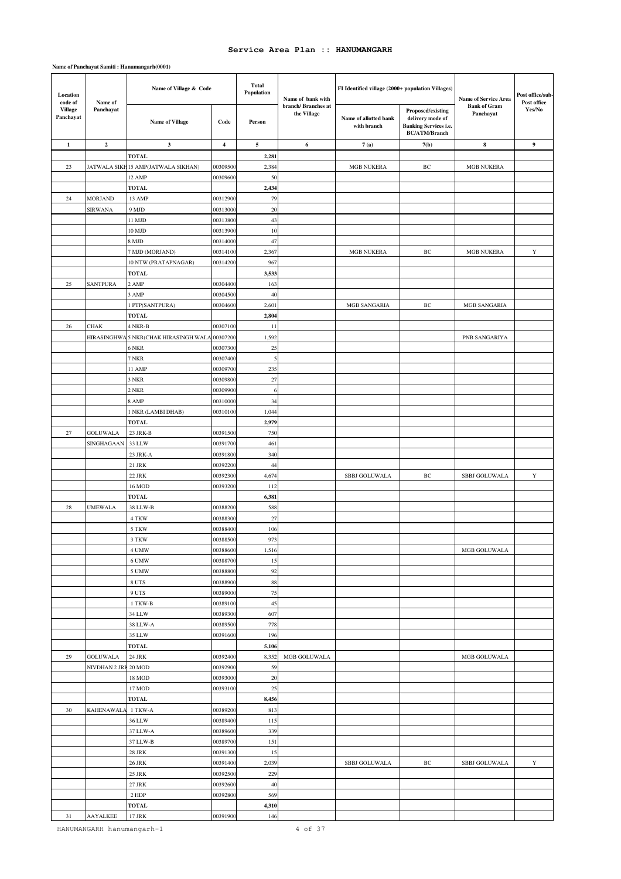### **Name of Panchayat Samiti : Hanumangarh(0001)**

| Location<br>code of         | Name of              | Name of Village & Code                |                         | <b>Total</b><br>Population | Name of bank with                  | FI Identified village (2000+ population Villages) |                                                                                               | Name of Service Area             | Post office/sub-<br>Post office |
|-----------------------------|----------------------|---------------------------------------|-------------------------|----------------------------|------------------------------------|---------------------------------------------------|-----------------------------------------------------------------------------------------------|----------------------------------|---------------------------------|
| <b>Village</b><br>Panchayat | Panchayat            | <b>Name of Village</b>                | Code                    | Person                     | branch/ Branches at<br>the Village | Name of allotted bank<br>with branch              | Proposed/existing<br>delivery mode of<br><b>Banking Services i.e.</b><br><b>BC/ATM/Branch</b> | <b>Bank of Gram</b><br>Panchayat | Yes/No                          |
| $\mathbf{1}$                | $\overline{2}$       | 3                                     | $\overline{\mathbf{4}}$ | 5                          | 6                                  | 7(a)                                              | 7(b)                                                                                          | 8                                | 9                               |
|                             |                      | <b>TOTAL</b>                          |                         | 2,281                      |                                    |                                                   |                                                                                               |                                  |                                 |
| 23                          |                      | JATWALA SIKH15 AMP(JATWALA SIKHAN)    | 00309500                | 2,384                      |                                    | <b>MGB NUKERA</b>                                 | BC                                                                                            | <b>MGB NUKERA</b>                |                                 |
|                             |                      | 12 AMP                                | 00309600                | 50                         |                                    |                                                   |                                                                                               |                                  |                                 |
|                             |                      | <b>TOTAL</b>                          |                         | 2,434                      |                                    |                                                   |                                                                                               |                                  |                                 |
| 24                          | <b>MORJAND</b>       | 13 AMP                                | 00312900                | 79                         |                                    |                                                   |                                                                                               |                                  |                                 |
|                             | <b>SIRWANA</b>       | 9 MJD                                 | 00313000                | 20                         |                                    |                                                   |                                                                                               |                                  |                                 |
|                             |                      | 11 MJD                                | 00313800                | 43                         |                                    |                                                   |                                                                                               |                                  |                                 |
|                             |                      | 10 MJD                                | 00313900                | $10\,$                     |                                    |                                                   |                                                                                               |                                  |                                 |
|                             |                      | 8 MJD                                 | 00314000                | 47                         |                                    |                                                   |                                                                                               |                                  |                                 |
|                             |                      | 7 MJD (MORJAND)                       | 00314100                | 2,367                      |                                    | <b>MGB NUKERA</b>                                 | BС                                                                                            | <b>MGB NUKERA</b>                | Y                               |
|                             |                      | 10 NTW (PRATAPNAGAR)                  | 00314200                | 967                        |                                    |                                                   |                                                                                               |                                  |                                 |
|                             |                      | TOTAL                                 |                         | 3,533                      |                                    |                                                   |                                                                                               |                                  |                                 |
| 25                          | <b>SANTPURA</b>      | 2 AMP                                 | 00304400                | 163                        |                                    |                                                   |                                                                                               |                                  |                                 |
|                             |                      | 3 AMP                                 | 00304500                | 40                         |                                    |                                                   |                                                                                               |                                  |                                 |
|                             |                      | PTP(SANTPURA)                         | 0030460                 | 2,601                      |                                    | MGB SANGARIA                                      | BС                                                                                            | MGB SANGARIA                     |                                 |
|                             |                      | <b>TOTAL</b>                          |                         | 2,804                      |                                    |                                                   |                                                                                               |                                  |                                 |
| 26                          | <b>CHAK</b>          | 4 NKR-B                               | 00307100                | 11                         |                                    |                                                   |                                                                                               |                                  |                                 |
|                             |                      | HIRASINGHWA 5 NKR(CHAK HIRASINGH WALA | 00307200                | 1,592                      |                                    |                                                   |                                                                                               | PNB SANGARIYA                    |                                 |
|                             |                      | 6 NKR                                 | 00307300                | 25                         |                                    |                                                   |                                                                                               |                                  |                                 |
|                             |                      | 7 NKR                                 | 00307400                | 5                          |                                    |                                                   |                                                                                               |                                  |                                 |
|                             |                      | 11 AMP                                | 00309700                | 235                        |                                    |                                                   |                                                                                               |                                  |                                 |
|                             |                      | 3 NKR<br>2 NKR                        | 00309800<br>00309900    | 27<br>$\,$ 6 $\,$          |                                    |                                                   |                                                                                               |                                  |                                 |
|                             |                      | 8 AMP                                 | 00310000                | 34                         |                                    |                                                   |                                                                                               |                                  |                                 |
|                             |                      | 1 NKR (LAMBI DHAB)                    | 00310100                | 1,044                      |                                    |                                                   |                                                                                               |                                  |                                 |
|                             |                      | <b>TOTAL</b>                          |                         | 2,979                      |                                    |                                                   |                                                                                               |                                  |                                 |
| 27                          | <b>GOLUWALA</b>      | 23 JRK-B                              | 00391500                | 750                        |                                    |                                                   |                                                                                               |                                  |                                 |
|                             | SINGHAGAAN           | 33 LLW                                | 00391700                | 461                        |                                    |                                                   |                                                                                               |                                  |                                 |
|                             |                      | 23 JRK-A                              | 00391800                | 340                        |                                    |                                                   |                                                                                               |                                  |                                 |
|                             |                      | 21 JRK                                | 00392200                | 44                         |                                    |                                                   |                                                                                               |                                  |                                 |
|                             |                      | 22 JRK                                | 00392300                | 4,674                      |                                    | SBBJ GOLUWALA                                     | ВC                                                                                            | SBBJ GOLUWALA                    | Y                               |
|                             |                      | 16 MOD                                | 00393200                | 112                        |                                    |                                                   |                                                                                               |                                  |                                 |
|                             |                      | <b>TOTAL</b>                          |                         | 6,381                      |                                    |                                                   |                                                                                               |                                  |                                 |
| 28                          | <b>UMEWALA</b>       | 38 LLW-B                              | 00388200                | 588                        |                                    |                                                   |                                                                                               |                                  |                                 |
|                             |                      | 4 TKW                                 | 0038830                 | 27                         |                                    |                                                   |                                                                                               |                                  |                                 |
|                             |                      | 5 TKW                                 | 00388400                | 106                        |                                    |                                                   |                                                                                               |                                  |                                 |
|                             |                      | 3 TKW                                 | 00388500                | 973                        |                                    |                                                   |                                                                                               |                                  |                                 |
|                             |                      | 4 UMW                                 | 00388600                | 1,516                      |                                    |                                                   |                                                                                               | MGB GOLUWALA                     |                                 |
|                             |                      | 6 UMW                                 | 00388700                | 15                         |                                    |                                                   |                                                                                               |                                  |                                 |
|                             |                      | 5 UMW                                 | 00388800                | 92                         |                                    |                                                   |                                                                                               |                                  |                                 |
|                             |                      | 8 UTS                                 | 00388900                | 88                         |                                    |                                                   |                                                                                               |                                  |                                 |
|                             |                      | 9 UTS                                 | 00389000                | 75                         |                                    |                                                   |                                                                                               |                                  |                                 |
|                             |                      | 1 TKW-B                               | 00389100                | 45                         |                                    |                                                   |                                                                                               |                                  |                                 |
|                             |                      | 34 LLW                                | 00389300                | 607                        |                                    |                                                   |                                                                                               |                                  |                                 |
|                             |                      | 38 LLW-A<br>35 LLW                    | 00389500<br>00391600    | 778<br>196                 |                                    |                                                   |                                                                                               |                                  |                                 |
|                             |                      | <b>TOTAL</b>                          |                         | 5,106                      |                                    |                                                   |                                                                                               |                                  |                                 |
| 29                          | <b>GOLUWALA</b>      |                                       | 00392400                | 8,352                      | MGB GOLUWALA                       |                                                   |                                                                                               |                                  |                                 |
|                             | NIVDHAN 2 JRI 20 MOD | 24 JRK                                | 00392900                | 59                         |                                    |                                                   |                                                                                               | MGB GOLUWALA                     |                                 |
|                             |                      | 18 MOD                                | 00393000                | 20                         |                                    |                                                   |                                                                                               |                                  |                                 |
|                             |                      | 17 MOD                                | 00393100                | 25                         |                                    |                                                   |                                                                                               |                                  |                                 |
|                             |                      | <b>TOTAL</b>                          |                         | 8,456                      |                                    |                                                   |                                                                                               |                                  |                                 |
| 30                          | <b>KAHENAWALA</b>    | 1 TKW-A                               | 00389200                | 813                        |                                    |                                                   |                                                                                               |                                  |                                 |
|                             |                      | 36 LLW                                | 00389400                | 115                        |                                    |                                                   |                                                                                               |                                  |                                 |
|                             |                      | 37 LLW-A                              | 00389600                | 339                        |                                    |                                                   |                                                                                               |                                  |                                 |
|                             |                      | 37 LLW-B                              | 00389700                | 151                        |                                    |                                                   |                                                                                               |                                  |                                 |
|                             |                      | <b>28 JRK</b>                         | 00391300                | 15                         |                                    |                                                   |                                                                                               |                                  |                                 |
|                             |                      | <b>26 JRK</b>                         | 00391400                | 2,039                      |                                    | SBBJ GOLUWALA                                     | ВC                                                                                            | SBBJ GOLUWALA                    | $\mathbf Y$                     |
|                             |                      | 25 JRK                                | 00392500                | 229                        |                                    |                                                   |                                                                                               |                                  |                                 |
|                             |                      | 27 JRK                                | 00392600                | 40                         |                                    |                                                   |                                                                                               |                                  |                                 |
|                             |                      | 2 HDP                                 | 00392800                | 569                        |                                    |                                                   |                                                                                               |                                  |                                 |
|                             |                      | <b>TOTAL</b>                          |                         | 4,310                      |                                    |                                                   |                                                                                               |                                  |                                 |
| 31                          | AAYALKEE             | 17 JRK                                | 00391900                | 146                        |                                    |                                                   |                                                                                               |                                  |                                 |

HANUMANGARH hanumangarh-1 4 of 37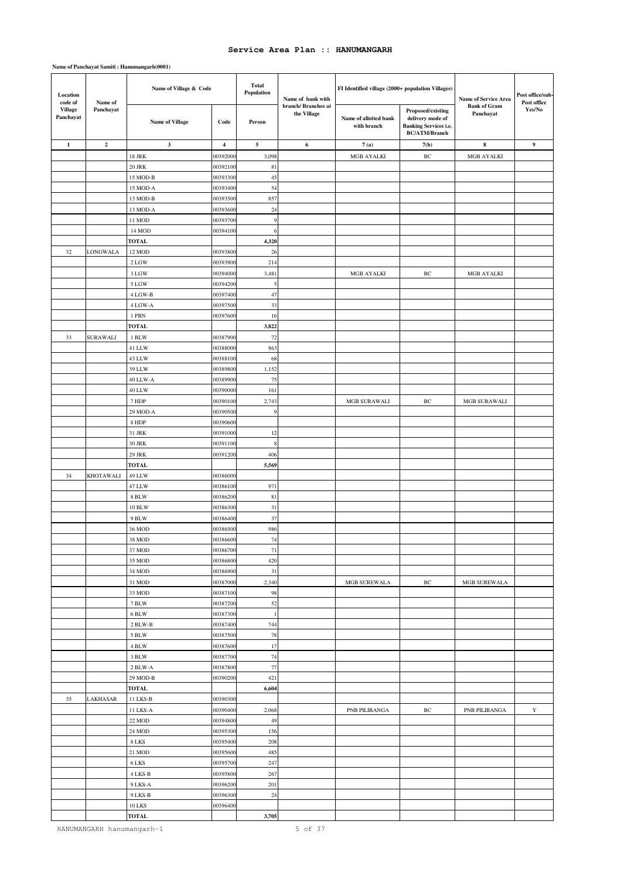### **Name of Panchayat Samiti : Hanumangarh(0001)**

| Location<br>code of         | Name of          | Name of Village & Code   |                         | <b>Total</b><br>Population | Name of bank with                  | FI Identified village (2000+ population Villages) |                                                                                        | Name of Service Area             | Post office/sub-<br>Post office |
|-----------------------------|------------------|--------------------------|-------------------------|----------------------------|------------------------------------|---------------------------------------------------|----------------------------------------------------------------------------------------|----------------------------------|---------------------------------|
| <b>Village</b><br>Panchayat | Panchayat        | <b>Name of Village</b>   | Code                    | Person                     | branch/ Branches at<br>the Village | Name of allotted bank<br>with branch              | Proposed/existing<br>delivery mode of<br>Banking Services i.e.<br><b>BC/ATM/Branch</b> | <b>Bank of Gram</b><br>Panchayat | Yes/No                          |
| $\mathbf{1}$                | $\overline{2}$   | $\mathbf{3}$             | $\overline{\mathbf{4}}$ | $\sim$                     | 6                                  | 7(a)                                              | 7(b)                                                                                   | 8                                | $\boldsymbol{9}$                |
|                             |                  | <b>18 JRK</b>            | 0039200                 | 3,098                      |                                    | MGB AYALKI                                        | $\rm{BC}$                                                                              | MGB AYALKI                       |                                 |
|                             |                  | <b>20 JRK</b>            | 00392100                | 81                         |                                    |                                                   |                                                                                        |                                  |                                 |
|                             |                  | 15 MOD-B                 | 00393300                | 45                         |                                    |                                                   |                                                                                        |                                  |                                 |
|                             |                  | 15 MOD-A                 | 00393400                | 54                         |                                    |                                                   |                                                                                        |                                  |                                 |
|                             |                  | 13 MOD-B                 | 00393500                | 857                        |                                    |                                                   |                                                                                        |                                  |                                 |
|                             |                  | 13 MOD-A                 | 0039360                 | 24                         |                                    |                                                   |                                                                                        |                                  |                                 |
|                             |                  | 11 MOD                   | 00393700                | 9                          |                                    |                                                   |                                                                                        |                                  |                                 |
|                             |                  | 14 MOD                   | 0039410                 | 6                          |                                    |                                                   |                                                                                        |                                  |                                 |
|                             |                  | <b>TOTAL</b>             |                         | 4,320                      |                                    |                                                   |                                                                                        |                                  |                                 |
| 32                          | LONGWALA         | 12 MOD                   | 00393800                | 26                         |                                    |                                                   |                                                                                        |                                  |                                 |
|                             |                  | 2 LGW                    | 0039390                 | 214                        |                                    |                                                   |                                                                                        |                                  |                                 |
|                             |                  | 3 LGW                    | 00394000                | 3,481                      |                                    | MGB AYALKI                                        | ВC                                                                                     | MGB AYALKI                       |                                 |
|                             |                  | 5 LGW<br>4 LGW-B         | 00394200<br>00397400    | 5                          |                                    |                                                   |                                                                                        |                                  |                                 |
|                             |                  |                          |                         | 47                         |                                    |                                                   |                                                                                        |                                  |                                 |
|                             |                  | 4 LGW-A<br>1 PBN         | 00397500<br>0039760     | 33<br>16                   |                                    |                                                   |                                                                                        |                                  |                                 |
|                             |                  | <b>TOTAL</b>             |                         | 3,822                      |                                    |                                                   |                                                                                        |                                  |                                 |
| 33                          | <b>SURAWALI</b>  | 1 BLW                    | 00387900                | 72                         |                                    |                                                   |                                                                                        |                                  |                                 |
|                             |                  | 41 LLW                   | 00388000                | 863                        |                                    |                                                   |                                                                                        |                                  |                                 |
|                             |                  | 43 LLW                   | 00388100                | 68                         |                                    |                                                   |                                                                                        |                                  |                                 |
|                             |                  | 39 LLW                   | 0038980                 | 1,152                      |                                    |                                                   |                                                                                        |                                  |                                 |
|                             |                  | 40 LLW-A                 | 00389900                | 75                         |                                    |                                                   |                                                                                        |                                  |                                 |
|                             |                  | 40 LLW                   | 00390000                | 161                        |                                    |                                                   |                                                                                        |                                  |                                 |
|                             |                  | $7\ \mathrm{HDP}$        | 00390100                | 2,743                      |                                    | MGB SURAWALI                                      | ВC                                                                                     | MGB SURAWALI                     |                                 |
|                             |                  | 29 MOD-A                 | 00390500                | 9                          |                                    |                                                   |                                                                                        |                                  |                                 |
|                             |                  | 8 HDP                    | 0039060                 |                            |                                    |                                                   |                                                                                        |                                  |                                 |
|                             |                  | 31 JRK                   | 00391000                | 12                         |                                    |                                                   |                                                                                        |                                  |                                 |
|                             |                  | <b>30 JRK</b>            | 0039110                 | $\,$ 8 $\,$                |                                    |                                                   |                                                                                        |                                  |                                 |
|                             |                  | 29 JRK                   | 00391200                | 406                        |                                    |                                                   |                                                                                        |                                  |                                 |
|                             |                  | <b>TOTAL</b>             |                         | 5,569                      |                                    |                                                   |                                                                                        |                                  |                                 |
| 34                          | <b>KHOTAWALI</b> | 49 LLW                   | 0038600                 |                            |                                    |                                                   |                                                                                        |                                  |                                 |
|                             |                  | 47 LLW                   | 00386100                | 971                        |                                    |                                                   |                                                                                        |                                  |                                 |
|                             |                  | 8 BLW<br><b>10 BLW</b>   | 00386200<br>00386300    | 81<br>31                   |                                    |                                                   |                                                                                        |                                  |                                 |
|                             |                  | 9 BLW                    | 00386400                | 37                         |                                    |                                                   |                                                                                        |                                  |                                 |
|                             |                  | 36 MOD                   | 00386500                | 986                        |                                    |                                                   |                                                                                        |                                  |                                 |
|                             |                  | 38 MOD                   | 00386600                | 74                         |                                    |                                                   |                                                                                        |                                  |                                 |
|                             |                  | 37 MOD                   | 00386700                | 71                         |                                    |                                                   |                                                                                        |                                  |                                 |
|                             |                  | 35 MOD                   | 00386800                | 420                        |                                    |                                                   |                                                                                        |                                  |                                 |
|                             |                  | 34 MOD                   | 00386900                | 31                         |                                    |                                                   |                                                                                        |                                  |                                 |
|                             |                  | 31 MOD                   | 00387000                | 2,340                      |                                    | MGB SUREWALA                                      | $\rm{BC}$                                                                              | MGB SUREWALA                     |                                 |
|                             |                  | 33 MOD                   | 00387100                | 98                         |                                    |                                                   |                                                                                        |                                  |                                 |
|                             |                  | 7 BLW                    | 00387200                | 52                         |                                    |                                                   |                                                                                        |                                  |                                 |
|                             |                  | 6 BLW                    | 00387300                | $\mathbf{1}$               |                                    |                                                   |                                                                                        |                                  |                                 |
|                             |                  | 2 BLW-B                  | 00387400                | 744                        |                                    |                                                   |                                                                                        |                                  |                                 |
|                             |                  | 5 BLW                    | 00387500                | 78                         |                                    |                                                   |                                                                                        |                                  |                                 |
|                             |                  | $4\;\mathrm{BLW}$        | 00387600                | 17                         |                                    |                                                   |                                                                                        |                                  |                                 |
|                             |                  | 3 BLW                    | 00387700                | 74                         |                                    |                                                   |                                                                                        |                                  |                                 |
|                             |                  | 2 BLW-A                  | 00387800                | 77                         |                                    |                                                   |                                                                                        |                                  |                                 |
|                             |                  | 29 MOD-B                 | 00390200                | 421                        |                                    |                                                   |                                                                                        |                                  |                                 |
| 35                          | LAKHASAR         | <b>TOTAL</b><br>11 LKS-B | 00390300                | 6,604                      |                                    |                                                   |                                                                                        |                                  |                                 |
|                             |                  | 11 LKS-A                 | 00390400                | 2,068                      |                                    | PNB PILIBANGA                                     | $\rm BC$                                                                               | PNB PILIBANGA                    | $\mathbf Y$                     |
|                             |                  | 22 MOD                   | 00394800                | 49                         |                                    |                                                   |                                                                                        |                                  |                                 |
|                             |                  | 24 MOD                   | 00395300                | 156                        |                                    |                                                   |                                                                                        |                                  |                                 |
|                             |                  | 8 LKS                    | 00395400                | 208                        |                                    |                                                   |                                                                                        |                                  |                                 |
|                             |                  | 21 MOD                   | 00395600                | 485                        |                                    |                                                   |                                                                                        |                                  |                                 |
|                             |                  | 6 LKS                    | 00395700                | 247                        |                                    |                                                   |                                                                                        |                                  |                                 |
|                             |                  | 4 LKS-B                  | 00395800                | 267                        |                                    |                                                   |                                                                                        |                                  |                                 |
|                             |                  | 9 LKS-A                  | 00396200                | 201                        |                                    |                                                   |                                                                                        |                                  |                                 |
|                             |                  | 9 LKS-B                  | 00396300                | $24\,$                     |                                    |                                                   |                                                                                        |                                  |                                 |
|                             |                  | <b>10 LKS</b>            | 00396400                |                            |                                    |                                                   |                                                                                        |                                  |                                 |
|                             |                  | <b>TOTAL</b>             |                         | 3,705                      |                                    |                                                   |                                                                                        |                                  |                                 |

HANUMANGARH hanumangarh-1 5 of 37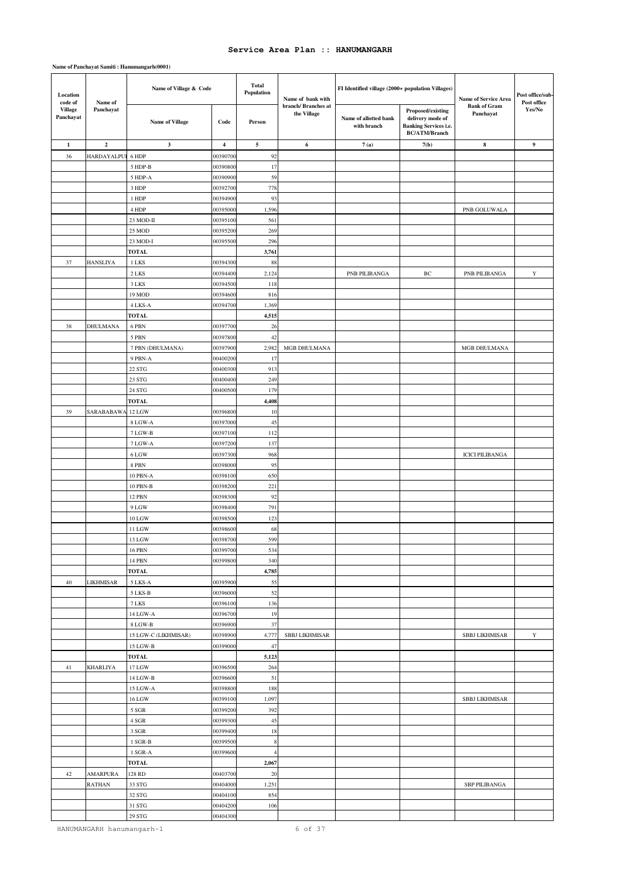| Location<br>code of         | Name of           | Name of Village & Code          |                         | <b>Total</b><br>Population | Name of bank with                  | FI Identified village (2000+ population Villages) |                                                                                               | Name of Service Area             | Post office/sub-<br>Post office |
|-----------------------------|-------------------|---------------------------------|-------------------------|----------------------------|------------------------------------|---------------------------------------------------|-----------------------------------------------------------------------------------------------|----------------------------------|---------------------------------|
| <b>Village</b><br>Panchayat | Panchayat         | <b>Name of Village</b>          | Code                    | Person                     | branch/ Branches at<br>the Village | Name of allotted bank<br>with branch              | Proposed/existing<br>delivery mode of<br><b>Banking Services i.e.</b><br><b>BC/ATM/Branch</b> | <b>Bank of Gram</b><br>Panchayat | Yes/No                          |
| $\mathbf{1}$                | $\overline{2}$    | $\mathbf{3}$                    | $\overline{\mathbf{4}}$ | 5                          | 6                                  | 7(a)                                              | 7(b)                                                                                          | $\bf8$                           | $\boldsymbol{9}$                |
| 36                          | HARDAYALPU        | 6 HDP                           | 0039070                 | 92                         |                                    |                                                   |                                                                                               |                                  |                                 |
|                             |                   | 5 HDP-B                         | 0039080                 | 17                         |                                    |                                                   |                                                                                               |                                  |                                 |
|                             |                   | 5 HDP-A                         | 00390900                | 59                         |                                    |                                                   |                                                                                               |                                  |                                 |
|                             |                   | 3 HDP                           | 0039270                 | 778                        |                                    |                                                   |                                                                                               |                                  |                                 |
|                             |                   | 1 HDP                           | 00394900                | 93                         |                                    |                                                   |                                                                                               |                                  |                                 |
|                             |                   | 4 HDP                           | 0039500                 | 1,596                      |                                    |                                                   |                                                                                               | PNB GOLUWALA                     |                                 |
|                             |                   | 23 MOD-II                       | 0039510                 | 561                        |                                    |                                                   |                                                                                               |                                  |                                 |
|                             |                   | 25 MOD                          | 0039520                 | 269                        |                                    |                                                   |                                                                                               |                                  |                                 |
|                             |                   | 23 MOD-I                        | 0039550                 | 296                        |                                    |                                                   |                                                                                               |                                  |                                 |
|                             |                   | <b>TOTAL</b>                    |                         | 3,761                      |                                    |                                                   |                                                                                               |                                  |                                 |
| 37                          | <b>HANSLIYA</b>   | 1 LKS                           | 0039430                 | 88                         |                                    |                                                   |                                                                                               |                                  |                                 |
|                             |                   | 2 LKS                           | 0039440                 | 2,124                      |                                    | PNB PILIBANGA                                     | $\rm BC$                                                                                      | PNB PILIBANGA                    | $\mathbf Y$                     |
|                             |                   | 3 LKS                           | 0039450                 | 118                        |                                    |                                                   |                                                                                               |                                  |                                 |
|                             |                   | 19 MOD                          | 00394600                | 816                        |                                    |                                                   |                                                                                               |                                  |                                 |
|                             |                   | 4 LKS-A                         | 00394700                | 1,369                      |                                    |                                                   |                                                                                               |                                  |                                 |
|                             |                   | <b>TOTAL</b>                    |                         | 4,515                      |                                    |                                                   |                                                                                               |                                  |                                 |
| 38                          | DHULMANA          | 6 PBN                           | 0039770                 | 26                         |                                    |                                                   |                                                                                               |                                  |                                 |
|                             |                   | 5 PBN                           | 0039780                 | 42                         | MGB DHULMANA                       |                                                   |                                                                                               |                                  |                                 |
|                             |                   | 7 PBN (DHULMANA)                | 0039790<br>00400200     | 2,982                      |                                    |                                                   |                                                                                               | MGB DHULMANA                     |                                 |
|                             |                   | 9 PBN-A<br>22 STG               | 0040030                 | 17<br>913                  |                                    |                                                   |                                                                                               |                                  |                                 |
|                             |                   | 23 STG                          | 0040040                 | 249                        |                                    |                                                   |                                                                                               |                                  |                                 |
|                             |                   | 24 STG                          | 0040050                 | 179                        |                                    |                                                   |                                                                                               |                                  |                                 |
|                             |                   | <b>TOTAL</b>                    |                         | 4,408                      |                                    |                                                   |                                                                                               |                                  |                                 |
| 39                          | SARABABAWA 12 LGW |                                 | 0039680                 | 10                         |                                    |                                                   |                                                                                               |                                  |                                 |
|                             |                   | 8 LGW-A                         | 0039700                 | 45                         |                                    |                                                   |                                                                                               |                                  |                                 |
|                             |                   | 7 LGW-B                         | 00397100                | 112                        |                                    |                                                   |                                                                                               |                                  |                                 |
|                             |                   | 7 LGW-A                         | 0039720                 | 137                        |                                    |                                                   |                                                                                               |                                  |                                 |
|                             |                   | 6 LGW                           | 00397300                | 968                        |                                    |                                                   |                                                                                               | <b>ICICI PILIBANGA</b>           |                                 |
|                             |                   | 8 PBN                           | 00398000                | 95                         |                                    |                                                   |                                                                                               |                                  |                                 |
|                             |                   | 10 PBN-A                        | 0039810                 | 650                        |                                    |                                                   |                                                                                               |                                  |                                 |
|                             |                   | 10 PBN-B                        | 0039820                 | 221                        |                                    |                                                   |                                                                                               |                                  |                                 |
|                             |                   | 12 PBN                          | 00398300                | 92                         |                                    |                                                   |                                                                                               |                                  |                                 |
|                             |                   | 9 LGW                           | 0039840                 | 791                        |                                    |                                                   |                                                                                               |                                  |                                 |
|                             |                   | 10 LGW                          | 0039850                 | 123                        |                                    |                                                   |                                                                                               |                                  |                                 |
|                             |                   | 11 LGW                          | 0039860                 | 68                         |                                    |                                                   |                                                                                               |                                  |                                 |
|                             |                   | 13 LGW                          | 00398700                | 599                        |                                    |                                                   |                                                                                               |                                  |                                 |
|                             |                   | 16 PBN                          | 00399700                | 534                        |                                    |                                                   |                                                                                               |                                  |                                 |
|                             |                   | 14 PBN                          | 0039980                 | 340                        |                                    |                                                   |                                                                                               |                                  |                                 |
|                             |                   | <b>TOTAL</b>                    |                         | 4,785                      |                                    |                                                   |                                                                                               |                                  |                                 |
| $40\,$                      | <b>LIKHMISAR</b>  | 5 LKS-A                         | 00395900                | 55                         |                                    |                                                   |                                                                                               |                                  |                                 |
|                             |                   | 5 LKS-B                         | 00396000                | 52                         |                                    |                                                   |                                                                                               |                                  |                                 |
|                             |                   | 7 LKS                           | 00396100                | 136                        |                                    |                                                   |                                                                                               |                                  |                                 |
|                             |                   | 14 LGW-A                        | 00396700                | 19                         |                                    |                                                   |                                                                                               |                                  |                                 |
|                             |                   | 8 LGW-B<br>15 LGW-C (LIKHMISAR) | 00396900<br>0039890     | 37                         | SBBJ LIKHMISAR                     |                                                   |                                                                                               |                                  | $\mathbf Y$                     |
|                             |                   | 15 LGW-B                        | 00399000                | 4,777<br>47                |                                    |                                                   |                                                                                               | <b>SBBJ LIKHMISAR</b>            |                                 |
|                             |                   | <b>TOTAL</b>                    |                         | 5,123                      |                                    |                                                   |                                                                                               |                                  |                                 |
| 41                          | <b>KHARLIYA</b>   | 17 LGW                          | 00396500                | 264                        |                                    |                                                   |                                                                                               |                                  |                                 |
|                             |                   | 14 LGW-B                        | 00396600                | 51                         |                                    |                                                   |                                                                                               |                                  |                                 |
|                             |                   | 15 LGW-A                        | 00398800                | 188                        |                                    |                                                   |                                                                                               |                                  |                                 |
|                             |                   | 16 LGW                          | 00399100                | 1,097                      |                                    |                                                   |                                                                                               | <b>SBBJ LIKHMISAR</b>            |                                 |
|                             |                   | 5 SGR                           | 00399200                | 392                        |                                    |                                                   |                                                                                               |                                  |                                 |
|                             |                   | 4 SGR                           | 00399300                | 45                         |                                    |                                                   |                                                                                               |                                  |                                 |
|                             |                   | 3 SGR                           | 00399400                | 18                         |                                    |                                                   |                                                                                               |                                  |                                 |
|                             |                   | 1 SGR-B                         | 00399500                | $\,$ 8 $\,$                |                                    |                                                   |                                                                                               |                                  |                                 |
|                             |                   | $1$ SGR-A $\,$                  | 00399600                | $\overline{4}$             |                                    |                                                   |                                                                                               |                                  |                                 |
|                             |                   | <b>TOTAL</b>                    |                         | 2,067                      |                                    |                                                   |                                                                                               |                                  |                                 |
| 42                          | AMARPURA          | 128 RD                          | 00403700                | 20                         |                                    |                                                   |                                                                                               |                                  |                                 |
|                             | <b>RATHAN</b>     | 33 STG                          | 00404000                | 1,251                      |                                    |                                                   |                                                                                               | <b>SBP PILIBANGA</b>             |                                 |
|                             |                   | $32~{\rm STG}$                  | 0040410                 | 854                        |                                    |                                                   |                                                                                               |                                  |                                 |
|                             |                   | $31\;{\rm STG}$                 | 00404200                | 106                        |                                    |                                                   |                                                                                               |                                  |                                 |
|                             |                   | $29\;{\rm STG}$                 | 00404300                |                            |                                    |                                                   |                                                                                               |                                  |                                 |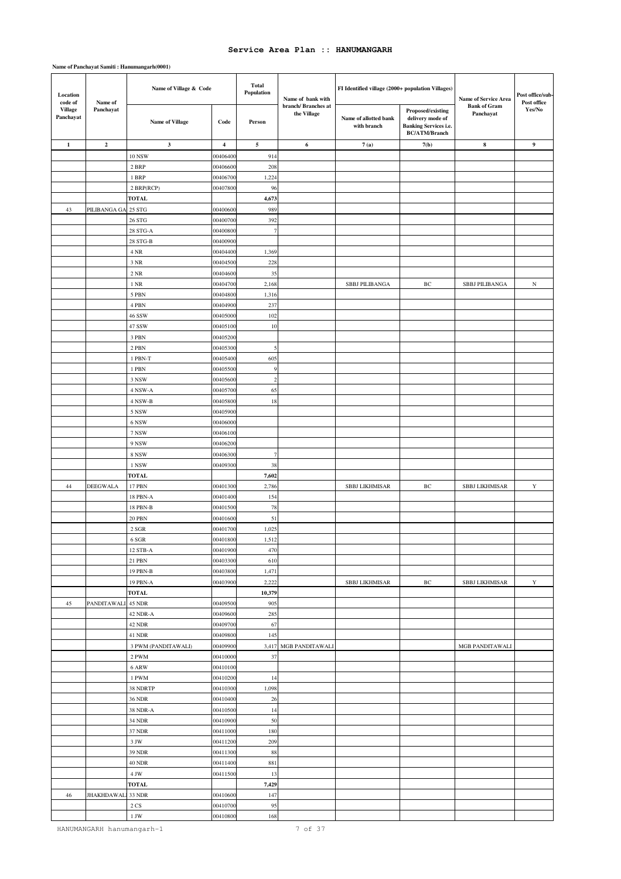| Location<br>code of         | Name of             | Name of Village & Code    |                         | <b>Total</b><br>Population | Name of bank with                  | FI Identified village (2000+ population Villages) |                                                                                               | Name of Service Area             | Post office/sub-<br>Post office |
|-----------------------------|---------------------|---------------------------|-------------------------|----------------------------|------------------------------------|---------------------------------------------------|-----------------------------------------------------------------------------------------------|----------------------------------|---------------------------------|
| <b>Village</b><br>Panchayat | Panchayat           | <b>Name of Village</b>    | Code                    | Person                     | branch/ Branches at<br>the Village | Name of allotted bank<br>with branch              | Proposed/existing<br>delivery mode of<br><b>Banking Services i.e.</b><br><b>BC/ATM/Branch</b> | <b>Bank of Gram</b><br>Panchayat | Yes/No                          |
| $\mathbf{1}$                | $\overline{2}$      | $\mathbf{3}$              | $\overline{\mathbf{4}}$ | $\sim$                     | 6                                  | 7(a)                                              | 7(b)                                                                                          | 8                                | 9                               |
|                             |                     | <b>10 NSW</b>             | 0040640                 | 914                        |                                    |                                                   |                                                                                               |                                  |                                 |
|                             |                     | 2 BRP                     | 00406600                | 208                        |                                    |                                                   |                                                                                               |                                  |                                 |
|                             |                     | 1 BRP                     | 0040670                 | 1,224                      |                                    |                                                   |                                                                                               |                                  |                                 |
|                             |                     | 2 BRP(RCP)                | 00407800                | 96                         |                                    |                                                   |                                                                                               |                                  |                                 |
|                             |                     | <b>TOTAL</b>              |                         | 4,673                      |                                    |                                                   |                                                                                               |                                  |                                 |
| 43                          | PILIBANGA GA 25 STG |                           | 0040060                 | 989                        |                                    |                                                   |                                                                                               |                                  |                                 |
|                             |                     | $26\,s\mathrm{TG}$        | 00400700                | 392                        |                                    |                                                   |                                                                                               |                                  |                                 |
|                             |                     | 28 STG-A                  | 0040080                 | $\tau$                     |                                    |                                                   |                                                                                               |                                  |                                 |
|                             |                     | 28 STG-B                  | 0040090                 |                            |                                    |                                                   |                                                                                               |                                  |                                 |
|                             |                     | 4 NR                      | 00404400                | 1,369                      |                                    |                                                   |                                                                                               |                                  |                                 |
|                             |                     | 3 NR                      | 0040450                 | 228                        |                                    |                                                   |                                                                                               |                                  |                                 |
|                             |                     | $2 \text{ NR}$            | 00404600                | 35                         |                                    |                                                   |                                                                                               |                                  |                                 |
|                             |                     | $1\ \mathrm{NR}$          | 00404700                | 2,168                      |                                    | <b>SBBJ PILIBANGA</b>                             | ВC                                                                                            | <b>SBBJ PILIBANGA</b>            | $_{\rm N}$                      |
|                             |                     | 5 PBN                     | 00404800                | 1,316                      |                                    |                                                   |                                                                                               |                                  |                                 |
|                             |                     | 4 PBN<br>46 SSW           | 00404900<br>0040500     | 237<br>102                 |                                    |                                                   |                                                                                               |                                  |                                 |
|                             |                     | 47 SSW                    | 00405100                | 10                         |                                    |                                                   |                                                                                               |                                  |                                 |
|                             |                     | 3 PBN                     | 0040520                 |                            |                                    |                                                   |                                                                                               |                                  |                                 |
|                             |                     | 2 PBN                     | 00405300                | 5                          |                                    |                                                   |                                                                                               |                                  |                                 |
|                             |                     | 1 PBN-T                   | 00405400                | 605                        |                                    |                                                   |                                                                                               |                                  |                                 |
|                             |                     | 1 PBN                     | 0040550                 | $\overline{9}$             |                                    |                                                   |                                                                                               |                                  |                                 |
|                             |                     | 3 NSW                     | 00405600                | $\overline{c}$             |                                    |                                                   |                                                                                               |                                  |                                 |
|                             |                     | 4 NSW-A                   | 00405700                | 65                         |                                    |                                                   |                                                                                               |                                  |                                 |
|                             |                     | 4 NSW-B                   | 0040580                 | 18                         |                                    |                                                   |                                                                                               |                                  |                                 |
|                             |                     | 5 NSW                     | 00405900                |                            |                                    |                                                   |                                                                                               |                                  |                                 |
|                             |                     | 6 NSW                     | 0040600                 |                            |                                    |                                                   |                                                                                               |                                  |                                 |
|                             |                     | 7 NSW                     | 00406100                |                            |                                    |                                                   |                                                                                               |                                  |                                 |
|                             |                     | 9 NSW                     | 0040620                 |                            |                                    |                                                   |                                                                                               |                                  |                                 |
|                             |                     | 8 NSW                     | 00406300                | $\tau$                     |                                    |                                                   |                                                                                               |                                  |                                 |
|                             |                     | 1 NSW                     | 00409300                | 38                         |                                    |                                                   |                                                                                               |                                  |                                 |
|                             |                     | <b>TOTAL</b>              |                         | 7,602                      |                                    |                                                   |                                                                                               |                                  |                                 |
| 44                          | <b>DEEGWALA</b>     | 17 PBN                    | 00401300                | 2,786                      |                                    | <b>SBBJ LIKHMISAR</b>                             | ВC                                                                                            | <b>SBBJ LIKHMISAR</b>            | Y                               |
|                             |                     | 18 PBN-A                  | 00401400                | 154                        |                                    |                                                   |                                                                                               |                                  |                                 |
|                             |                     | 18 PBN-B                  | 00401500                | 78                         |                                    |                                                   |                                                                                               |                                  |                                 |
|                             |                     | <b>20 PBN</b>             | 00401600                | 51                         |                                    |                                                   |                                                                                               |                                  |                                 |
|                             |                     | 2 SGR                     | 00401700                | 1,025                      |                                    |                                                   |                                                                                               |                                  |                                 |
|                             |                     | 6 SGR                     | 00401800                | 1,512                      |                                    |                                                   |                                                                                               |                                  |                                 |
|                             |                     | 12 STB-A                  | 00401900                | 470                        |                                    |                                                   |                                                                                               |                                  |                                 |
|                             |                     | 21 PBN<br>19 PBN-B        | 00403300<br>00403800    | 610<br>1,471               |                                    |                                                   |                                                                                               |                                  |                                 |
|                             |                     | 19 PBN-A                  | 00403900                | 2,222                      |                                    | <b>SBBJ LIKHMISAR</b>                             | $\rm{BC}$                                                                                     | <b>SBBJ LIKHMISAR</b>            | $\mathbf Y$                     |
|                             |                     | <b>TOTAL</b>              |                         | 10,379                     |                                    |                                                   |                                                                                               |                                  |                                 |
| 45                          | PANDITAWALI 45 NDR  |                           | 00409500                | 905                        |                                    |                                                   |                                                                                               |                                  |                                 |
|                             |                     | 42 NDR-A                  | 00409600                | 285                        |                                    |                                                   |                                                                                               |                                  |                                 |
|                             |                     | 42 NDR                    | 00409700                | 67                         |                                    |                                                   |                                                                                               |                                  |                                 |
|                             |                     | 41 NDR                    | 00409800                | 145                        |                                    |                                                   |                                                                                               |                                  |                                 |
|                             |                     | 3 PWM (PANDITAWALI)       | 00409900                |                            | 3,417 MGB PANDITAWALI              |                                                   |                                                                                               | MGB PANDITAWALI                  |                                 |
|                             |                     | 2 PWM                     | 00410000                | $37\,$                     |                                    |                                                   |                                                                                               |                                  |                                 |
|                             |                     | 6 ARW                     | 00410100                |                            |                                    |                                                   |                                                                                               |                                  |                                 |
|                             |                     | 1 PWM                     | 00410200                | 14                         |                                    |                                                   |                                                                                               |                                  |                                 |
|                             |                     | 38 NDRTP                  | 00410300                | 1,098                      |                                    |                                                   |                                                                                               |                                  |                                 |
|                             |                     | <b>36 NDR</b>             | 00410400                | 26                         |                                    |                                                   |                                                                                               |                                  |                                 |
|                             |                     | 38 NDR-A                  | 00410500                | 14                         |                                    |                                                   |                                                                                               |                                  |                                 |
|                             |                     | 34 NDR                    | 00410900                | 50                         |                                    |                                                   |                                                                                               |                                  |                                 |
|                             |                     | 37 NDR                    | 00411000                | 180                        |                                    |                                                   |                                                                                               |                                  |                                 |
|                             |                     | $3\,\mathrm{JW}$          | 00411200                | 209                        |                                    |                                                   |                                                                                               |                                  |                                 |
|                             |                     | 39 NDR                    | 00411300                | 88                         |                                    |                                                   |                                                                                               |                                  |                                 |
|                             |                     | <b>40 NDR</b>             | 00411400                | 881                        |                                    |                                                   |                                                                                               |                                  |                                 |
|                             |                     | $4\,\mathrm{JW}$<br>TOTAL | 00411500                | 13<br>7,429                |                                    |                                                   |                                                                                               |                                  |                                 |
| $46\,$                      | <b>JHAKHDAWAL</b>   | 33 NDR                    | 00410600                | 147                        |                                    |                                                   |                                                                                               |                                  |                                 |
|                             |                     | $2\ {\rm CS}$             | 00410700                | 95                         |                                    |                                                   |                                                                                               |                                  |                                 |
|                             |                     | $1\,\mathrm{JW}$          | 00410800                | 168                        |                                    |                                                   |                                                                                               |                                  |                                 |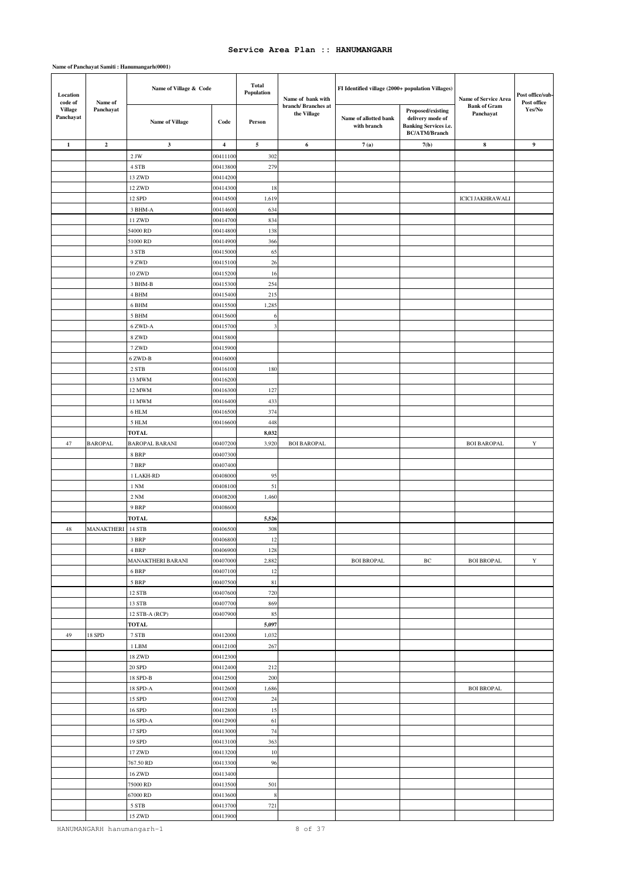| Location<br>code of<br>Name of |                         | Name of Village & Code  |                         | <b>Total</b><br>Population | Name of bank with                  | FI Identified village (2000+ population Villages) |                                                                                               | Name of Service Area             | Post office/sub-<br>Post office |
|--------------------------------|-------------------------|-------------------------|-------------------------|----------------------------|------------------------------------|---------------------------------------------------|-----------------------------------------------------------------------------------------------|----------------------------------|---------------------------------|
| Village<br>Panchayat           | Panchayat               | <b>Name of Village</b>  | Code                    | Person                     | branch/ Branches at<br>the Village | Name of allotted bank<br>with branch              | Proposed/existing<br>delivery mode of<br><b>Banking Services i.e.</b><br><b>BC/ATM/Branch</b> | <b>Bank of Gram</b><br>Panchayat | Yes/No                          |
| $\mathbf{1}$                   | $\overline{\mathbf{c}}$ | $\mathbf{3}$            | $\overline{\mathbf{4}}$ | $\sim$                     | 6                                  | 7(a)                                              | 7(b)                                                                                          | $\bf8$                           | 9                               |
|                                |                         | $2$ JW $\,$             | 0041110                 | 302                        |                                    |                                                   |                                                                                               |                                  |                                 |
|                                |                         | 4 STB                   | 0041380                 | 279                        |                                    |                                                   |                                                                                               |                                  |                                 |
|                                |                         | 13 ZWD                  | 0041420                 |                            |                                    |                                                   |                                                                                               |                                  |                                 |
|                                |                         | 12 ZWD                  | 00414300                | 18                         |                                    |                                                   |                                                                                               |                                  |                                 |
|                                |                         | 12 SPD                  | 00414500                | 1,619                      |                                    |                                                   |                                                                                               | <b>ICICI JAKHRAWALI</b>          |                                 |
|                                |                         | 3 BHM-A                 | 0041460                 | 634                        |                                    |                                                   |                                                                                               |                                  |                                 |
|                                |                         | 11 ZWD                  | 0041470                 | 834                        |                                    |                                                   |                                                                                               |                                  |                                 |
|                                |                         | 54000 RD                | 0041480                 | 138                        |                                    |                                                   |                                                                                               |                                  |                                 |
|                                |                         | 51000 RD                | 0041490                 | 366                        |                                    |                                                   |                                                                                               |                                  |                                 |
|                                |                         | 3 STB                   | 00415000                | 65                         |                                    |                                                   |                                                                                               |                                  |                                 |
|                                |                         | 9 ZWD                   | 0041510                 | 26                         |                                    |                                                   |                                                                                               |                                  |                                 |
|                                |                         | 10 ZWD                  | 0041520                 | 16                         |                                    |                                                   |                                                                                               |                                  |                                 |
|                                |                         | 3 BHM-B                 | 0041530                 | 254                        |                                    |                                                   |                                                                                               |                                  |                                 |
|                                |                         | 4 BHM                   | 00415400                | 215                        |                                    |                                                   |                                                                                               |                                  |                                 |
|                                |                         | 6 BHM                   | 00415500                | 1,285                      |                                    |                                                   |                                                                                               |                                  |                                 |
|                                |                         | 5 BHM                   | 0041560                 | 6<br>3                     |                                    |                                                   |                                                                                               |                                  |                                 |
|                                |                         | 6 ZWD-A<br>8 ZWD        | 0041570<br>0041580      |                            |                                    |                                                   |                                                                                               |                                  |                                 |
|                                |                         | 7 ZWD                   | 0041590                 |                            |                                    |                                                   |                                                                                               |                                  |                                 |
|                                |                         | 6 ZWD-B                 | 00416000                |                            |                                    |                                                   |                                                                                               |                                  |                                 |
|                                |                         | $2~{\rm STB}$           | 0041610                 | 180                        |                                    |                                                   |                                                                                               |                                  |                                 |
|                                |                         | 13 MWM                  | 0041620                 |                            |                                    |                                                   |                                                                                               |                                  |                                 |
|                                |                         | 12 MWM                  | 0041630                 | 127                        |                                    |                                                   |                                                                                               |                                  |                                 |
|                                |                         | 11 MWM                  | 0041640                 | 433                        |                                    |                                                   |                                                                                               |                                  |                                 |
|                                |                         | 6 HLM                   | 0041650                 | 374                        |                                    |                                                   |                                                                                               |                                  |                                 |
|                                |                         | 5 HLM                   | 0041660                 | 448                        |                                    |                                                   |                                                                                               |                                  |                                 |
|                                |                         | <b>TOTAL</b>            |                         | 8,032                      |                                    |                                                   |                                                                                               |                                  |                                 |
| 47                             | <b>BAROPAL</b>          | <b>BAROPAL BARANI</b>   | 0040720                 | 3,920                      | <b>BOI BAROPAL</b>                 |                                                   |                                                                                               | <b>BOI BAROPAL</b>               | Y                               |
|                                |                         | 8 BRP                   | 0040730                 |                            |                                    |                                                   |                                                                                               |                                  |                                 |
|                                |                         | 7 BRP                   | 0040740                 |                            |                                    |                                                   |                                                                                               |                                  |                                 |
|                                |                         | 1 LAKH-RD               | 0040800                 | 95                         |                                    |                                                   |                                                                                               |                                  |                                 |
|                                |                         | 1 NM                    | 0040810                 | 51                         |                                    |                                                   |                                                                                               |                                  |                                 |
|                                |                         | $2\;\mathrm{NM}$        | 0040820                 | 1,460                      |                                    |                                                   |                                                                                               |                                  |                                 |
|                                |                         | 9 BRP                   | 0040860                 |                            |                                    |                                                   |                                                                                               |                                  |                                 |
|                                |                         | <b>TOTAL</b>            |                         | 5,526                      |                                    |                                                   |                                                                                               |                                  |                                 |
| 48                             | MANAKTHERI              | 14 STB                  | 0040650                 | 308                        |                                    |                                                   |                                                                                               |                                  |                                 |
|                                |                         | 3 BRP                   | 00406800                | 12                         |                                    |                                                   |                                                                                               |                                  |                                 |
|                                |                         | 4 BRP                   | 00406900                | 128                        |                                    |                                                   |                                                                                               |                                  |                                 |
|                                |                         | MANAKTHERI BARANI       | 0040700                 | 2,882                      |                                    | <b>BOI BROPAL</b>                                 | ВC                                                                                            | <b>BOI BROPAL</b>                | Y                               |
|                                |                         | 6 BRP                   | 00407100                | 12                         |                                    |                                                   |                                                                                               |                                  |                                 |
|                                |                         | 5 BRP                   | 00407500                | $8\sqrt{1}$                |                                    |                                                   |                                                                                               |                                  |                                 |
|                                |                         | 12 STB                  | 00407600                | 720                        |                                    |                                                   |                                                                                               |                                  |                                 |
|                                |                         | 13 STB                  | 00407700<br>00407900    | 869                        |                                    |                                                   |                                                                                               |                                  |                                 |
|                                |                         | 12 STB-A (RCP)<br>TOTAL |                         | 85<br>5,097                |                                    |                                                   |                                                                                               |                                  |                                 |
| 49                             | 18 SPD                  | 7 STB                   | 0041200                 | 1,032                      |                                    |                                                   |                                                                                               |                                  |                                 |
|                                |                         | $1\ \mathrm{LBM}$       | 00412100                | 267                        |                                    |                                                   |                                                                                               |                                  |                                 |
|                                |                         | 18 ZWD                  | 00412300                |                            |                                    |                                                   |                                                                                               |                                  |                                 |
|                                |                         | $20\;\mathrm{SPD}$      | 00412400                | 212                        |                                    |                                                   |                                                                                               |                                  |                                 |
|                                |                         | 18 SPD-B                | 00412500                | 200                        |                                    |                                                   |                                                                                               |                                  |                                 |
|                                |                         | 18 SPD-A                | 00412600                | 1,686                      |                                    |                                                   |                                                                                               | <b>BOI BROPAL</b>                |                                 |
|                                |                         | 15 SPD                  | 00412700                | 24                         |                                    |                                                   |                                                                                               |                                  |                                 |
|                                |                         | 16 SPD                  | 00412800                | 15                         |                                    |                                                   |                                                                                               |                                  |                                 |
|                                |                         | 16 SPD-A                | 00412900                | 61                         |                                    |                                                   |                                                                                               |                                  |                                 |
|                                |                         | 17 SPD                  | 00413000                | 74                         |                                    |                                                   |                                                                                               |                                  |                                 |
|                                |                         | 19 SPD                  | 00413100                | 363                        |                                    |                                                   |                                                                                               |                                  |                                 |
|                                |                         | 17 ZWD                  | 00413200                | 10                         |                                    |                                                   |                                                                                               |                                  |                                 |
|                                |                         | 767.50 RD               | 00413300                | 96                         |                                    |                                                   |                                                                                               |                                  |                                 |
|                                |                         | 16 ZWD                  | 00413400                |                            |                                    |                                                   |                                                                                               |                                  |                                 |
|                                |                         | 75000 RD                | 00413500                | 501                        |                                    |                                                   |                                                                                               |                                  |                                 |
|                                |                         | 67000 RD                | 00413600                | $\,$ 8 $\,$                |                                    |                                                   |                                                                                               |                                  |                                 |
|                                |                         | 5 STB                   | 00413700                | 721                        |                                    |                                                   |                                                                                               |                                  |                                 |
|                                |                         | 15 ZWD                  | 00413900                |                            |                                    |                                                   |                                                                                               |                                  |                                 |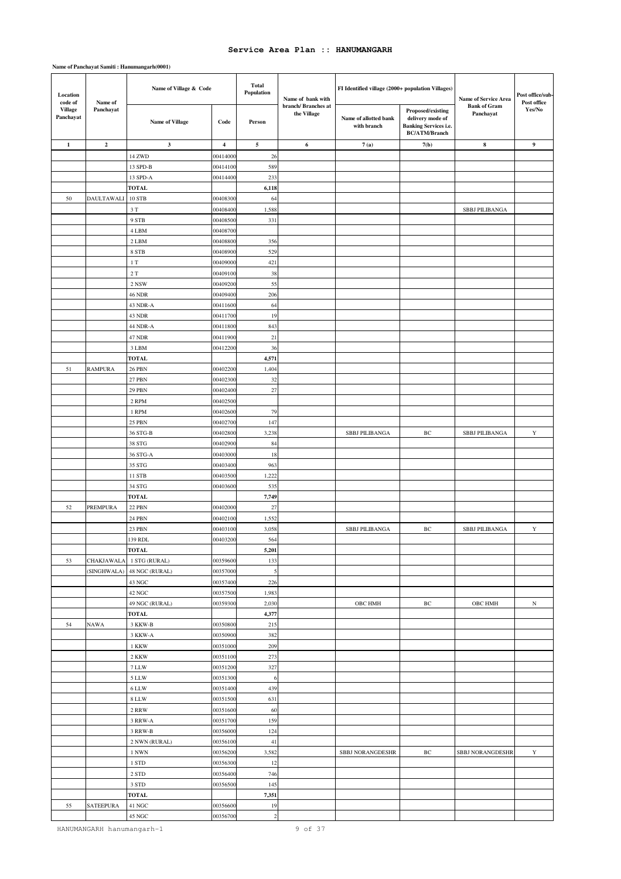| Location<br>code of         | Name of           | Name of Village & Code     |                         | <b>Total</b><br>Population | Name of bank with                 | FI Identified village (2000+ population Villages) |                                                                                        | Name of Service Area             | Post office/sub-<br>Post office |
|-----------------------------|-------------------|----------------------------|-------------------------|----------------------------|-----------------------------------|---------------------------------------------------|----------------------------------------------------------------------------------------|----------------------------------|---------------------------------|
| <b>Village</b><br>Panchayat | Panchayat         | <b>Name of Village</b>     | Code                    | Person                     | branch/Branches at<br>the Village | Name of allotted bank<br>with branch              | Proposed/existing<br>delivery mode of<br>Banking Services i.e.<br><b>BC/ATM/Branch</b> | <b>Bank of Gram</b><br>Panchayat | Yes/No                          |
| $\mathbf{1}$                | $\overline{2}$    | $\mathbf{3}$               | $\overline{\mathbf{4}}$ | $\sim$                     | 6                                 | 7(a)                                              | 7(b)                                                                                   | 8                                | $\boldsymbol{9}$                |
|                             |                   | 14 ZWD                     | 0041400                 | 26                         |                                   |                                                   |                                                                                        |                                  |                                 |
|                             |                   | 13 SPD-B                   | 00414100                | 589                        |                                   |                                                   |                                                                                        |                                  |                                 |
|                             |                   | 13 SPD-A                   | 00414400                | 233                        |                                   |                                                   |                                                                                        |                                  |                                 |
|                             |                   | <b>TOTAL</b>               |                         | 6,118                      |                                   |                                                   |                                                                                        |                                  |                                 |
| 50                          | <b>DAULTAWALI</b> | 10 STB                     | 00408300                | 64                         |                                   |                                                   |                                                                                        |                                  |                                 |
|                             |                   | 3T                         | 0040840                 | 1,588                      |                                   |                                                   |                                                                                        | <b>SBBJ PILIBANGA</b>            |                                 |
|                             |                   | 9 STB                      | 00408500                | 331                        |                                   |                                                   |                                                                                        |                                  |                                 |
|                             |                   | 4 LBM                      | 00408700                |                            |                                   |                                                   |                                                                                        |                                  |                                 |
|                             |                   | 2 LBM                      | 0040880                 | 356                        |                                   |                                                   |                                                                                        |                                  |                                 |
|                             |                   | 8 STB                      | 00408900                | 529                        |                                   |                                                   |                                                                                        |                                  |                                 |
|                             |                   | $1\ {\rm T}$               | 0040900                 | 421                        |                                   |                                                   |                                                                                        |                                  |                                 |
|                             |                   | $2\ {\rm T}$               | 00409100                | 38                         |                                   |                                                   |                                                                                        |                                  |                                 |
|                             |                   | 2 NSW                      | 00409200                | 55                         |                                   |                                                   |                                                                                        |                                  |                                 |
|                             |                   | <b>46 NDR</b>              | 00409400                | 206<br>64                  |                                   |                                                   |                                                                                        |                                  |                                 |
|                             |                   | 43 NDR-A<br>43 NDR         | 00411600<br>00411700    | 19                         |                                   |                                                   |                                                                                        |                                  |                                 |
|                             |                   | 44 NDR-A                   | 00411800                | 843                        |                                   |                                                   |                                                                                        |                                  |                                 |
|                             |                   | 47 NDR                     | 00411900                | 21                         |                                   |                                                   |                                                                                        |                                  |                                 |
|                             |                   | 3 LBM                      | 00412200                | 36                         |                                   |                                                   |                                                                                        |                                  |                                 |
|                             |                   | <b>TOTAL</b>               |                         | 4,571                      |                                   |                                                   |                                                                                        |                                  |                                 |
| 51                          | <b>RAMPURA</b>    | <b>26 PBN</b>              | 0040220                 | 1,404                      |                                   |                                                   |                                                                                        |                                  |                                 |
|                             |                   | <b>27 PBN</b>              | 00402300                | 32                         |                                   |                                                   |                                                                                        |                                  |                                 |
|                             |                   | <b>29 PBN</b>              | 00402400                | $27\,$                     |                                   |                                                   |                                                                                        |                                  |                                 |
|                             |                   | 2 RPM                      | 00402500                |                            |                                   |                                                   |                                                                                        |                                  |                                 |
|                             |                   | 1 RPM                      | 00402600                | 79                         |                                   |                                                   |                                                                                        |                                  |                                 |
|                             |                   | <b>25 PBN</b>              | 0040270                 | 147                        |                                   |                                                   |                                                                                        |                                  |                                 |
|                             |                   | 36 STG-B                   | 00402800                | 3,238                      |                                   | <b>SBBJ PILIBANGA</b>                             | ВC                                                                                     | <b>SBBJ PILIBANGA</b>            | Y                               |
|                             |                   | 38 STG                     | 00402900                | 84                         |                                   |                                                   |                                                                                        |                                  |                                 |
|                             |                   | 36 STG-A                   | 00403000                | 18                         |                                   |                                                   |                                                                                        |                                  |                                 |
|                             |                   | 35 STG                     | 00403400                | 963                        |                                   |                                                   |                                                                                        |                                  |                                 |
|                             |                   | 11 STB                     | 0040350                 | 1,222                      |                                   |                                                   |                                                                                        |                                  |                                 |
|                             |                   | 34 STG                     | 00403600                | 535                        |                                   |                                                   |                                                                                        |                                  |                                 |
|                             |                   | <b>TOTAL</b>               |                         | 7,749                      |                                   |                                                   |                                                                                        |                                  |                                 |
| 52                          | <b>PREMPURA</b>   | <b>22 PBN</b>              | 00402000<br>0040210     | $27\,$<br>1,552            |                                   |                                                   |                                                                                        |                                  |                                 |
|                             |                   | 24 PBN<br>23 PBN           | 00403100                | 3,058                      |                                   | <b>SBBJ PILIBANGA</b>                             | $\rm{BC}$                                                                              | <b>SBBJ PILIBANGA</b>            | $\mathbf Y$                     |
|                             |                   | 139 RDL                    | 00403200                | 564                        |                                   |                                                   |                                                                                        |                                  |                                 |
|                             |                   | <b>TOTAL</b>               |                         | 5,201                      |                                   |                                                   |                                                                                        |                                  |                                 |
| 53                          | CHAKJAWALA        | 1 STG (RURAL)              | 00359600                | 133                        |                                   |                                                   |                                                                                        |                                  |                                 |
|                             |                   | (SINGHWALA) 48 NGC (RURAL) | 00357000                | $\mathfrak{s}$             |                                   |                                                   |                                                                                        |                                  |                                 |
|                             |                   | 43 NGC                     | 00357400                | 226                        |                                   |                                                   |                                                                                        |                                  |                                 |
|                             |                   | 42 NGC                     | 00357500                | 1,983                      |                                   |                                                   |                                                                                        |                                  |                                 |
|                             |                   | 49 NGC (RURAL)             | 00359300                | 2,030                      |                                   | OBC HMH                                           | $\rm BC$                                                                               | OBC HMH                          | $_{\rm N}$                      |
|                             |                   | <b>TOTAL</b>               |                         | 4,377                      |                                   |                                                   |                                                                                        |                                  |                                 |
| 54                          | <b>NAWA</b>       | 3 KKW-B                    | 00350800                | 215                        |                                   |                                                   |                                                                                        |                                  |                                 |
|                             |                   | 3 KKW-A                    | 00350900                | 382                        |                                   |                                                   |                                                                                        |                                  |                                 |
|                             |                   | 1 KKW                      | 00351000                | 209                        |                                   |                                                   |                                                                                        |                                  |                                 |
|                             |                   | 2 KKW                      | 00351100                | 273                        |                                   |                                                   |                                                                                        |                                  |                                 |
|                             |                   | 7 LLW                      | 00351200                | 327                        |                                   |                                                   |                                                                                        |                                  |                                 |
|                             |                   | 5 LLW<br>6 LLW             | 00351300<br>00351400    | 6<br>439                   |                                   |                                                   |                                                                                        |                                  |                                 |
|                             |                   | 8 LLW                      | 00351500                | 631                        |                                   |                                                   |                                                                                        |                                  |                                 |
|                             |                   | 2 RRW                      | 00351600                | 60                         |                                   |                                                   |                                                                                        |                                  |                                 |
|                             |                   | 3 RRW-A                    | 00351700                | 159                        |                                   |                                                   |                                                                                        |                                  |                                 |
|                             |                   | 3 RRW-B                    | 00356000                | 124                        |                                   |                                                   |                                                                                        |                                  |                                 |
|                             |                   | 2 NWN (RURAL)              | 00356100                | $41\,$                     |                                   |                                                   |                                                                                        |                                  |                                 |
|                             |                   | 1 NWN                      | 00356200                | 3,582                      |                                   | SBBJ NORANGDESHR                                  | ВC                                                                                     | SBBJ NORANGDESHR                 | Y                               |
|                             |                   | 1 STD                      | 00356300                | 12                         |                                   |                                                   |                                                                                        |                                  |                                 |
|                             |                   | 2 STD                      | 00356400                | 746                        |                                   |                                                   |                                                                                        |                                  |                                 |
|                             |                   | 3 STD                      | 00356500                | 145                        |                                   |                                                   |                                                                                        |                                  |                                 |
|                             |                   | <b>TOTAL</b>               |                         | 7,351                      |                                   |                                                   |                                                                                        |                                  |                                 |
| 55                          | <b>SATEEPURA</b>  | 41 NGC                     | 00356600                | 19                         |                                   |                                                   |                                                                                        |                                  |                                 |
|                             |                   | 45 NGC                     | 00356700                | $\sqrt{2}$                 |                                   |                                                   |                                                                                        |                                  |                                 |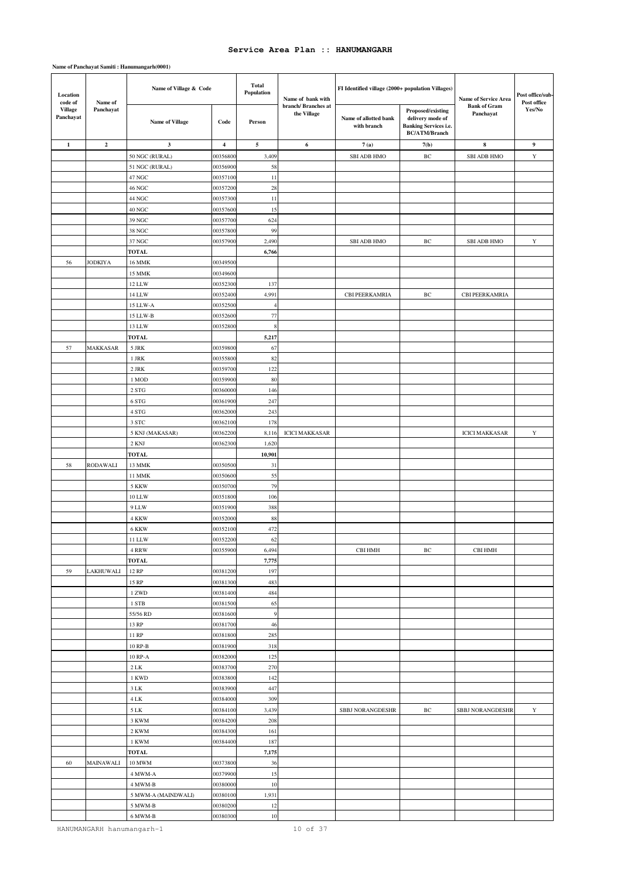### **Name of Panchayat Samiti : Hanumangarh(0001)**

| Location<br>code of         | Name of          | Name of Village & Code |                         | <b>Total</b><br>Population | Name of bank with                 | FI Identified village (2000+ population Villages) |                                                                                               | Name of Service Area             | Post office/sub-<br>Post office |
|-----------------------------|------------------|------------------------|-------------------------|----------------------------|-----------------------------------|---------------------------------------------------|-----------------------------------------------------------------------------------------------|----------------------------------|---------------------------------|
| <b>Village</b><br>Panchayat | Panchayat        | <b>Name of Village</b> | Code                    | Person                     | branch/Branches at<br>the Village | Name of allotted bank<br>with branch              | Proposed/existing<br>delivery mode of<br><b>Banking Services i.e.</b><br><b>BC/ATM/Branch</b> | <b>Bank of Gram</b><br>Panchayat | Yes/No                          |
| $\mathbf{1}$                | $\overline{2}$   | 3                      | $\overline{\mathbf{4}}$ | 5                          | 6                                 | 7(a)                                              | 7(b)                                                                                          | 8                                | 9                               |
|                             |                  | 50 NGC (RURAL)         | 0035680                 | 3,409                      |                                   | <b>SBI ADB HMO</b>                                | BC                                                                                            | <b>SBI ADB HMO</b>               | Y                               |
|                             |                  | 51 NGC (RURAL)         | 00356900                | 58                         |                                   |                                                   |                                                                                               |                                  |                                 |
|                             |                  | 47 NGC                 | 00357100                | 11                         |                                   |                                                   |                                                                                               |                                  |                                 |
|                             |                  | 46 NGC                 | 00357200                | 28                         |                                   |                                                   |                                                                                               |                                  |                                 |
|                             |                  | 44 NGC                 | 00357300                | 11                         |                                   |                                                   |                                                                                               |                                  |                                 |
|                             |                  | 40 NGC                 | 00357600                | 15                         |                                   |                                                   |                                                                                               |                                  |                                 |
|                             |                  | 39 NGC                 | 00357700                | 624                        |                                   |                                                   |                                                                                               |                                  |                                 |
|                             |                  | 38 NGC                 | 00357800                | 99                         |                                   |                                                   |                                                                                               |                                  |                                 |
|                             |                  | 37 NGC                 | 00357900                | 2,490                      |                                   | <b>SBI ADB HMO</b>                                | BC                                                                                            | <b>SBI ADB HMO</b>               | $\mathbf Y$                     |
|                             |                  | <b>TOTAL</b>           |                         | 6,766                      |                                   |                                                   |                                                                                               |                                  |                                 |
| 56                          | JODKIYA          | <b>16 MMK</b>          | 00349500                |                            |                                   |                                                   |                                                                                               |                                  |                                 |
|                             |                  | 15 MMK                 | 00349600                |                            |                                   |                                                   |                                                                                               |                                  |                                 |
|                             |                  | 12 LLW<br>14 LLW       | 00352300                | 137                        |                                   |                                                   |                                                                                               |                                  |                                 |
|                             |                  |                        | 00352400                | 4,991                      |                                   | CBI PEERKAMRIA                                    | $\rm BC$                                                                                      | CBI PEERKAMRIA                   |                                 |
|                             |                  | 15 LLW-A               | 00352500<br>00352600    | $\overline{4}$<br>77       |                                   |                                                   |                                                                                               |                                  |                                 |
|                             |                  | 15 LLW-B<br>13 LLW     | 00352800                | 8                          |                                   |                                                   |                                                                                               |                                  |                                 |
|                             |                  | <b>TOTAL</b>           |                         | 5,217                      |                                   |                                                   |                                                                                               |                                  |                                 |
| 57                          | MAKKASAR         | 5 JRK                  | 00359800                | 67                         |                                   |                                                   |                                                                                               |                                  |                                 |
|                             |                  | 1 JRK                  | 00355800                | 82                         |                                   |                                                   |                                                                                               |                                  |                                 |
|                             |                  | $2\;\mathrm{JRK}$      | 00359700                | 122                        |                                   |                                                   |                                                                                               |                                  |                                 |
|                             |                  | 1 MOD                  | 00359900                | 80                         |                                   |                                                   |                                                                                               |                                  |                                 |
|                             |                  | $2\;{\rm STG}$         | 00360000                | 146                        |                                   |                                                   |                                                                                               |                                  |                                 |
|                             |                  | 6 STG                  | 00361900                | 247                        |                                   |                                                   |                                                                                               |                                  |                                 |
|                             |                  | 4 STG                  | 00362000                | 243                        |                                   |                                                   |                                                                                               |                                  |                                 |
|                             |                  | 3 STC                  | 00362100                | 178                        |                                   |                                                   |                                                                                               |                                  |                                 |
|                             |                  | 5 KNJ (MAKASAR)        | 00362200                | 8,116                      | <b>ICICI MAKKASAR</b>             |                                                   |                                                                                               | <b>ICICI MAKKASAR</b>            | $\mathbf Y$                     |
|                             |                  | 2 KNJ                  | 00362300                | 1,620                      |                                   |                                                   |                                                                                               |                                  |                                 |
|                             |                  | TOTAL                  |                         | 10,901                     |                                   |                                                   |                                                                                               |                                  |                                 |
| 58                          | <b>RODAWALI</b>  | 13 MMK                 | 00350500                | 31                         |                                   |                                                   |                                                                                               |                                  |                                 |
|                             |                  | <b>11 MMK</b>          | 00350600                | 55                         |                                   |                                                   |                                                                                               |                                  |                                 |
|                             |                  | 5 KKW                  | 00350700                | 79                         |                                   |                                                   |                                                                                               |                                  |                                 |
|                             |                  | <b>10 LLW</b>          | 00351800                | 106                        |                                   |                                                   |                                                                                               |                                  |                                 |
|                             |                  | 9 LLW                  | 00351900                | 388                        |                                   |                                                   |                                                                                               |                                  |                                 |
|                             |                  | 4 KKW                  | 0035200                 | 88                         |                                   |                                                   |                                                                                               |                                  |                                 |
|                             |                  | 6 KKW<br>11 LLW        | 00352100<br>00352200    | 472<br>62                  |                                   |                                                   |                                                                                               |                                  |                                 |
|                             |                  | 4 RRW                  | 00355900                | 6,494                      |                                   | CBI HMH                                           | $\rm BC$                                                                                      | CBI HMH                          |                                 |
|                             |                  | TOTAL                  |                         | 7,775                      |                                   |                                                   |                                                                                               |                                  |                                 |
| 59                          | <b>LAKHUWALI</b> | 12 RP                  | 00381200                | 197                        |                                   |                                                   |                                                                                               |                                  |                                 |
|                             |                  | 15 RP                  | 00381300                | 483                        |                                   |                                                   |                                                                                               |                                  |                                 |
|                             |                  | 1 ZWD                  | 00381400                | 484                        |                                   |                                                   |                                                                                               |                                  |                                 |
|                             |                  | 1 STB                  | 00381500                | 65                         |                                   |                                                   |                                                                                               |                                  |                                 |
|                             |                  | 55/56 RD               | 00381600                | 9                          |                                   |                                                   |                                                                                               |                                  |                                 |
|                             |                  | 13 RP                  | 00381700                | 46                         |                                   |                                                   |                                                                                               |                                  |                                 |
|                             |                  | 11 RP                  | 00381800                | 285                        |                                   |                                                   |                                                                                               |                                  |                                 |
|                             |                  | $10$ RP-B $\,$         | 00381900                | 318                        |                                   |                                                   |                                                                                               |                                  |                                 |
|                             |                  | 10 RP-A                | 00382000                | 125                        |                                   |                                                   |                                                                                               |                                  |                                 |
|                             |                  | $2\,$ LK               | 00383700                | 270                        |                                   |                                                   |                                                                                               |                                  |                                 |
|                             |                  | 1 KWD                  | 00383800                | 142                        |                                   |                                                   |                                                                                               |                                  |                                 |
|                             |                  | 3 LK                   | 00383900                | 447                        |                                   |                                                   |                                                                                               |                                  |                                 |
|                             |                  | 4 LK                   | 00384000                | 309                        |                                   |                                                   |                                                                                               |                                  |                                 |
|                             |                  | $5\;{\rm LK}$          | 00384100                | 3,439                      |                                   | SBBJ NORANGDESHR                                  | $\rm BC$                                                                                      | SBBJ NORANGDESHR                 | $\mathbf Y$                     |
|                             |                  | 3 KWM                  | 00384200                | 208                        |                                   |                                                   |                                                                                               |                                  |                                 |
|                             |                  | 2 KWM                  | 00384300                | 161                        |                                   |                                                   |                                                                                               |                                  |                                 |
|                             |                  | 1 KWM<br><b>TOTAL</b>  | 00384400                | 187<br>7,175               |                                   |                                                   |                                                                                               |                                  |                                 |
| 60                          | MAINAWALI        | 10 MWM                 | 00373800                | 36                         |                                   |                                                   |                                                                                               |                                  |                                 |
|                             |                  | 4 MWM-A                | 00379900                | 15                         |                                   |                                                   |                                                                                               |                                  |                                 |
|                             |                  | 4 MWM-B                | 00380000                | $10$                       |                                   |                                                   |                                                                                               |                                  |                                 |
|                             |                  | 5 MWM-A (MAINDWALI)    | 00380100                | 1,931                      |                                   |                                                   |                                                                                               |                                  |                                 |
|                             |                  | 5 MWM-B                | 00380200                | 12                         |                                   |                                                   |                                                                                               |                                  |                                 |
|                             |                  | $6$ MWM-B $\,$         | 00380300                | $10\,$                     |                                   |                                                   |                                                                                               |                                  |                                 |

HANUMANGARH hanumangarh-1 10 0f 37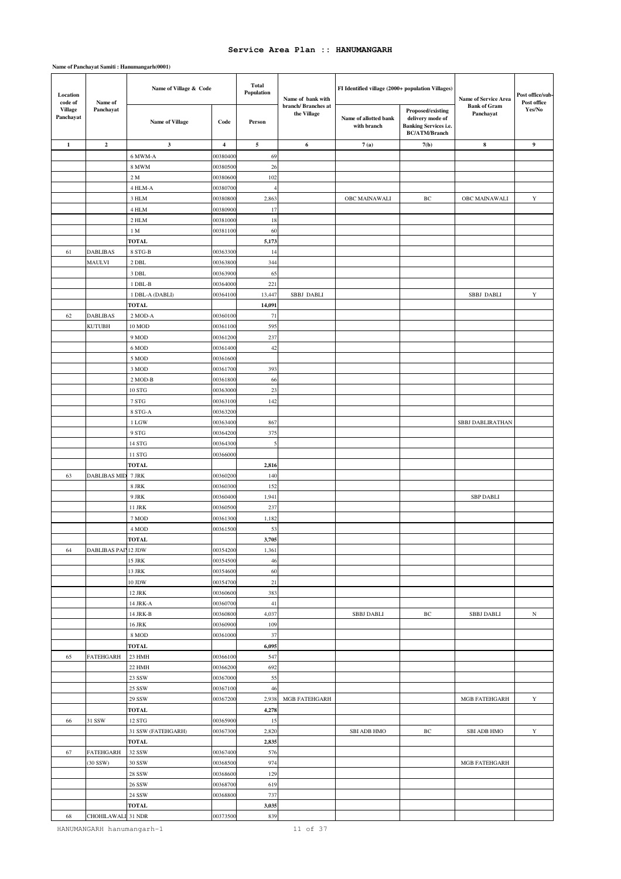### **Name of Panchayat Samiti : Hanumangarh(0001)**

| Location<br>code of         | Name of                    | Name of Village & Code |                         | <b>Total</b><br>Population | Name of bank with                 | FI Identified village (2000+ population Villages) |                                                                                               | Name of Service Area             | Post office/sub-<br>Post office |
|-----------------------------|----------------------------|------------------------|-------------------------|----------------------------|-----------------------------------|---------------------------------------------------|-----------------------------------------------------------------------------------------------|----------------------------------|---------------------------------|
| <b>Village</b><br>Panchayat | Panchayat                  | <b>Name of Village</b> | Code                    | Person                     | branch/Branches at<br>the Village | Name of allotted bank<br>with branch              | Proposed/existing<br>delivery mode of<br><b>Banking Services i.e.</b><br><b>BC/ATM/Branch</b> | <b>Bank of Gram</b><br>Panchayat | Yes/No                          |
| $\mathbf{1}$                | $\overline{2}$             | 3                      | $\overline{\mathbf{4}}$ | $\sqrt{5}$                 | 6                                 | 7(a)                                              | 7(b)                                                                                          | 8                                | 9                               |
|                             |                            | 6 MWM-A                | 0038040                 | 69                         |                                   |                                                   |                                                                                               |                                  |                                 |
|                             |                            | <b>8 MWM</b>           | 00380500                | 26                         |                                   |                                                   |                                                                                               |                                  |                                 |
|                             |                            | 2 M                    | 00380600                | 102                        |                                   |                                                   |                                                                                               |                                  |                                 |
|                             |                            | 4 HLM-A                | 00380700                | $\overline{4}$             |                                   |                                                   |                                                                                               |                                  |                                 |
|                             |                            | 3 HLM                  | 0038080                 | 2,863                      |                                   | OBC MAINAWALI                                     | ВC                                                                                            | OBC MAINAWALI                    | Y                               |
|                             |                            | 4 HLM                  | 00380900                | 17                         |                                   |                                                   |                                                                                               |                                  |                                 |
|                             |                            | 2 HLM                  | 00381000                | 18                         |                                   |                                                   |                                                                                               |                                  |                                 |
|                             |                            | 1 M                    | 00381100                | 60                         |                                   |                                                   |                                                                                               |                                  |                                 |
|                             |                            | <b>TOTAL</b>           |                         | 5,173                      |                                   |                                                   |                                                                                               |                                  |                                 |
| 61                          | <b>DABLIBAS</b>            | 8 STG-B                | 00363300                | 14                         |                                   |                                                   |                                                                                               |                                  |                                 |
|                             | MAULVI                     | 2 DBL                  | 0036380                 | 344                        |                                   |                                                   |                                                                                               |                                  |                                 |
|                             |                            | 3 DBL                  | 00363900                | 65                         |                                   |                                                   |                                                                                               |                                  |                                 |
|                             |                            | 1 DBL-B                | 00364000                | 221                        |                                   |                                                   |                                                                                               |                                  |                                 |
|                             |                            | 1 DBL-A (DABLI)        | 00364100                | 13,447                     | <b>SBBJ DABLI</b>                 |                                                   |                                                                                               | <b>SBBJ DABLI</b>                | Y                               |
|                             | <b>DABLIBAS</b>            | <b>TOTAL</b>           | 00360100                | 14,091<br>71               |                                   |                                                   |                                                                                               |                                  |                                 |
| 62                          | <b>KUTUBH</b>              | 2 MOD-A<br>10 MOD      | 00361100                | 595                        |                                   |                                                   |                                                                                               |                                  |                                 |
|                             |                            | 9 MOD                  | 00361200                | 237                        |                                   |                                                   |                                                                                               |                                  |                                 |
|                             |                            | 6 MOD                  | 00361400                | 42                         |                                   |                                                   |                                                                                               |                                  |                                 |
|                             |                            | 5 MOD                  | 00361600                |                            |                                   |                                                   |                                                                                               |                                  |                                 |
|                             |                            | 3 MOD                  | 00361700                | 393                        |                                   |                                                   |                                                                                               |                                  |                                 |
|                             |                            | 2 MOD-B                | 00361800                | 66                         |                                   |                                                   |                                                                                               |                                  |                                 |
|                             |                            | <b>10 STG</b>          | 00363000                | 23                         |                                   |                                                   |                                                                                               |                                  |                                 |
|                             |                            | $7\;{\rm STG}$         | 00363100                | 142                        |                                   |                                                   |                                                                                               |                                  |                                 |
|                             |                            | 8 STG-A                | 00363200                |                            |                                   |                                                   |                                                                                               |                                  |                                 |
|                             |                            | 1 LGW                  | 00363400                | 867                        |                                   |                                                   |                                                                                               | <b>SBBJ DABLIRATHAN</b>          |                                 |
|                             |                            | 9 STG                  | 00364200                | 375                        |                                   |                                                   |                                                                                               |                                  |                                 |
|                             |                            | 14 STG                 | 00364300                | $\sqrt{5}$                 |                                   |                                                   |                                                                                               |                                  |                                 |
|                             |                            | 11 STG                 | 00366000                |                            |                                   |                                                   |                                                                                               |                                  |                                 |
|                             |                            | <b>TOTAL</b>           |                         | 2,816                      |                                   |                                                   |                                                                                               |                                  |                                 |
| 63                          | <b>DABLIBAS MID</b>        | 7 JRK                  | 00360200                | 140                        |                                   |                                                   |                                                                                               |                                  |                                 |
|                             |                            | 8 JRK                  | 00360300                | 152                        |                                   |                                                   |                                                                                               |                                  |                                 |
|                             |                            | 9 JRK                  | 00360400                | 1,941                      |                                   |                                                   |                                                                                               | <b>SBP DABLI</b>                 |                                 |
|                             |                            | 11 JRK                 | 00360500                | 237                        |                                   |                                                   |                                                                                               |                                  |                                 |
|                             |                            | 7 MOD                  | 0036130                 | 1,182                      |                                   |                                                   |                                                                                               |                                  |                                 |
|                             |                            | 4 MOD<br><b>TOTAL</b>  | 00361500                | 53<br>3,705                |                                   |                                                   |                                                                                               |                                  |                                 |
| 64                          | <b>DABLIBAS PAI 12 JDW</b> |                        | 00354200                | 1,361                      |                                   |                                                   |                                                                                               |                                  |                                 |
|                             |                            | 15 JRK                 | 00354500                | 46                         |                                   |                                                   |                                                                                               |                                  |                                 |
|                             |                            | 13 JRK                 | 00354600                | 60                         |                                   |                                                   |                                                                                               |                                  |                                 |
|                             |                            | 10 JDW                 | 00354700                | 21                         |                                   |                                                   |                                                                                               |                                  |                                 |
|                             |                            | 12 JRK                 | 00360600                | 383                        |                                   |                                                   |                                                                                               |                                  |                                 |
|                             |                            | 14 JRK-A               | 00360700                | $41\,$                     |                                   |                                                   |                                                                                               |                                  |                                 |
|                             |                            | 14 JRK-B               | 00360800                | 4,037                      |                                   | SBBJ DABLI                                        | ВC                                                                                            | SBBJ DABLI                       | $_{\rm N}$                      |
|                             |                            | 16 JRK                 | 00360900                | 109                        |                                   |                                                   |                                                                                               |                                  |                                 |
|                             |                            | 8 MOD                  | 00361000                | $37\,$                     |                                   |                                                   |                                                                                               |                                  |                                 |
|                             |                            | <b>TOTAL</b>           |                         | 6,095                      |                                   |                                                   |                                                                                               |                                  |                                 |
| 65                          | <b>FATEHGARH</b>           | 23 HMH                 | 00366100                | 547                        |                                   |                                                   |                                                                                               |                                  |                                 |
|                             |                            | 22 HMH                 | 00366200                | 692                        |                                   |                                                   |                                                                                               |                                  |                                 |
|                             |                            | 23 SSW                 | 00367000                | 55                         |                                   |                                                   |                                                                                               |                                  |                                 |
|                             |                            | 25 SSW                 | 00367100                | 46                         |                                   |                                                   |                                                                                               |                                  |                                 |
|                             |                            | 29 SSW<br><b>TOTAL</b> | 00367200                | 2,938<br>4,278             | MGB FATEHGARH                     |                                                   |                                                                                               | MGB FATEHGARH                    | $\mathbf Y$                     |
| 66                          | 31 SSW                     | 12 STG                 | 00365900                | 15                         |                                   |                                                   |                                                                                               |                                  |                                 |
|                             |                            | 31 SSW (FATEHGARH)     | 00367300                | 2,820                      |                                   | <b>SBI ADB HMO</b>                                | ВC                                                                                            | <b>SBI ADB HMO</b>               | Y                               |
|                             |                            | <b>TOTAL</b>           |                         | 2,835                      |                                   |                                                   |                                                                                               |                                  |                                 |
| 67                          | <b>FATEHGARH</b>           | 32 SSW                 | 00367400                | 576                        |                                   |                                                   |                                                                                               |                                  |                                 |
|                             | $(30$ SSW)                 | 30 SSW                 | 00368500                | 974                        |                                   |                                                   |                                                                                               | MGB FATEHGARH                    |                                 |
|                             |                            | 28 SSW                 | 00368600                | 129                        |                                   |                                                   |                                                                                               |                                  |                                 |
|                             |                            | 26 SSW                 | 00368700                | 619                        |                                   |                                                   |                                                                                               |                                  |                                 |
|                             |                            | 24 SSW                 | 00368800                | 737                        |                                   |                                                   |                                                                                               |                                  |                                 |
|                             |                            | TOTAL                  |                         | 3,035                      |                                   |                                                   |                                                                                               |                                  |                                 |
| 68                          | CHOHILAWALI 31 NDR         |                        | 00373500                | 839                        |                                   |                                                   |                                                                                               |                                  |                                 |

HANUMANGARH hanumangarh-1 11 0f 37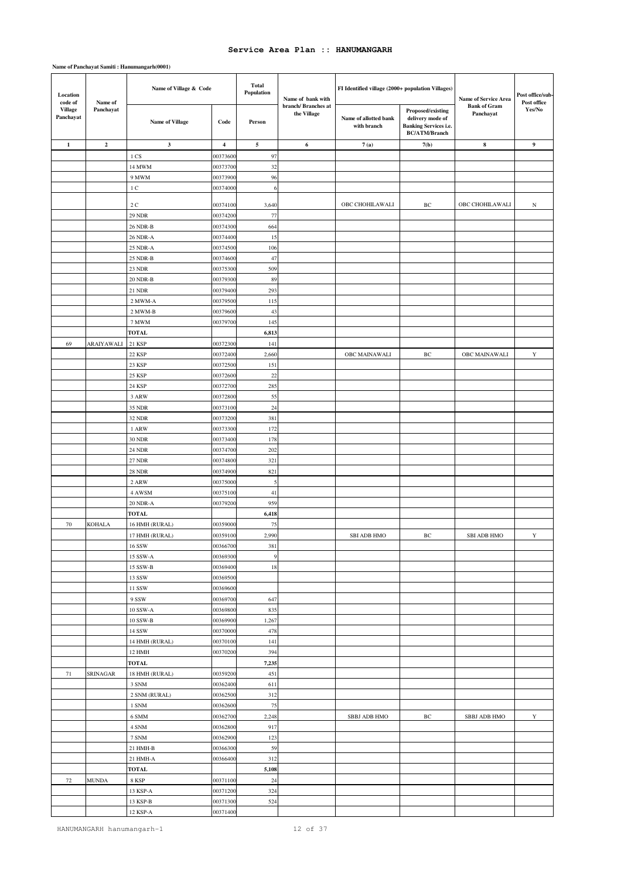| Location<br>code of         | Name of                 | Name of Village & Code      |                         | <b>Total</b><br>Population | Name of bank with                 | FI Identified village (2000+ population Villages) |                                                                                               | Name of Service Area             | Post office/sub-<br>Post office |
|-----------------------------|-------------------------|-----------------------------|-------------------------|----------------------------|-----------------------------------|---------------------------------------------------|-----------------------------------------------------------------------------------------------|----------------------------------|---------------------------------|
| <b>Village</b><br>Panchayat | Panchayat               | Name of Village             | Code                    | Person                     | branch/Branches at<br>the Village | Name of allotted bank<br>with branch              | Proposed/existing<br>delivery mode of<br><b>Banking Services i.e.</b><br><b>BC/ATM/Branch</b> | <b>Bank of Gram</b><br>Panchayat | Yes/No                          |
| $\mathbf{1}$                | $\overline{\mathbf{c}}$ | $\mathbf{3}$                | $\overline{\mathbf{4}}$ | 5                          | 6                                 | 7(a)                                              | 7(b)                                                                                          | $\bf8$                           | $\boldsymbol{9}$                |
|                             |                         | 1 CS                        | 0037360                 | 97                         |                                   |                                                   |                                                                                               |                                  |                                 |
|                             |                         | 14 MWM                      | 0037370                 | 32                         |                                   |                                                   |                                                                                               |                                  |                                 |
|                             |                         | 9 MWM                       | 0037390                 | 96                         |                                   |                                                   |                                                                                               |                                  |                                 |
|                             |                         | 1 C                         | 0037400                 | 6                          |                                   |                                                   |                                                                                               |                                  |                                 |
|                             |                         |                             |                         |                            |                                   |                                                   |                                                                                               |                                  |                                 |
|                             |                         | 2 C                         | 00374100                | 3,640                      |                                   | OBC CHOHILAWALI                                   | $\rm BC$                                                                                      | OBC CHOHILAWALI                  | N                               |
|                             |                         | <b>29 NDR</b>               | 0037420                 | 77                         |                                   |                                                   |                                                                                               |                                  |                                 |
|                             |                         | 26 NDR-B                    | 0037430                 | 664<br>15                  |                                   |                                                   |                                                                                               |                                  |                                 |
|                             |                         | 26 NDR-A                    | 0037440                 | 106                        |                                   |                                                   |                                                                                               |                                  |                                 |
|                             |                         | 25 NDR-A<br><b>25 NDR-B</b> | 0037450<br>00374600     | 47                         |                                   |                                                   |                                                                                               |                                  |                                 |
|                             |                         | 23 NDR                      | 0037530                 | 509                        |                                   |                                                   |                                                                                               |                                  |                                 |
|                             |                         | 20 NDR-B                    | 0037930                 | 89                         |                                   |                                                   |                                                                                               |                                  |                                 |
|                             |                         | 21 NDR                      | 0037940                 | 293                        |                                   |                                                   |                                                                                               |                                  |                                 |
|                             |                         | 2 MWM-A                     | 00379500                | 115                        |                                   |                                                   |                                                                                               |                                  |                                 |
|                             |                         | 2 MWM-B                     | 0037960                 | 43                         |                                   |                                                   |                                                                                               |                                  |                                 |
|                             |                         | 7 MWM                       | 0037970                 | 145                        |                                   |                                                   |                                                                                               |                                  |                                 |
|                             |                         | <b>TOTAL</b>                |                         | 6,813                      |                                   |                                                   |                                                                                               |                                  |                                 |
| 69                          | ARAIYAWALI              | 21 KSP                      | 0037230                 | 141                        |                                   |                                                   |                                                                                               |                                  |                                 |
|                             |                         | 22 KSP                      | 0037240                 | 2,660                      |                                   | OBC MAINAWALI                                     | $\rm BC$                                                                                      | OBC MAINAWALI                    | Y                               |
|                             |                         | 23 KSP                      | 0037250                 | 151                        |                                   |                                                   |                                                                                               |                                  |                                 |
|                             |                         | <b>25 KSP</b>               | 0037260                 | 22                         |                                   |                                                   |                                                                                               |                                  |                                 |
|                             |                         | 24 KSP                      | 0037270                 | 285                        |                                   |                                                   |                                                                                               |                                  |                                 |
|                             |                         | 3 ARW                       | 0037280                 | 55                         |                                   |                                                   |                                                                                               |                                  |                                 |
|                             |                         | 35 NDR                      | 00373100                | 24                         |                                   |                                                   |                                                                                               |                                  |                                 |
|                             |                         | 32 NDR                      | 0037320                 | 381                        |                                   |                                                   |                                                                                               |                                  |                                 |
|                             |                         | 1 ARW                       | 0037330                 | 172                        |                                   |                                                   |                                                                                               |                                  |                                 |
|                             |                         | <b>30 NDR</b>               | 00373400                | 178                        |                                   |                                                   |                                                                                               |                                  |                                 |
|                             |                         | <b>24 NDR</b>               | 0037470                 | 202                        |                                   |                                                   |                                                                                               |                                  |                                 |
|                             |                         | <b>27 NDR</b>               | 0037480                 | 321                        |                                   |                                                   |                                                                                               |                                  |                                 |
|                             |                         | <b>28 NDR</b>               | 0037490                 | 821                        |                                   |                                                   |                                                                                               |                                  |                                 |
|                             |                         | 2 ARW                       | 0037500                 | 5                          |                                   |                                                   |                                                                                               |                                  |                                 |
|                             |                         | 4 AWSM                      | 0037510                 | 41                         |                                   |                                                   |                                                                                               |                                  |                                 |
|                             |                         | 20 NDR-A                    | 0037920                 | 959                        |                                   |                                                   |                                                                                               |                                  |                                 |
|                             |                         | <b>TOTAL</b>                |                         | 6,418                      |                                   |                                                   |                                                                                               |                                  |                                 |
| 70                          | <b>KOHALA</b>           | 16 HMH (RURAL)              | 0035900                 | 75                         |                                   |                                                   |                                                                                               |                                  |                                 |
|                             |                         | 17 HMH (RURAL)              | 0035910                 | 2,990                      |                                   | <b>SBI ADB HMO</b>                                | $\rm BC$                                                                                      | <b>SBI ADB HMO</b>               | $\mathbf Y$                     |
|                             |                         | 16 SSW                      | 00366700                | 381                        |                                   |                                                   |                                                                                               |                                  |                                 |
|                             |                         | 15 SSW-A                    | 00369300                | $\overline{9}$             |                                   |                                                   |                                                                                               |                                  |                                 |
|                             |                         | 15 SSW-B                    | 00369400                | 18                         |                                   |                                                   |                                                                                               |                                  |                                 |
|                             |                         | 13 SSW<br>11 SSW            | 00369500<br>00369600    |                            |                                   |                                                   |                                                                                               |                                  |                                 |
|                             |                         | 9 SSW                       | 00369700                | 647                        |                                   |                                                   |                                                                                               |                                  |                                 |
|                             |                         | 10 SSW-A                    | 00369800                | 835                        |                                   |                                                   |                                                                                               |                                  |                                 |
|                             |                         | 10 SSW-B                    | 00369900                | 1,267                      |                                   |                                                   |                                                                                               |                                  |                                 |
|                             |                         | 14 SSW                      | 00370000                | 478                        |                                   |                                                   |                                                                                               |                                  |                                 |
|                             |                         | 14 HMH (RURAL)              | 00370100                | 141                        |                                   |                                                   |                                                                                               |                                  |                                 |
|                             |                         | 12 HMH                      | 00370200                | 394                        |                                   |                                                   |                                                                                               |                                  |                                 |
|                             |                         | <b>TOTAL</b>                |                         | 7,235                      |                                   |                                                   |                                                                                               |                                  |                                 |
| 71                          | SRINAGAR                | 18 HMH (RURAL)              | 00359200                | 451                        |                                   |                                                   |                                                                                               |                                  |                                 |
|                             |                         | 3 SNM                       | 00362400                | 611                        |                                   |                                                   |                                                                                               |                                  |                                 |
|                             |                         | 2 SNM (RURAL)               | 00362500                | 312                        |                                   |                                                   |                                                                                               |                                  |                                 |
|                             |                         | 1 SNM                       | 00362600                | 75                         |                                   |                                                   |                                                                                               |                                  |                                 |
|                             |                         | 6 SMM                       | 00362700                | 2,248                      |                                   | SBBJ ADB HMO                                      | ВC                                                                                            | SBBJ ADB HMO                     | $\mathbf Y$                     |
|                             |                         | 4 SNM                       | 00362800                | 917                        |                                   |                                                   |                                                                                               |                                  |                                 |
|                             |                         | 7 SNM                       | 00362900                | 123                        |                                   |                                                   |                                                                                               |                                  |                                 |
|                             |                         | 21 HMH-B                    | 00366300                | 59                         |                                   |                                                   |                                                                                               |                                  |                                 |
|                             |                         | 21 HMH-A                    | 00366400                | 312                        |                                   |                                                   |                                                                                               |                                  |                                 |
|                             |                         | <b>TOTAL</b>                |                         | 5,108                      |                                   |                                                   |                                                                                               |                                  |                                 |
| 72                          | MUNDA                   | 8 KSP                       | 00371100                | 24                         |                                   |                                                   |                                                                                               |                                  |                                 |
|                             |                         | 13 KSP-A                    | 00371200                | 324                        |                                   |                                                   |                                                                                               |                                  |                                 |
|                             |                         | 13 KSP-B                    | 00371300                | 524                        |                                   |                                                   |                                                                                               |                                  |                                 |
|                             |                         | 12 KSP-A                    | 00371400                |                            |                                   |                                                   |                                                                                               |                                  |                                 |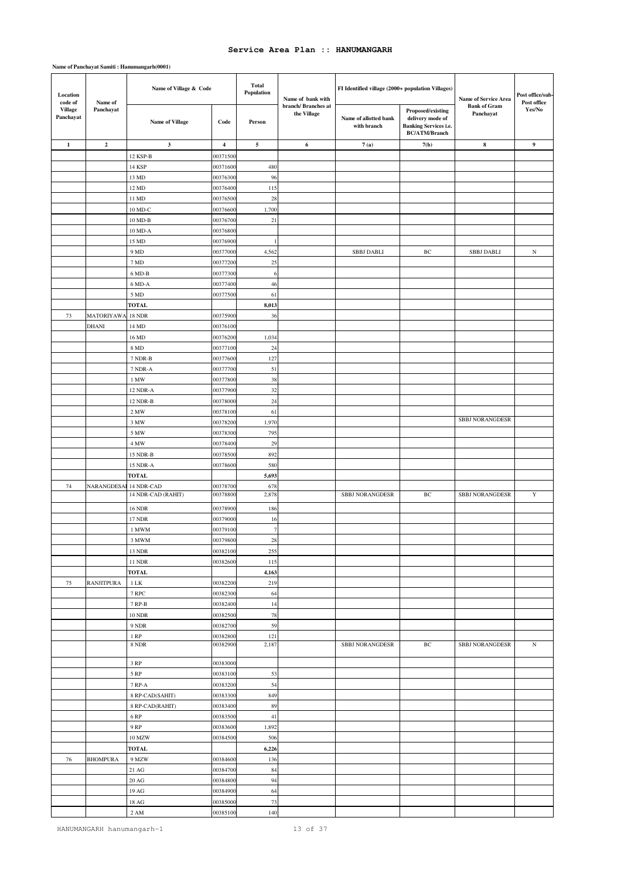| Location<br>code of<br>Name of | Name of Village & Code            |                                  | <b>Total</b><br>Population | Name of bank with | FI Identified village (2000+ population Villages) |                                      | Name of Service Area                                                                   | Post office/sub-<br>Post office  |                  |
|--------------------------------|-----------------------------------|----------------------------------|----------------------------|-------------------|---------------------------------------------------|--------------------------------------|----------------------------------------------------------------------------------------|----------------------------------|------------------|
| <b>Village</b><br>Panchayat    | Panchayat                         | <b>Name of Village</b>           | Code                       | Person            | branch/ Branches at<br>the Village                | Name of allotted bank<br>with branch | Proposed/existing<br>delivery mode of<br>Banking Services i.e.<br><b>BC/ATM/Branch</b> | <b>Bank of Gram</b><br>Panchayat | Yes/No           |
| $\mathbf{1}$                   | $\overline{2}$                    | $\mathbf{3}$                     | $\overline{\mathbf{4}}$    | $\sim$            | 6                                                 | 7(a)                                 | 7(b)                                                                                   | 8                                | $\boldsymbol{9}$ |
|                                |                                   | 12 KSP-B                         | 0037150                    |                   |                                                   |                                      |                                                                                        |                                  |                  |
|                                |                                   | 14 KSP                           | 00371600                   | 480               |                                                   |                                      |                                                                                        |                                  |                  |
|                                |                                   | 13 MD                            | 0037630                    | 96                |                                                   |                                      |                                                                                        |                                  |                  |
|                                |                                   | 12 MD                            | 00376400                   | 115               |                                                   |                                      |                                                                                        |                                  |                  |
|                                |                                   | 11 MD                            | 00376500                   | $28\,$            |                                                   |                                      |                                                                                        |                                  |                  |
|                                |                                   | 10 MD-C                          | 0037660                    | 1,700             |                                                   |                                      |                                                                                        |                                  |                  |
|                                |                                   | 10 MD-B                          | 00376700                   | 21                |                                                   |                                      |                                                                                        |                                  |                  |
|                                |                                   | 10 MD-A                          | 00376800                   |                   |                                                   |                                      |                                                                                        |                                  |                  |
|                                |                                   | 15 MD                            | 00376900                   | $\mathbf{1}$      |                                                   |                                      |                                                                                        |                                  |                  |
|                                |                                   | 9 MD                             | 00377000                   | 4,562             |                                                   | <b>SBBJ DABLI</b>                    | ВC                                                                                     | <b>SBBJ DABLI</b>                | $_{\rm N}$       |
|                                |                                   | $7\,\mathrm{MD}$                 | 00377200                   | 25                |                                                   |                                      |                                                                                        |                                  |                  |
|                                |                                   | 6 MD-B                           | 00377300                   | 6                 |                                                   |                                      |                                                                                        |                                  |                  |
|                                |                                   | 6 MD-A                           | 00377400                   | 46                |                                                   |                                      |                                                                                        |                                  |                  |
|                                |                                   | 5 MD                             | 00377500                   | 61                |                                                   |                                      |                                                                                        |                                  |                  |
|                                |                                   | <b>TOTAL</b>                     |                            | 8,013             |                                                   |                                      |                                                                                        |                                  |                  |
| $73\,$                         | <b>MATORIYAWA</b><br><b>DHANI</b> | <b>18 NDR</b>                    | 0037590<br>00376100        | 36                |                                                   |                                      |                                                                                        |                                  |                  |
|                                |                                   | 14 MD<br>16 MD                   | 0037620                    | 1,034             |                                                   |                                      |                                                                                        |                                  |                  |
|                                |                                   | 8 MD                             | 00377100                   | 24                |                                                   |                                      |                                                                                        |                                  |                  |
|                                |                                   | 7 NDR-B                          | 00377600                   | 127               |                                                   |                                      |                                                                                        |                                  |                  |
|                                |                                   | 7 NDR-A                          | 00377700                   | 51                |                                                   |                                      |                                                                                        |                                  |                  |
|                                |                                   | 1 MW                             | 00377800                   | 38                |                                                   |                                      |                                                                                        |                                  |                  |
|                                |                                   | 12 NDR-A                         | 00377900                   | 32                |                                                   |                                      |                                                                                        |                                  |                  |
|                                |                                   | 12 NDR-B                         | 00378000                   | 24                |                                                   |                                      |                                                                                        |                                  |                  |
|                                |                                   | 2 MW                             | 00378100                   | 61                |                                                   |                                      |                                                                                        |                                  |                  |
|                                |                                   | 3 MW                             | 00378200                   | 1,970             |                                                   |                                      |                                                                                        | <b>SBBJ NORANGDESR</b>           |                  |
|                                |                                   | 5 MW                             | 00378300                   | 795               |                                                   |                                      |                                                                                        |                                  |                  |
|                                |                                   | 4 MW                             | 00378400                   | 29                |                                                   |                                      |                                                                                        |                                  |                  |
|                                |                                   | 15 NDR-B                         | 00378500                   | 892               |                                                   |                                      |                                                                                        |                                  |                  |
|                                |                                   | 15 NDR-A                         | 00378600                   | 580               |                                                   |                                      |                                                                                        |                                  |                  |
|                                |                                   | <b>TOTAL</b>                     |                            | 5,693             |                                                   |                                      |                                                                                        |                                  |                  |
| 74                             | NARANGDESA                        | 14 NDR-CAD<br>14 NDR-CAD (RAHIT) | 00378700<br>0037880        | 678<br>2,878      |                                                   | <b>SBBJ NORANGDESR</b>               | $\rm{BC}$                                                                              | <b>SBBJ NORANGDESR</b>           | $\mathbf Y$      |
|                                |                                   |                                  |                            |                   |                                                   |                                      |                                                                                        |                                  |                  |
|                                |                                   | <b>16 NDR</b>                    | 00378900                   | 186               |                                                   |                                      |                                                                                        |                                  |                  |
|                                |                                   | 17 NDR                           | 0037900                    | 16                |                                                   |                                      |                                                                                        |                                  |                  |
|                                |                                   | 1 MWM                            | 00379100<br>00379800       | $\tau$            |                                                   |                                      |                                                                                        |                                  |                  |
|                                |                                   | 3 MWM                            |                            | 28                |                                                   |                                      |                                                                                        |                                  |                  |
|                                |                                   | 13 NDR<br><b>11 NDR</b>          | 00382100<br>00382600       | 255<br>115        |                                                   |                                      |                                                                                        |                                  |                  |
|                                |                                   | <b>TOTAL</b>                     |                            | 4,163             |                                                   |                                      |                                                                                        |                                  |                  |
| 75                             | <b>RANJITPURA</b>                 | $1\;{\rm LK}$                    | 00382200                   | 219               |                                                   |                                      |                                                                                        |                                  |                  |
|                                |                                   | 7 RPC                            | 00382300                   | 64                |                                                   |                                      |                                                                                        |                                  |                  |
|                                |                                   | 7 RP-B                           | 00382400                   | 14                |                                                   |                                      |                                                                                        |                                  |                  |
|                                |                                   | <b>10 NDR</b>                    | 00382500                   | 78                |                                                   |                                      |                                                                                        |                                  |                  |
|                                |                                   | 9 NDR                            | 00382700                   | 59                |                                                   |                                      |                                                                                        |                                  |                  |
|                                |                                   | $1 \, \mathrm{RP}$               | 00382800                   | 121               |                                                   |                                      |                                                                                        |                                  |                  |
|                                |                                   | $8$ NDR $\,$                     | 00382900                   | 2,187             |                                                   | <b>SBBJ NORANGDESR</b>               | $\rm{BC}$                                                                              | <b>SBBJ NORANGDESR</b>           | $_{\rm N}$       |
|                                |                                   | $3\ \mathrm{RP}$                 | 00383000                   |                   |                                                   |                                      |                                                                                        |                                  |                  |
|                                |                                   | $5\ \mathrm{RP}$                 | 00383100                   | 53                |                                                   |                                      |                                                                                        |                                  |                  |
|                                |                                   | 7 RP-A                           | 00383200                   | 54                |                                                   |                                      |                                                                                        |                                  |                  |
|                                |                                   | 8 RP-CAD(SAHIT)                  | 00383300                   | 849               |                                                   |                                      |                                                                                        |                                  |                  |
|                                |                                   | 8 RP-CAD(RAHIT)                  | 00383400                   | 89                |                                                   |                                      |                                                                                        |                                  |                  |
|                                |                                   | $6\;\mathrm{RP}$                 | 00383500                   | 41                |                                                   |                                      |                                                                                        |                                  |                  |
|                                |                                   | 9 RP                             | 00383600                   | 1,892             |                                                   |                                      |                                                                                        |                                  |                  |
|                                |                                   | 10 MZW                           | 00384500                   | 506               |                                                   |                                      |                                                                                        |                                  |                  |
|                                |                                   | TOTAL                            |                            | 6,226             |                                                   |                                      |                                                                                        |                                  |                  |
| 76                             | <b>BHOMPURA</b>                   | 9 MZW                            | 00384600                   | 136               |                                                   |                                      |                                                                                        |                                  |                  |
|                                |                                   | $21\ \mathrm{AG}$                | 00384700                   | $\bf 84$          |                                                   |                                      |                                                                                        |                                  |                  |
|                                |                                   | $20\ \mathrm{AG}$                | 00384800                   | 94                |                                                   |                                      |                                                                                        |                                  |                  |
|                                |                                   | 19 AG                            | 00384900                   | 64                |                                                   |                                      |                                                                                        |                                  |                  |
|                                |                                   | $18\ {\rm AG}$                   | 00385000                   | 73                |                                                   |                                      |                                                                                        |                                  |                  |
|                                |                                   | 2 AM                             | 00385100                   | 140               |                                                   |                                      |                                                                                        |                                  |                  |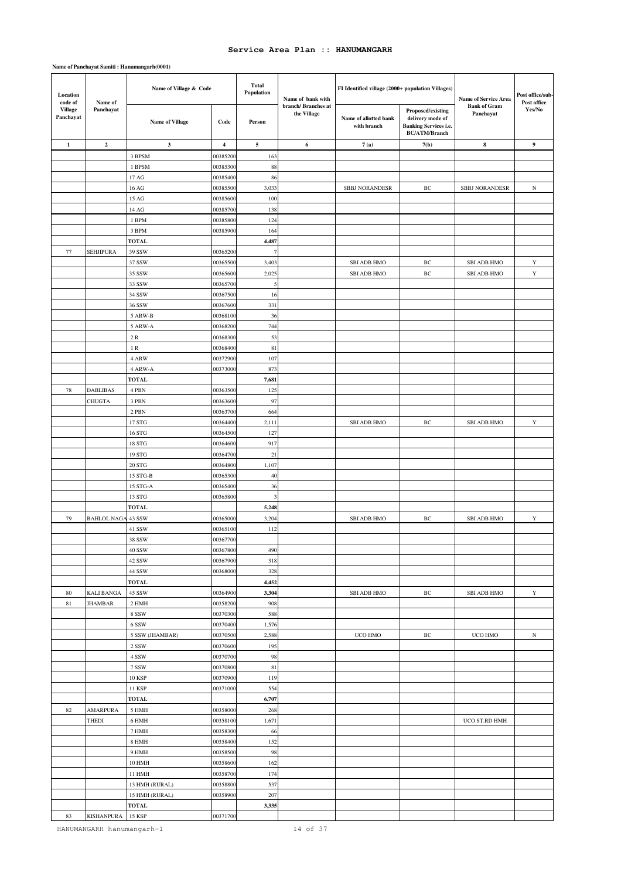### **Name of Panchayat Samiti : Hanumangarh(0001)**

| Location<br>code of         | Name of                   | Name of Village & Code           |                         | <b>Total</b><br>Population | Name of bank with                 | FI Identified village (2000+ population Villages) | Name of Service Area<br><b>Bank of Gram</b>                                                   |                                          | Post office/sub-<br>Post office |
|-----------------------------|---------------------------|----------------------------------|-------------------------|----------------------------|-----------------------------------|---------------------------------------------------|-----------------------------------------------------------------------------------------------|------------------------------------------|---------------------------------|
| <b>Village</b><br>Panchayat | Panchayat                 | <b>Name of Village</b>           | Code                    | Person                     | branch/Branches at<br>the Village | Name of allotted bank<br>with branch              | Proposed/existing<br>delivery mode of<br><b>Banking Services i.e.</b><br><b>BC/ATM/Branch</b> | Panchayat                                | Yes/No                          |
| 1                           | $\overline{2}$            | 3                                | $\overline{\mathbf{4}}$ | $\sqrt{5}$                 | 6                                 | 7(a)                                              | 7(b)                                                                                          | ${\bf 8}$                                | 9                               |
|                             |                           | 3 BPSM                           | 0038520                 | 163                        |                                   |                                                   |                                                                                               |                                          |                                 |
|                             |                           | 1 BPSM                           | 00385300                | 88                         |                                   |                                                   |                                                                                               |                                          |                                 |
|                             |                           | 17 AG                            | 00385400                | 86                         |                                   |                                                   |                                                                                               |                                          |                                 |
|                             |                           | 16 AG                            | 0038550                 | 3,033                      |                                   | <b>SBBJ NORANDESR</b>                             | $\rm BC$                                                                                      | <b>SBBJ NORANDESR</b>                    | $_{\rm N}$                      |
|                             |                           | 15 AG                            | 0038560                 | 100                        |                                   |                                                   |                                                                                               |                                          |                                 |
|                             |                           | 14 AG                            | 0038570                 | 138                        |                                   |                                                   |                                                                                               |                                          |                                 |
|                             |                           | 1 BPM                            | 00385800                | 124                        |                                   |                                                   |                                                                                               |                                          |                                 |
|                             |                           | 3 BPM                            | 0038590                 | 164                        |                                   |                                                   |                                                                                               |                                          |                                 |
|                             |                           | <b>TOTAL</b>                     |                         | 4,487                      |                                   |                                                   |                                                                                               |                                          |                                 |
| 77                          | SEHJIPURA                 | 39 SSW                           | 0036520                 | $\tau$                     |                                   |                                                   |                                                                                               |                                          |                                 |
|                             |                           | 37 SSW<br>35 SSW                 | 0036550<br>00365600     | 3,403<br>2,025             |                                   | <b>SBI ADB HMO</b><br><b>SBI ADB HMO</b>          | ВC<br>$\rm BC$                                                                                | <b>SBI ADB HMO</b><br><b>SBI ADB HMO</b> | Y<br>$\mathbf Y$                |
|                             |                           | 33 SSW                           | 0036570                 | 5                          |                                   |                                                   |                                                                                               |                                          |                                 |
|                             |                           | 34 SSW                           | 00367500                | 16                         |                                   |                                                   |                                                                                               |                                          |                                 |
|                             |                           | 36 SSW                           | 0036760                 | 331                        |                                   |                                                   |                                                                                               |                                          |                                 |
|                             |                           | 5 ARW-B                          | 0036810                 | 36                         |                                   |                                                   |                                                                                               |                                          |                                 |
|                             |                           | 5 ARW-A                          | 00368200                | 744                        |                                   |                                                   |                                                                                               |                                          |                                 |
|                             |                           | $2\;{\rm R}$                     | 0036830                 | 53                         |                                   |                                                   |                                                                                               |                                          |                                 |
|                             |                           | $1\;{\rm R}$                     | 0036840                 | 81                         |                                   |                                                   |                                                                                               |                                          |                                 |
|                             |                           | 4 ARW                            | 00372900                | 107                        |                                   |                                                   |                                                                                               |                                          |                                 |
|                             |                           | 4 ARW-A                          | 0037300                 | 873                        |                                   |                                                   |                                                                                               |                                          |                                 |
|                             |                           | <b>TOTAL</b>                     |                         | 7,681                      |                                   |                                                   |                                                                                               |                                          |                                 |
| 78                          | <b>DABLIBAS</b>           | 4 PBN                            | 0036350                 | 125                        |                                   |                                                   |                                                                                               |                                          |                                 |
|                             | CHUGTA                    | 3 PBN                            | 00363600                | 97                         |                                   |                                                   |                                                                                               |                                          |                                 |
|                             |                           | 2 PBN                            | 0036370                 | 664                        |                                   |                                                   |                                                                                               |                                          |                                 |
|                             |                           | 17 STG                           | 0036440                 | 2,111                      |                                   | <b>SBI ADB HMO</b>                                | ВC                                                                                            | <b>SBI ADB HMO</b>                       | Y                               |
|                             |                           | 16 STG                           | 00364500                | 127                        |                                   |                                                   |                                                                                               |                                          |                                 |
|                             |                           | 18 STG<br>19 STG                 | 0036460<br>00364700     | 917<br>21                  |                                   |                                                   |                                                                                               |                                          |                                 |
|                             |                           | $20\,3\mathrm{TG}$               | 0036480                 | 1,107                      |                                   |                                                   |                                                                                               |                                          |                                 |
|                             |                           | 15 STG-B                         | 00365300                | 40                         |                                   |                                                   |                                                                                               |                                          |                                 |
|                             |                           | 15 STG-A                         | 00365400                | 36                         |                                   |                                                   |                                                                                               |                                          |                                 |
|                             |                           | 13 STG                           | 0036580                 | $\mathfrak{Z}$             |                                   |                                                   |                                                                                               |                                          |                                 |
|                             |                           | <b>TOTAL</b>                     |                         | 5,248                      |                                   |                                                   |                                                                                               |                                          |                                 |
| 79                          | <b>BAHLOL NAGA 43 SSW</b> |                                  | 0036500                 | 3,204                      |                                   | <b>SBI ADB HMO</b>                                | BC                                                                                            | <b>SBI ADB HMO</b>                       | Y                               |
|                             |                           | 41 SSW                           | 00365100                | 112                        |                                   |                                                   |                                                                                               |                                          |                                 |
|                             |                           | 38 SSW                           | 00367700                |                            |                                   |                                                   |                                                                                               |                                          |                                 |
|                             |                           | 40 SSW                           | 00367800                | 490                        |                                   |                                                   |                                                                                               |                                          |                                 |
|                             |                           | 42 SSW                           | 00367900                | 318                        |                                   |                                                   |                                                                                               |                                          |                                 |
|                             |                           | 44 SSW                           | 00368000                | 328                        |                                   |                                                   |                                                                                               |                                          |                                 |
|                             |                           | <b>TOTAL</b>                     |                         | 4,452                      |                                   |                                                   |                                                                                               |                                          |                                 |
| 80                          | KALI BANGA                | 45 SSW                           | 00364900                | 3,304                      |                                   | <b>SBI ADB HMO</b>                                | ВC                                                                                            | <b>SBI ADB HMO</b>                       | $\mathbf Y$                     |
| 81                          | <b>JHAMBAR</b>            | 2 HMH                            | 00358200                | 908                        |                                   |                                                   |                                                                                               |                                          |                                 |
|                             |                           | $8\;{\rm SSW}$<br>6 SSW          | 00370300<br>00370400    | 588<br>1,576               |                                   |                                                   |                                                                                               |                                          |                                 |
|                             |                           | 5 SSW (JHAMBAR)                  | 00370500                | 2,588                      |                                   | UCO HMO                                           | $\rm BC$                                                                                      | UCO HMO                                  | N                               |
|                             |                           | 2 SSW                            | 00370600                | 195                        |                                   |                                                   |                                                                                               |                                          |                                 |
|                             |                           | 4 SSW                            | 00370700                | 98                         |                                   |                                                   |                                                                                               |                                          |                                 |
|                             |                           | 7 SSW                            | 00370800                | 81                         |                                   |                                                   |                                                                                               |                                          |                                 |
|                             |                           | 10 KSP                           | 00370900                | 119                        |                                   |                                                   |                                                                                               |                                          |                                 |
|                             |                           | 11 KSP                           | 00371000                | 554                        |                                   |                                                   |                                                                                               |                                          |                                 |
|                             |                           | <b>TOTAL</b>                     |                         | 6,707                      |                                   |                                                   |                                                                                               |                                          |                                 |
| 82                          | <b>AMARPURA</b>           | 5 HMH                            | 00358000                | 268                        |                                   |                                                   |                                                                                               |                                          |                                 |
|                             | <b>THEDI</b>              | 6 HMH                            | 00358100                | 1,671                      |                                   |                                                   |                                                                                               | UCO ST.RD HMH                            |                                 |
|                             |                           | 7 HMH                            | 00358300                | 66                         |                                   |                                                   |                                                                                               |                                          |                                 |
|                             |                           | <b>8 HMH</b>                     | 00358400                | 152                        |                                   |                                                   |                                                                                               |                                          |                                 |
|                             |                           | 9 HMH                            | 00358500                | 98                         |                                   |                                                   |                                                                                               |                                          |                                 |
|                             |                           | 10 HMH                           | 00358600                | 162                        |                                   |                                                   |                                                                                               |                                          |                                 |
|                             |                           | 11 HMH                           | 00358700                | 174                        |                                   |                                                   |                                                                                               |                                          |                                 |
|                             |                           | 13 HMH (RURAL)<br>15 HMH (RURAL) | 00358800<br>00358900    | 537<br>207                 |                                   |                                                   |                                                                                               |                                          |                                 |
|                             |                           | <b>TOTAL</b>                     |                         | 3,335                      |                                   |                                                   |                                                                                               |                                          |                                 |
| 83                          | <b>KISHANPURA</b>         | <b>15 KSP</b>                    | 00371700                |                            |                                   |                                                   |                                                                                               |                                          |                                 |

HANUMANGARH hanumangarh-1 14 of 37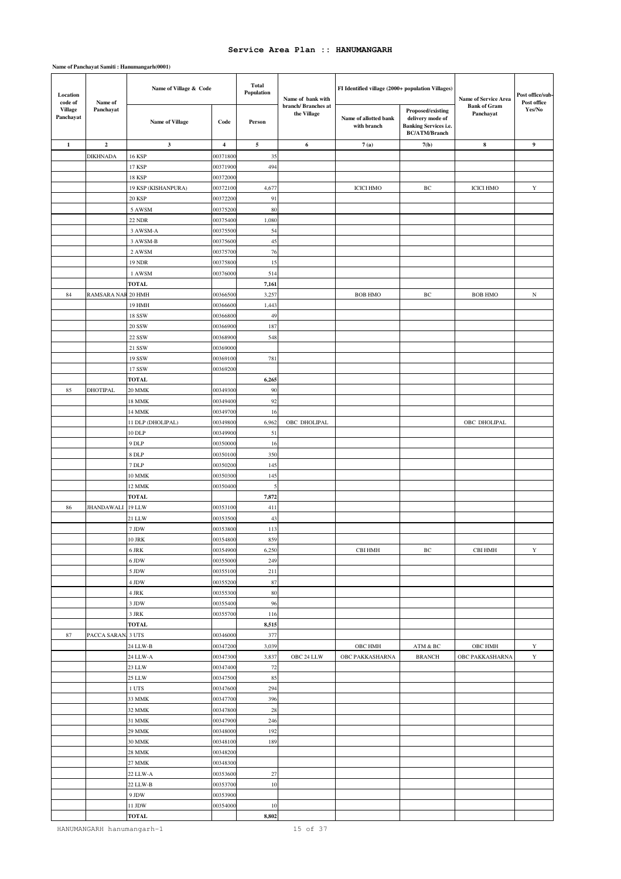| Location<br>code of<br>Name of<br><b>Village</b><br>Panchayat | Name of Village & Code |                        | <b>Total</b><br>Population | Name of bank with | FI Identified village (2000+ population Villages) |                                      | Name of Service Area                                                                          | Post office/sub-<br>Post office  |                  |
|---------------------------------------------------------------|------------------------|------------------------|----------------------------|-------------------|---------------------------------------------------|--------------------------------------|-----------------------------------------------------------------------------------------------|----------------------------------|------------------|
| Panchayat                                                     |                        | <b>Name of Village</b> | Code                       | Person            | branch/Branches at<br>the Village                 | Name of allotted bank<br>with branch | Proposed/existing<br>delivery mode of<br><b>Banking Services i.e.</b><br><b>BC/ATM/Branch</b> | <b>Bank of Gram</b><br>Panchayat | Yes/No           |
| $\mathbf{1}$                                                  | $\boldsymbol{2}$       | $\mathbf{3}$           | $\overline{\mathbf{4}}$    | $\sim$            | 6                                                 | 7(a)                                 | 7(b)                                                                                          | 8                                | $\boldsymbol{9}$ |
|                                                               | <b>DIKHNADA</b>        | <b>16 KSP</b>          | 0037180                    | 35                |                                                   |                                      |                                                                                               |                                  |                  |
|                                                               |                        | 17 KSP                 | 00371900                   | 494               |                                                   |                                      |                                                                                               |                                  |                  |
|                                                               |                        | <b>18 KSP</b>          | 00372000                   |                   |                                                   |                                      |                                                                                               |                                  |                  |
|                                                               |                        | 19 KSP (KISHANPURA)    | 00372100                   | 4,677             |                                                   | <b>ICICI HMO</b>                     | ВC                                                                                            | <b>ICICI HMO</b>                 | Y                |
|                                                               |                        | 20 KSP                 | 00372200                   | 91                |                                                   |                                      |                                                                                               |                                  |                  |
|                                                               |                        | 5 AWSM                 | 0037520                    | 80                |                                                   |                                      |                                                                                               |                                  |                  |
|                                                               |                        | 22 NDR                 | 00375400                   | 1,080             |                                                   |                                      |                                                                                               |                                  |                  |
|                                                               |                        | 3 AWSM-A               | 00375500                   | 54                |                                                   |                                      |                                                                                               |                                  |                  |
|                                                               |                        | 3 AWSM-B               | 00375600                   | 45                |                                                   |                                      |                                                                                               |                                  |                  |
|                                                               |                        | 2 AWSM                 | 00375700                   | 76                |                                                   |                                      |                                                                                               |                                  |                  |
|                                                               |                        | <b>19 NDR</b>          | 0037580                    | 15                |                                                   |                                      |                                                                                               |                                  |                  |
|                                                               |                        | 1 AWSM                 | 00376000                   | 514               |                                                   |                                      |                                                                                               |                                  |                  |
|                                                               |                        | <b>TOTAL</b>           |                            | 7,161             |                                                   |                                      |                                                                                               |                                  |                  |
| 84                                                            | RAMSARA NAF 20 HMH     |                        | 00366500                   | 3,257             |                                                   | <b>BOB HMO</b>                       | ВC                                                                                            | <b>BOB HMO</b>                   | N                |
|                                                               |                        | 19 HMH                 | 00366600                   | 1,443             |                                                   |                                      |                                                                                               |                                  |                  |
|                                                               |                        | 18 SSW                 | 0036680                    | 49                |                                                   |                                      |                                                                                               |                                  |                  |
|                                                               |                        | <b>20 SSW</b>          | 00366900                   | 187               |                                                   |                                      |                                                                                               |                                  |                  |
|                                                               |                        | 22 SSW<br>21 SSW       | 0036890<br>00369000        | 548               |                                                   |                                      |                                                                                               |                                  |                  |
|                                                               |                        |                        |                            |                   |                                                   |                                      |                                                                                               |                                  |                  |
|                                                               |                        | 19 SSW<br>17 SSW       | 00369100<br>0036920        | 781               |                                                   |                                      |                                                                                               |                                  |                  |
|                                                               |                        | <b>TOTAL</b>           |                            | 6,265             |                                                   |                                      |                                                                                               |                                  |                  |
| 85                                                            | <b>DHOTIPAL</b>        | <b>20 MMK</b>          | 00349300                   | 90                |                                                   |                                      |                                                                                               |                                  |                  |
|                                                               |                        | 18 MMK                 | 00349400                   | 92                |                                                   |                                      |                                                                                               |                                  |                  |
|                                                               |                        | 14 MMK                 | 00349700                   | 16                |                                                   |                                      |                                                                                               |                                  |                  |
|                                                               |                        | 11 DLP (DHOLIPAL)      | 0034980                    | 6,962             | OBC DHOLIPAL                                      |                                      |                                                                                               | OBC DHOLIPAL                     |                  |
|                                                               |                        | 10 DLP                 | 00349900                   | 51                |                                                   |                                      |                                                                                               |                                  |                  |
|                                                               |                        | 9 DLP                  | 00350000                   | 16                |                                                   |                                      |                                                                                               |                                  |                  |
|                                                               |                        | 8 DLP                  | 00350100                   | 350               |                                                   |                                      |                                                                                               |                                  |                  |
|                                                               |                        | 7 DLP                  | 00350200                   | 145               |                                                   |                                      |                                                                                               |                                  |                  |
|                                                               |                        | 10 MMK                 | 0035030                    | 145               |                                                   |                                      |                                                                                               |                                  |                  |
|                                                               |                        | 12 MMK                 | 00350400                   | 5                 |                                                   |                                      |                                                                                               |                                  |                  |
|                                                               |                        | <b>TOTAL</b>           |                            | 7,872             |                                                   |                                      |                                                                                               |                                  |                  |
| 86                                                            | JHANDAWALI             | 19 LLW                 | 00353100                   | 411               |                                                   |                                      |                                                                                               |                                  |                  |
|                                                               |                        | 21 LLW                 | 00353500                   | 43                |                                                   |                                      |                                                                                               |                                  |                  |
|                                                               |                        | 7 JDW                  | 00353800                   | 113               |                                                   |                                      |                                                                                               |                                  |                  |
|                                                               |                        | 10 JRK                 | 00354800                   | 859               |                                                   |                                      |                                                                                               |                                  |                  |
|                                                               |                        | $6\:\rm JRK$           | 00354900                   | 6,250             |                                                   | <b>CBI HMH</b>                       | ВC                                                                                            | <b>CBI HMH</b>                   | $\mathbf Y$      |
|                                                               |                        | 6 JDW                  | 00355000                   | 249               |                                                   |                                      |                                                                                               |                                  |                  |
|                                                               |                        | 5 JDW                  | 00355100                   | 211               |                                                   |                                      |                                                                                               |                                  |                  |
|                                                               |                        | 4 JDW                  | 00355200                   | $87\,$            |                                                   |                                      |                                                                                               |                                  |                  |
|                                                               |                        | 4 JRK                  | 00355300                   | 80                |                                                   |                                      |                                                                                               |                                  |                  |
|                                                               |                        | 3 JDW                  | 00355400                   | 96                |                                                   |                                      |                                                                                               |                                  |                  |
|                                                               |                        | $3~\mathrm{JRK}$       | 00355700                   | 116               |                                                   |                                      |                                                                                               |                                  |                  |
|                                                               |                        | TOTAL                  |                            | 8,515             |                                                   |                                      |                                                                                               |                                  |                  |
| 87                                                            | PACCA SARAN. 3 UTS     | 24 LLW-B               | 00346000<br>00347200       | 377               |                                                   |                                      | $ATM$ & $BC$                                                                                  |                                  |                  |
|                                                               |                        | 24 LLW-A               | 00347300                   | 3,039<br>3,837    | OBC 24 LLW                                        | OBC HMH<br>OBC PAKKASHARNA           | <b>BRANCH</b>                                                                                 | OBC HMH<br>OBC PAKKASHARNA       | Y<br>$\mathbf Y$ |
|                                                               |                        | 23 LLW                 | 00347400                   | 72                |                                                   |                                      |                                                                                               |                                  |                  |
|                                                               |                        | 25 LLW                 | 00347500                   | 85                |                                                   |                                      |                                                                                               |                                  |                  |
|                                                               |                        | 1 UTS                  | 00347600                   | 294               |                                                   |                                      |                                                                                               |                                  |                  |
|                                                               |                        | 33 MMK                 | 00347700                   | 396               |                                                   |                                      |                                                                                               |                                  |                  |
|                                                               |                        | 32 MMK                 | 00347800                   | $\sqrt{28}$       |                                                   |                                      |                                                                                               |                                  |                  |
|                                                               |                        | 31 MMK                 | 00347900                   | 246               |                                                   |                                      |                                                                                               |                                  |                  |
|                                                               |                        | 29 MMK                 | 00348000                   | 192               |                                                   |                                      |                                                                                               |                                  |                  |
|                                                               |                        | 30 MMK                 | 00348100                   | 189               |                                                   |                                      |                                                                                               |                                  |                  |
|                                                               |                        | 28 MMK                 | 00348200                   |                   |                                                   |                                      |                                                                                               |                                  |                  |
|                                                               |                        | 27 MMK                 | 00348300                   |                   |                                                   |                                      |                                                                                               |                                  |                  |
|                                                               |                        | 22 LLW-A               | 00353600                   | $27\,$            |                                                   |                                      |                                                                                               |                                  |                  |
|                                                               |                        | 22 LLW-B               | 00353700                   | 10                |                                                   |                                      |                                                                                               |                                  |                  |
|                                                               |                        | 9 JDW                  | 00353900                   |                   |                                                   |                                      |                                                                                               |                                  |                  |
|                                                               |                        | 11 JDW                 | 00354000                   | 10                |                                                   |                                      |                                                                                               |                                  |                  |
|                                                               |                        | <b>TOTAL</b>           |                            | 8,802             |                                                   |                                      |                                                                                               |                                  |                  |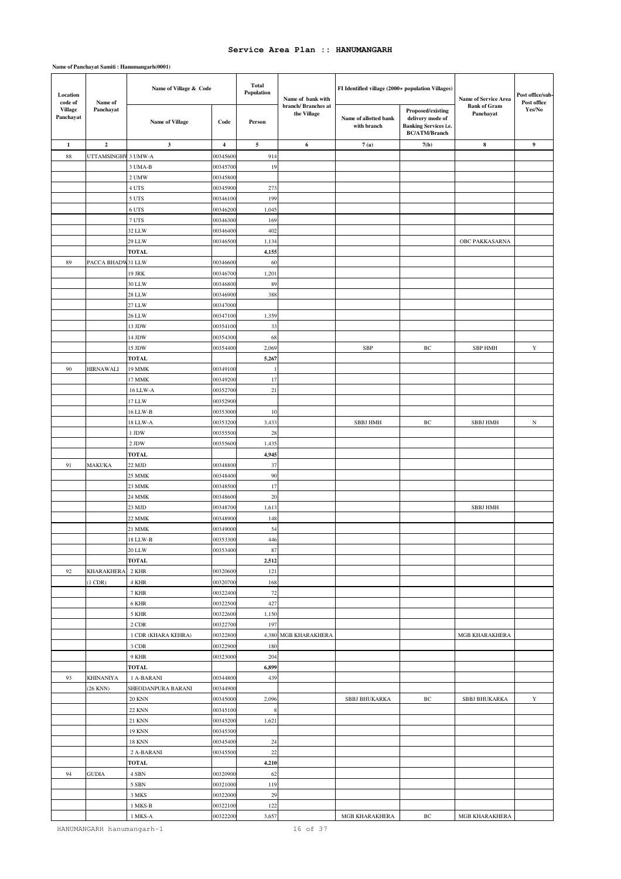#### **Name of Panchayat Samiti : Hanumangarh(0001)**

| Location<br>code of         | Name of             | Name of Village & Code       |                      | <b>Total</b><br>Population | Name of bank with                  | FI Identified village (2000+ population Villages) |                                                                                              | Name of Service Area             | Post office/sub-<br>Post office |
|-----------------------------|---------------------|------------------------------|----------------------|----------------------------|------------------------------------|---------------------------------------------------|----------------------------------------------------------------------------------------------|----------------------------------|---------------------------------|
| <b>Village</b><br>Panchayat | Panchayat           | <b>Name of Village</b>       | Code                 | Person                     | branch/ Branches at<br>the Village | Name of allotted bank<br>with branch              | Proposed/existing<br>delivery mode of<br><b>Banking Services i.e.</b><br>$\rm BC/ATM/Branch$ | <b>Bank of Gram</b><br>Panchayat | Yes/No                          |
| 1                           | $\mathbf 2$         | 3                            | 4                    | 5                          | 6                                  | 7(a)                                              | 7(b)                                                                                         | 8                                | $\boldsymbol{9}$                |
| 88                          | UTTAMSINGHV 3 UMW-A |                              | 0034560              | 914                        |                                    |                                                   |                                                                                              |                                  |                                 |
|                             |                     | 3 UMA-B                      | 00345700             | 19                         |                                    |                                                   |                                                                                              |                                  |                                 |
|                             |                     | 2 UMW                        | 00345800             |                            |                                    |                                                   |                                                                                              |                                  |                                 |
|                             |                     | 4 UTS                        | 0034590              | 273                        |                                    |                                                   |                                                                                              |                                  |                                 |
|                             |                     | 5 UTS                        | 00346100             | 199                        |                                    |                                                   |                                                                                              |                                  |                                 |
|                             |                     | 6 UTS                        | 00346200             | 1,045                      |                                    |                                                   |                                                                                              |                                  |                                 |
|                             |                     | 7 UTS                        | 00346300             | 169                        |                                    |                                                   |                                                                                              |                                  |                                 |
|                             |                     | 32 LLW                       | 00346400             | 402                        |                                    |                                                   |                                                                                              |                                  |                                 |
|                             |                     | 29 LLW                       | 0034650              | 1,134                      |                                    |                                                   |                                                                                              | OBC PAKKASARNA                   |                                 |
|                             |                     | <b>TOTAL</b>                 |                      | 4,155                      |                                    |                                                   |                                                                                              |                                  |                                 |
| 89                          | PACCA BHADW31 LLW   |                              | 00346600             | 60                         |                                    |                                                   |                                                                                              |                                  |                                 |
|                             |                     | 19 JRK                       | 00346700             | 1,201                      |                                    |                                                   |                                                                                              |                                  |                                 |
|                             |                     | 30 LLW                       | 00346800             | 89                         |                                    |                                                   |                                                                                              |                                  |                                 |
|                             |                     | <b>28 LLW</b>                | 0034690              | 388                        |                                    |                                                   |                                                                                              |                                  |                                 |
|                             |                     | 27 LLW                       | 00347000             |                            |                                    |                                                   |                                                                                              |                                  |                                 |
|                             |                     | <b>26 LLW</b>                | 00347100             | 1,359                      |                                    |                                                   |                                                                                              |                                  |                                 |
|                             |                     | 13 JDW                       | 00354100             | 33<br>68                   |                                    |                                                   |                                                                                              |                                  |                                 |
|                             |                     | 14 JDW<br>15 JDW             | 0035430<br>0035440   | 2,069                      |                                    | SBP                                               | ВC                                                                                           | <b>SBP HMH</b>                   | $\mathbf Y$                     |
|                             |                     | <b>TOTAL</b>                 |                      | 5,267                      |                                    |                                                   |                                                                                              |                                  |                                 |
| 90                          | <b>HIRNAWALI</b>    | 19 MMK                       | 00349100             | $\mathbf{1}$               |                                    |                                                   |                                                                                              |                                  |                                 |
|                             |                     | 17 MMK                       | 00349200             | 17                         |                                    |                                                   |                                                                                              |                                  |                                 |
|                             |                     | 16 LLW-A                     | 00352700             | 21                         |                                    |                                                   |                                                                                              |                                  |                                 |
|                             |                     | 17 LLW                       | 0035290              |                            |                                    |                                                   |                                                                                              |                                  |                                 |
|                             |                     | 16 LLW-B                     | 00353000             | 10                         |                                    |                                                   |                                                                                              |                                  |                                 |
|                             |                     | 18 LLW-A                     | 00353200             | 3,433                      |                                    | <b>SBBJ HMH</b>                                   | ВC                                                                                           | <b>SBBJ HMH</b>                  | $_{\rm N}$                      |
|                             |                     | 1 JDW                        | 00355500             | 28                         |                                    |                                                   |                                                                                              |                                  |                                 |
|                             |                     | 2 JDW                        | 00355600             | 1,435                      |                                    |                                                   |                                                                                              |                                  |                                 |
|                             |                     | <b>TOTAL</b>                 |                      | 4,945                      |                                    |                                                   |                                                                                              |                                  |                                 |
| 91                          | <b>MAKUKA</b>       | 22 MJD                       | 00348800             | 37                         |                                    |                                                   |                                                                                              |                                  |                                 |
|                             |                     | 25 MMK                       | 00348400             | $90\,$                     |                                    |                                                   |                                                                                              |                                  |                                 |
|                             |                     | 23 MMK                       | 0034850              | 17                         |                                    |                                                   |                                                                                              |                                  |                                 |
|                             |                     | 24 MMK                       | 00348600             | 20                         |                                    |                                                   |                                                                                              |                                  |                                 |
|                             |                     | 23 MJD                       | 0034870              | 1,613                      |                                    |                                                   |                                                                                              | <b>SBBJ HMH</b>                  |                                 |
|                             |                     | 22 MMK                       | 00348900             | 148                        |                                    |                                                   |                                                                                              |                                  |                                 |
|                             |                     | 21 MMK                       | 00349000             | 54                         |                                    |                                                   |                                                                                              |                                  |                                 |
|                             |                     | $18$ LLW-B $\,$              | 00353300             | 446                        |                                    |                                                   |                                                                                              |                                  |                                 |
|                             |                     | <b>20 LLW</b>                | 00353400             | 87                         |                                    |                                                   |                                                                                              |                                  |                                 |
|                             |                     | <b>TOTAL</b>                 |                      | 2,512                      |                                    |                                                   |                                                                                              |                                  |                                 |
| 92                          | <b>KHARAKHERA</b>   | 2 KHR                        | 00320600             | 121                        |                                    |                                                   |                                                                                              |                                  |                                 |
|                             | $(1$ CDR $)$        | 4 KHR                        | 00320700             | 168                        |                                    |                                                   |                                                                                              |                                  |                                 |
|                             |                     | 7 KHR                        | 00322400             | $72\,$                     |                                    |                                                   |                                                                                              |                                  |                                 |
|                             |                     | 6 KHR                        | 00322500             | 427                        |                                    |                                                   |                                                                                              |                                  |                                 |
|                             |                     | 5 KHR                        | 00322600             | 1,150                      |                                    |                                                   |                                                                                              |                                  |                                 |
|                             |                     | 2 CDR                        | 00322700             | 197                        |                                    |                                                   |                                                                                              |                                  |                                 |
|                             |                     | 1 CDR (KHARA KEHRA)<br>3 CDR | 00322800<br>00322900 | 180                        | 4,380 MGB KHARAKHERA               |                                                   |                                                                                              | MGB KHARAKHERA                   |                                 |
|                             |                     | 9 KHR                        | 00323000             | 204                        |                                    |                                                   |                                                                                              |                                  |                                 |
|                             |                     | <b>TOTAL</b>                 |                      | 6,899                      |                                    |                                                   |                                                                                              |                                  |                                 |
| 93                          | <b>KHINANIYA</b>    | 1 A-BARANI                   | 00344800             | 439                        |                                    |                                                   |                                                                                              |                                  |                                 |
|                             | $(26$ KNN $)$       | SHEODANPURA BARANI           | 00344900             |                            |                                    |                                                   |                                                                                              |                                  |                                 |
|                             |                     | <b>20 KNN</b>                | 00345000             | 2,096                      |                                    | <b>SBBJ BHUKARKA</b>                              | ВC                                                                                           | <b>SBBJ BHUKARKA</b>             | Y                               |
|                             |                     | <b>22 KNN</b>                | 00345100             | 8                          |                                    |                                                   |                                                                                              |                                  |                                 |
|                             |                     | <b>21 KNN</b>                | 00345200             | 1,621                      |                                    |                                                   |                                                                                              |                                  |                                 |
|                             |                     | 19 KNN                       | 00345300             |                            |                                    |                                                   |                                                                                              |                                  |                                 |
|                             |                     | <b>18 KNN</b>                | 00345400             | 24                         |                                    |                                                   |                                                                                              |                                  |                                 |
|                             |                     | 2 A-BARANI                   | 00345500             | $22\,$                     |                                    |                                                   |                                                                                              |                                  |                                 |
|                             |                     | TOTAL                        |                      | 4,210                      |                                    |                                                   |                                                                                              |                                  |                                 |
| 94                          | <b>GUDIA</b>        | 4 SBN                        | 00320900             | 62                         |                                    |                                                   |                                                                                              |                                  |                                 |
|                             |                     | 5 SBN                        | 00321000             | 119                        |                                    |                                                   |                                                                                              |                                  |                                 |
|                             |                     | 3 MKS                        | 00322000             | 29                         |                                    |                                                   |                                                                                              |                                  |                                 |
|                             |                     | 1 MKS-B                      | 00322100             | 122                        |                                    |                                                   |                                                                                              |                                  |                                 |
|                             |                     | 1 MKS-A                      | 00322200             | 3,657                      |                                    | MGB KHARAKHERA                                    | ВC                                                                                           | MGB KHARAKHERA                   |                                 |

HANUMANGARH hanumangarh-1 16 of 37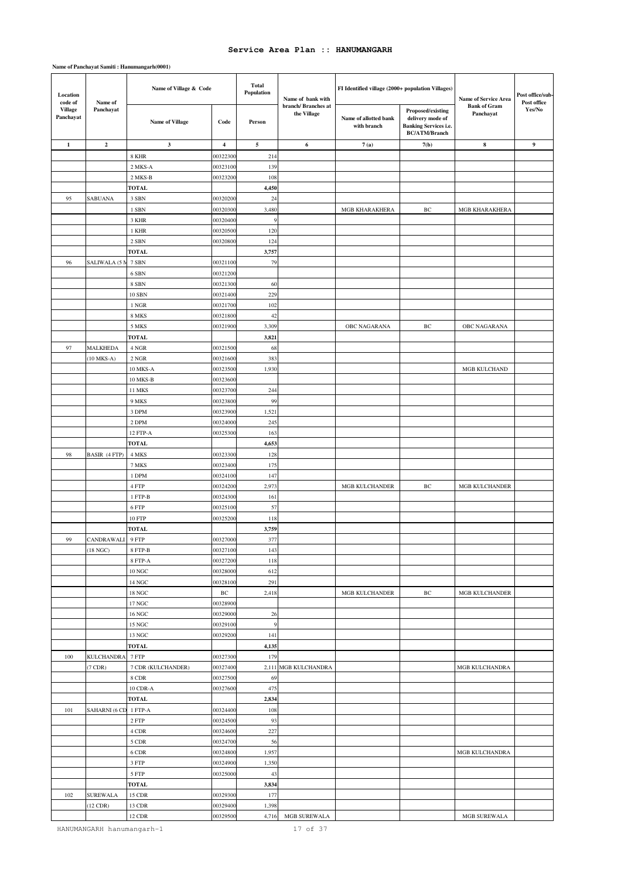### **Name of Panchayat Samiti : Hanumangarh(0001)**

| Location<br>code of<br>Name of | Name of Village & Code |                              | <b>Total</b><br>Population | Name of bank with | FI Identified village (2000+ population Villages) |                                      | Name of Service Area                                                                          | Post office/sub-<br>Post office  |        |
|--------------------------------|------------------------|------------------------------|----------------------------|-------------------|---------------------------------------------------|--------------------------------------|-----------------------------------------------------------------------------------------------|----------------------------------|--------|
| <b>Village</b><br>Panchayat    | Panchayat              | <b>Name of Village</b>       | Code                       | Person            | branch/Branches at<br>the Village                 | Name of allotted bank<br>with branch | Proposed/existing<br>delivery mode of<br><b>Banking Services i.e.</b><br><b>BC/ATM/Branch</b> | <b>Bank of Gram</b><br>Panchayat | Yes/No |
| $\mathbf 1$                    | $\overline{2}$         | 3                            | $\overline{\mathbf{4}}$    | 5                 | 6                                                 | 7(a)                                 | 7(b)                                                                                          | 8                                | 9      |
|                                |                        | 8 KHR                        | 0032230                    | 214               |                                                   |                                      |                                                                                               |                                  |        |
|                                |                        | 2 MKS-A                      | 00323100                   | 139               |                                                   |                                      |                                                                                               |                                  |        |
|                                |                        | 2 MKS-B                      | 00323200                   | 108               |                                                   |                                      |                                                                                               |                                  |        |
|                                |                        | <b>TOTAL</b>                 |                            | 4,450             |                                                   |                                      |                                                                                               |                                  |        |
| 95                             | SABUANA                | 3 SBN                        | 00320200                   | 24                |                                                   |                                      |                                                                                               |                                  |        |
|                                |                        | 1 SBN                        | 0032030                    | 3,480             |                                                   | <b>MGB KHARAKHERA</b>                | ВC                                                                                            | <b>MGB KHARAKHERA</b>            |        |
|                                |                        | 3 KHR                        | 00320400                   | 9                 |                                                   |                                      |                                                                                               |                                  |        |
|                                |                        | 1 KHR                        | 00320500                   | 120               |                                                   |                                      |                                                                                               |                                  |        |
|                                |                        | 2 SBN                        | 0032080                    | 124               |                                                   |                                      |                                                                                               |                                  |        |
|                                |                        | <b>TOTAL</b>                 |                            | 3,757             |                                                   |                                      |                                                                                               |                                  |        |
| 96                             | SALIWALA (5 M          | 7 SBN                        | 00321100                   | 79                |                                                   |                                      |                                                                                               |                                  |        |
|                                |                        | 6 SBN                        | 00321200                   |                   |                                                   |                                      |                                                                                               |                                  |        |
|                                |                        | 8 SBN                        | 00321300                   | 60                |                                                   |                                      |                                                                                               |                                  |        |
|                                |                        | 10 SBN                       | 00321400                   | 229               |                                                   |                                      |                                                                                               |                                  |        |
|                                |                        | 1 NGR                        | 00321700                   | 102               |                                                   |                                      |                                                                                               |                                  |        |
|                                |                        | 8 MKS<br>5 MKS               | 00321800<br>00321900       | 42<br>3,309       |                                                   | OBC NAGARANA                         | ВC                                                                                            | OBC NAGARANA                     |        |
|                                |                        | <b>TOTAL</b>                 |                            | 3,821             |                                                   |                                      |                                                                                               |                                  |        |
| 97                             | <b>MALKHEDA</b>        | 4 NGR                        | 00321500                   | 68                |                                                   |                                      |                                                                                               |                                  |        |
|                                | $(10$ MKS-A $)$        | 2 NGR                        | 00321600                   | 383               |                                                   |                                      |                                                                                               |                                  |        |
|                                |                        | 10 MKS-A                     | 00323500                   | 1,930             |                                                   |                                      |                                                                                               | MGB KULCHAND                     |        |
|                                |                        | 10 MKS-B                     | 00323600                   |                   |                                                   |                                      |                                                                                               |                                  |        |
|                                |                        | <b>11 MKS</b>                | 00323700                   | 244               |                                                   |                                      |                                                                                               |                                  |        |
|                                |                        | 9 MKS                        | 00323800                   | 99                |                                                   |                                      |                                                                                               |                                  |        |
|                                |                        | 3 DPM                        | 00323900                   | 1,521             |                                                   |                                      |                                                                                               |                                  |        |
|                                |                        | 2 DPM                        | 00324000                   | 245               |                                                   |                                      |                                                                                               |                                  |        |
|                                |                        | 12 FTP-A                     | 00325300                   | 163               |                                                   |                                      |                                                                                               |                                  |        |
|                                |                        | <b>TOTAL</b>                 |                            | 4,653             |                                                   |                                      |                                                                                               |                                  |        |
| 98                             | BASIR (4 FTP)          | 4 MKS                        | 00323300                   | 128               |                                                   |                                      |                                                                                               |                                  |        |
|                                |                        | 7 MKS                        | 00323400                   | 175               |                                                   |                                      |                                                                                               |                                  |        |
|                                |                        | 1 DPM                        | 00324100                   | 147               |                                                   |                                      |                                                                                               |                                  |        |
|                                |                        | 4 FTP                        | 00324200                   | 2,973             |                                                   | MGB KULCHANDER                       | ВC                                                                                            | MGB KULCHANDER                   |        |
|                                |                        | 1 FTP-B                      | 00324300                   | 161               |                                                   |                                      |                                                                                               |                                  |        |
|                                |                        | 6 FTP                        | 00325100                   | 57                |                                                   |                                      |                                                                                               |                                  |        |
|                                |                        | 10 FTP                       | 00325200                   | 118               |                                                   |                                      |                                                                                               |                                  |        |
|                                |                        | <b>TOTAL</b>                 |                            | 3,759             |                                                   |                                      |                                                                                               |                                  |        |
| 99                             | CANDRAWALI 9 FTP       |                              | 00327000                   | 377               |                                                   |                                      |                                                                                               |                                  |        |
|                                | (18 NGC)               | 8 FTP-B                      | 00327100                   | 143               |                                                   |                                      |                                                                                               |                                  |        |
|                                |                        | 8 FTP-A                      | 00327200                   | 118               |                                                   |                                      |                                                                                               |                                  |        |
|                                |                        | $10\,\mathrm{NGC}$           | 00328000                   | 612               |                                                   |                                      |                                                                                               |                                  |        |
|                                |                        | 14 NGC                       | 00328100                   | 291               |                                                   |                                      |                                                                                               |                                  |        |
|                                |                        | 18 NGC<br>$17\,\mathrm{NGC}$ | $\rm BC$<br>00328900       | 2,418             |                                                   | MGB KULCHANDER                       | ВC                                                                                            | <b>MGB KULCHANDER</b>            |        |
|                                |                        | $16\,\mathrm{NGC}$           | 00329000                   | 26                |                                                   |                                      |                                                                                               |                                  |        |
|                                |                        | 15 NGC                       | 00329100                   | $\overline{9}$    |                                                   |                                      |                                                                                               |                                  |        |
|                                |                        | 13 NGC                       | 00329200                   | 141               |                                                   |                                      |                                                                                               |                                  |        |
|                                |                        | <b>TOTAL</b>                 |                            | 4,135             |                                                   |                                      |                                                                                               |                                  |        |
| 100                            | <b>KULCHANDRA</b>      | 7 FTP                        | 00327300                   | 179               |                                                   |                                      |                                                                                               |                                  |        |
|                                | $(7$ CDR)              | 7 CDR (KULCHANDER)           | 00327400                   |                   | 2,111 MGB KULCHANDRA                              |                                      |                                                                                               | MGB KULCHANDRA                   |        |
|                                |                        | 8 CDR                        | 00327500                   | 69                |                                                   |                                      |                                                                                               |                                  |        |
|                                |                        | 10 CDR-A                     | 00327600                   | 475               |                                                   |                                      |                                                                                               |                                  |        |
|                                |                        | TOTAL                        |                            | 2,834             |                                                   |                                      |                                                                                               |                                  |        |
| 101                            | SAHARNI (6 CD          | 1 FTP-A                      | 00324400                   | 108               |                                                   |                                      |                                                                                               |                                  |        |
|                                |                        | $2$ ${\rm FTP}$              | 00324500                   | 93                |                                                   |                                      |                                                                                               |                                  |        |
|                                |                        | 4 CDR                        | 00324600                   | 227               |                                                   |                                      |                                                                                               |                                  |        |
|                                |                        | 5 CDR                        | 00324700                   | 56                |                                                   |                                      |                                                                                               |                                  |        |
|                                |                        | 6 CDR                        | 00324800                   | 1,957             |                                                   |                                      |                                                                                               | MGB KULCHANDRA                   |        |
|                                |                        | $3\ \mathrm{FTP}$            | 00324900                   | 1,350             |                                                   |                                      |                                                                                               |                                  |        |
|                                |                        | $5$ ${\rm FTP}$              | 00325000                   | 43                |                                                   |                                      |                                                                                               |                                  |        |
|                                |                        | <b>TOTAL</b>                 |                            | 3,834             |                                                   |                                      |                                                                                               |                                  |        |
| 102                            | <b>SUREWALA</b>        | 15 CDR                       | 00329300                   | 177               |                                                   |                                      |                                                                                               |                                  |        |
|                                | $(12$ CDR)             | 13 CDR                       | 00329400                   | 1,398             |                                                   |                                      |                                                                                               |                                  |        |
|                                |                        | 12 CDR                       | 00329500                   | 4,716             | MGB SUREWALA                                      |                                      |                                                                                               | MGB SUREWALA                     |        |

HANUMANGARH hanumangarh-1 17 of 37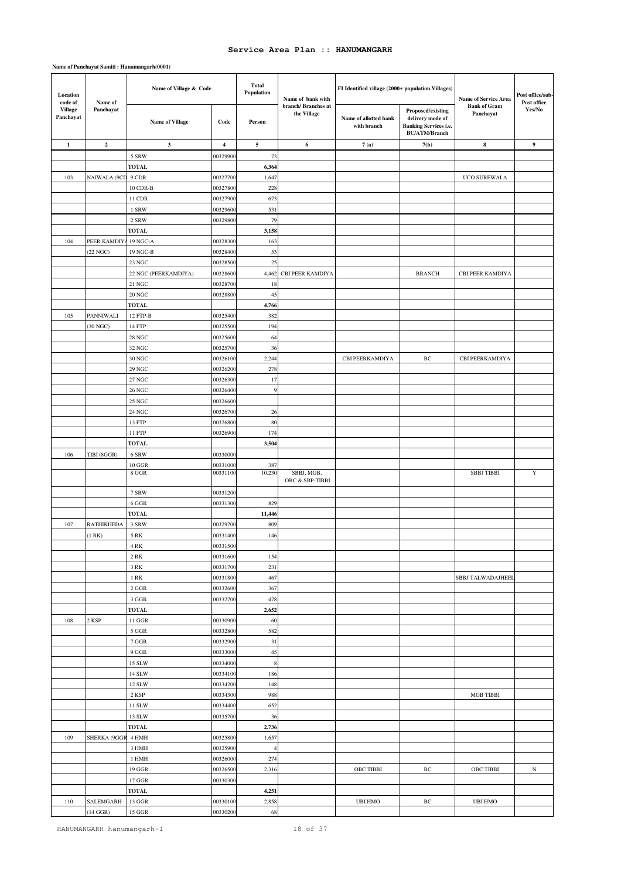| Location<br>code of         | Name of             | Name of Village & Code           |                         | <b>Total</b><br>Population | Name of bank with                 | FI Identified village (2000+ population Villages) |                                                                                        | Post office/sub-<br>Name of Service Area |                       |
|-----------------------------|---------------------|----------------------------------|-------------------------|----------------------------|-----------------------------------|---------------------------------------------------|----------------------------------------------------------------------------------------|------------------------------------------|-----------------------|
| <b>Village</b><br>Panchayat | Panchayat           | Name of Village                  | Code                    | Person                     | branch/Branches at<br>the Village | Name of allotted bank<br>with branch              | Proposed/existing<br>delivery mode of<br>Banking Services i.e.<br><b>BC/ATM/Branch</b> | <b>Bank of Gram</b><br>Panchayat         | Post office<br>Yes/No |
| $\mathbf{1}$                | $\overline{2}$      | $\mathbf{3}$                     | $\overline{\mathbf{4}}$ | 5                          | 6                                 | 7(a)                                              | 7(b)                                                                                   | 8                                        | $\boldsymbol{9}$      |
|                             |                     | 5 SRW                            | 0032990                 | 73                         |                                   |                                                   |                                                                                        |                                          |                       |
|                             |                     | <b>TOTAL</b>                     |                         | 6,364                      |                                   |                                                   |                                                                                        |                                          |                       |
| 103                         | <b>NAIWALA (9CD</b> | 9 CDR                            | 0032770                 | 1,647                      |                                   |                                                   |                                                                                        | UCO SUREWALA                             |                       |
|                             |                     | 10 CDR-B                         | 00327800                | 228                        |                                   |                                                   |                                                                                        |                                          |                       |
|                             |                     | 11 CDR                           | 00327900                | 673                        |                                   |                                                   |                                                                                        |                                          |                       |
|                             |                     | 1 SRW                            | 0032960                 | 531                        |                                   |                                                   |                                                                                        |                                          |                       |
|                             |                     | 2 SRW                            | 00329800                | 79                         |                                   |                                                   |                                                                                        |                                          |                       |
|                             |                     | <b>TOTAL</b>                     |                         | 3,158                      |                                   |                                                   |                                                                                        |                                          |                       |
| 104                         | PEER KAMDIYA        | 19 NGC-A                         | 00328300                | 163                        |                                   |                                                   |                                                                                        |                                          |                       |
|                             | (22 NGC)            | 19 NGC-B                         | 00328400                | 53                         |                                   |                                                   |                                                                                        |                                          |                       |
|                             |                     | 23 NGC                           | 0032850                 | $25\,$                     |                                   |                                                   |                                                                                        |                                          |                       |
|                             |                     | 22 NGC (PEERKAMDIYA)             | 00328600                | 4,462                      | CBI PEER KAMDIYA                  |                                                   | <b>BRANCH</b>                                                                          | <b>CBI PEER KAMDIYA</b>                  |                       |
|                             |                     | 21 NGC                           | 00328700                | 18                         |                                   |                                                   |                                                                                        |                                          |                       |
|                             |                     | $20\,\mathrm{NGC}$               | 00328800                | 45                         |                                   |                                                   |                                                                                        |                                          |                       |
|                             |                     | <b>TOTAL</b>                     |                         | 4,766                      |                                   |                                                   |                                                                                        |                                          |                       |
| 105                         | PANNIWALI           | 12 FTP-B                         | 0032540                 | 382                        |                                   |                                                   |                                                                                        |                                          |                       |
|                             | (30 NGC)            | 14 FTP                           | 00325500                | 194                        |                                   |                                                   |                                                                                        |                                          |                       |
|                             |                     | 28 NGC                           | 0032560                 | 64                         |                                   |                                                   |                                                                                        |                                          |                       |
|                             |                     | 32 NGC                           | 00325700                | 36                         |                                   |                                                   |                                                                                        |                                          |                       |
|                             |                     | 30 NGC                           | 00326100                | 2,244                      |                                   | CBI PEERKAMDIYA                                   | ВC                                                                                     | CBI PEERKAMDIYA                          |                       |
|                             |                     | 29 NGC                           | 0032620                 | 278                        |                                   |                                                   |                                                                                        |                                          |                       |
|                             |                     | 27 NGC                           | 00326300                | 17                         |                                   |                                                   |                                                                                        |                                          |                       |
|                             |                     | 26 NGC                           | 00326400                | 9                          |                                   |                                                   |                                                                                        |                                          |                       |
|                             |                     | 25 NGC                           | 00326600                |                            |                                   |                                                   |                                                                                        |                                          |                       |
|                             |                     | 24 NGC                           | 00326700                | 26                         |                                   |                                                   |                                                                                        |                                          |                       |
|                             |                     | 13 FTP<br>11 FTP                 | 0032680<br>00326900     | $80\,$<br>174              |                                   |                                                   |                                                                                        |                                          |                       |
|                             |                     | <b>TOTAL</b>                     |                         | 3,504                      |                                   |                                                   |                                                                                        |                                          |                       |
| 106                         | TIBI (8GGR)         | 6 SRW                            | 00330000                |                            |                                   |                                                   |                                                                                        |                                          |                       |
|                             |                     | 10 GGR                           | 00331000                | 387                        |                                   |                                                   |                                                                                        |                                          |                       |
|                             |                     | $8\;\mathrm{GGR}$                | 00331100                | 10,230                     | SBBJ, MGB,                        |                                                   |                                                                                        | <b>SBBJ TIBBI</b>                        | Y                     |
|                             |                     |                                  |                         |                            | OBC & SBP-TIBBI                   |                                                   |                                                                                        |                                          |                       |
|                             |                     | 7 SRW                            | 00331200                |                            |                                   |                                                   |                                                                                        |                                          |                       |
|                             |                     | 6 GGR                            | 00331300                | 829                        |                                   |                                                   |                                                                                        |                                          |                       |
|                             |                     | <b>TOTAL</b>                     |                         | 11,446                     |                                   |                                                   |                                                                                        |                                          |                       |
| 107                         | <b>RATHIKHEDA</b>   | 3 SRW                            | 0032970                 | 809                        |                                   |                                                   |                                                                                        |                                          |                       |
|                             | (1 RK)              | 5 RK                             | 00331400                | 146                        |                                   |                                                   |                                                                                        |                                          |                       |
|                             |                     | 4 RK                             | 00331500                |                            |                                   |                                                   |                                                                                        |                                          |                       |
|                             |                     | $2\;{\rm RK}$                    | 00331600                | 154                        |                                   |                                                   |                                                                                        |                                          |                       |
|                             |                     | $3\ \mathrm{RK}$                 | 00331700                | 231                        |                                   |                                                   |                                                                                        |                                          |                       |
|                             |                     | 1 RK                             | 00331800                | 467                        |                                   |                                                   |                                                                                        | <b>SBBJ TALWADAJHEEI</b>                 |                       |
|                             |                     | 2 GGR                            | 00332600                | 367                        |                                   |                                                   |                                                                                        |                                          |                       |
|                             |                     | $3~\mathrm{GGR}$<br><b>TOTAL</b> | 00332700                | 478                        |                                   |                                                   |                                                                                        |                                          |                       |
| 108                         | 2 KSP               | $11\,\mathrm{GGR}$               | 00330900                | 2,652<br>60                |                                   |                                                   |                                                                                        |                                          |                       |
|                             |                     | 5 GGR                            | 00332800                | 582                        |                                   |                                                   |                                                                                        |                                          |                       |
|                             |                     | 7 GGR                            | 00332900                | 31                         |                                   |                                                   |                                                                                        |                                          |                       |
|                             |                     | $9\ \mathrm{GGR}$                | 00333000                | 45                         |                                   |                                                   |                                                                                        |                                          |                       |
|                             |                     | 15 SLW                           | 00334000                | $\,$ 8 $\,$                |                                   |                                                   |                                                                                        |                                          |                       |
|                             |                     | 14 SLW                           | 00334100                | 186                        |                                   |                                                   |                                                                                        |                                          |                       |
|                             |                     | 12 SLW                           | 00334200                | 148                        |                                   |                                                   |                                                                                        |                                          |                       |
|                             |                     | 2 KSP                            | 00334300                | 988                        |                                   |                                                   |                                                                                        | MGB TIBBI                                |                       |
|                             |                     | 11 SLW                           | 00334400                | 652                        |                                   |                                                   |                                                                                        |                                          |                       |
|                             |                     | 13 SLW                           | 00335700                | 36                         |                                   |                                                   |                                                                                        |                                          |                       |
|                             |                     | <b>TOTAL</b>                     |                         | 2,736                      |                                   |                                                   |                                                                                        |                                          |                       |
| 109                         | SHERKA (9GGR        | 4 HMH                            | 00325800                | 1,657                      |                                   |                                                   |                                                                                        |                                          |                       |
|                             |                     | 3 HMH                            | 00325900                | $\overline{4}$             |                                   |                                                   |                                                                                        |                                          |                       |
|                             |                     | 1 HMH                            | 00326000                | 274                        |                                   |                                                   |                                                                                        |                                          |                       |
|                             |                     | 19 GGR                           | 00326500                | 2,316                      |                                   | <b>OBC TIBBI</b>                                  | $_{\mathrm{BC}}$                                                                       | OBC TIBBI                                | $_{\rm N}$            |
|                             |                     | $17\,\mathrm{GGR}$               | 00330300                |                            |                                   |                                                   |                                                                                        |                                          |                       |
|                             |                     | TOTAL                            |                         | 4,251                      |                                   |                                                   |                                                                                        |                                          |                       |
| 110                         | SALEMGARH           | 13 GGR                           | 00330100                | 2,858                      |                                   | <b>UBI HMO</b>                                    | $\rm{BC}$                                                                              | <b>UBI HMO</b>                           |                       |
|                             | $(14 \text{ GGR})$  | 15 GGR                           | 00330200                | 68                         |                                   |                                                   |                                                                                        |                                          |                       |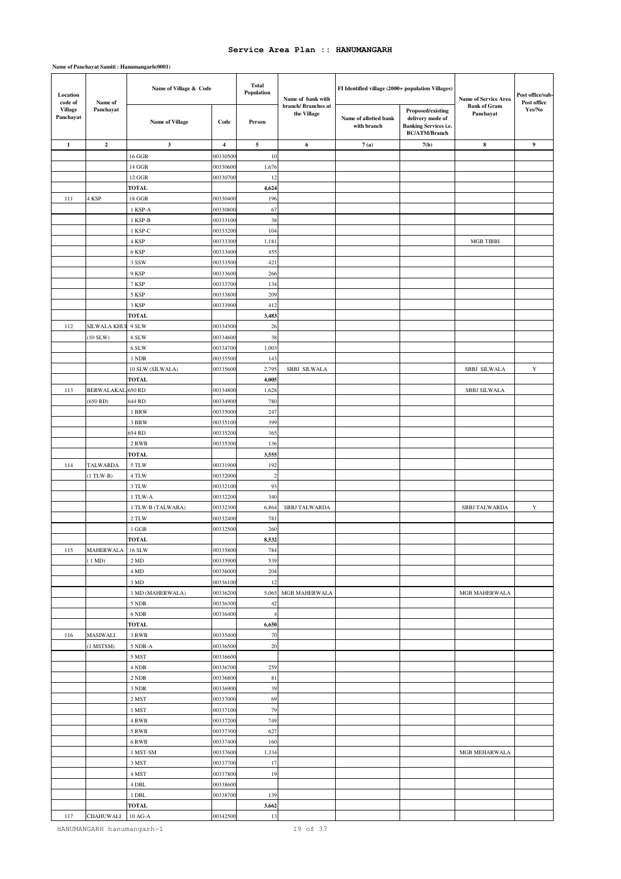#### **Name of Panchayat Samiti : Hanumangarh(0001)**

| Location     | code of<br>Name of<br><b>Village</b><br>Panchayat | Name of Village & Code |                         | <b>Total</b><br>Population | Name of bank with                  | FI Identified village (2000+ population Villages) |                                                                                               | Name of Service Area             | Post office/sub-<br>Post office |
|--------------|---------------------------------------------------|------------------------|-------------------------|----------------------------|------------------------------------|---------------------------------------------------|-----------------------------------------------------------------------------------------------|----------------------------------|---------------------------------|
| Panchayat    |                                                   | <b>Name of Village</b> | Code                    | Person                     | branch/ Branches at<br>the Village | Name of allotted bank<br>with branch              | Proposed/existing<br>delivery mode of<br><b>Banking Services i.e.</b><br><b>BC/ATM/Branch</b> | <b>Bank of Gram</b><br>Panchayat | Yes/No                          |
| $\mathbf{1}$ | $\overline{2}$                                    | $\mathbf{3}$           | $\overline{\mathbf{4}}$ | $\sim$                     | 6                                  | 7(a)                                              | 7(b)                                                                                          | 8                                | 9                               |
|              |                                                   | 16 GGR                 | 0033050                 | 10                         |                                    |                                                   |                                                                                               |                                  |                                 |
|              |                                                   | 14 GGR                 | 0033060                 | 1,676                      |                                    |                                                   |                                                                                               |                                  |                                 |
|              |                                                   | 12 GGR                 | 00330700                | 12                         |                                    |                                                   |                                                                                               |                                  |                                 |
|              |                                                   | <b>TOTAL</b>           |                         | 4,624                      |                                    |                                                   |                                                                                               |                                  |                                 |
| 111          | 4 KSP                                             | <b>18 GGR</b>          | 00330400                | 196                        |                                    |                                                   |                                                                                               |                                  |                                 |
|              |                                                   | 1 KSP-A                | 0033080                 | 67                         |                                    |                                                   |                                                                                               |                                  |                                 |
|              |                                                   | 1 KSP-B                | 00333100                | 38                         |                                    |                                                   |                                                                                               |                                  |                                 |
|              |                                                   | 1 KSP-C                | 00333200                | 104                        |                                    |                                                   |                                                                                               |                                  |                                 |
|              |                                                   | 4 KSP                  | 00333300<br>00333400    | 1,181                      |                                    |                                                   |                                                                                               | <b>MGB TIBBI</b>                 |                                 |
|              |                                                   | 6 KSP                  | 0033350                 | 455<br>421                 |                                    |                                                   |                                                                                               |                                  |                                 |
|              |                                                   | 3 SSW<br>9 KSP         | 00333600                | 266                        |                                    |                                                   |                                                                                               |                                  |                                 |
|              |                                                   | 7 KSP                  | 00333700                | 134                        |                                    |                                                   |                                                                                               |                                  |                                 |
|              |                                                   | 5 KSP                  | 00333800                | 209                        |                                    |                                                   |                                                                                               |                                  |                                 |
|              |                                                   | 3 KSP                  | 00333900                | 412                        |                                    |                                                   |                                                                                               |                                  |                                 |
|              |                                                   | <b>TOTAL</b>           |                         | 3,483                      |                                    |                                                   |                                                                                               |                                  |                                 |
| 112          | SILWALA KHUI                                      | 9 SLW                  | 00334500                | 26                         |                                    |                                                   |                                                                                               |                                  |                                 |
|              | $(10$ SLW $)$                                     | 8 SLW                  | 00334600                | 38                         |                                    |                                                   |                                                                                               |                                  |                                 |
|              |                                                   | 6 SLW                  | 00334700                | 1,003                      |                                    |                                                   |                                                                                               |                                  |                                 |
|              |                                                   | 1 NDR                  | 00335500                | 143                        |                                    |                                                   |                                                                                               |                                  |                                 |
|              |                                                   | 10 SLW (SILWALA)       | 0033560                 | 2,795                      | <b>SBBJ SILWALA</b>                |                                                   |                                                                                               | SBBJ SILWALA                     | $\mathbf Y$                     |
|              |                                                   | <b>TOTAL</b>           |                         | 4,005                      |                                    |                                                   |                                                                                               |                                  |                                 |
| 113          | <b>BERWALAKAL</b>                                 | 650 RD                 | 00334800                | 1,628                      |                                    |                                                   |                                                                                               | SBBJ SILWALA                     |                                 |
|              | $(650$ RD)                                        | 644 RD                 | 00334900                | 780                        |                                    |                                                   |                                                                                               |                                  |                                 |
|              |                                                   | 1 BRW                  | 00335000                | 247                        |                                    |                                                   |                                                                                               |                                  |                                 |
|              |                                                   | 3 BRW                  | 0033510                 | 399                        |                                    |                                                   |                                                                                               |                                  |                                 |
|              |                                                   | 654 RD                 | 00335200                | 365                        |                                    |                                                   |                                                                                               |                                  |                                 |
|              |                                                   | 2 RWB                  | 00335300                | 136                        |                                    |                                                   |                                                                                               |                                  |                                 |
|              |                                                   | <b>TOTAL</b>           |                         | 3,555                      |                                    |                                                   |                                                                                               |                                  |                                 |
| 114          | <b>TALWARDA</b>                                   | 5 TLW                  | 00331900                | 192                        |                                    |                                                   |                                                                                               |                                  |                                 |
|              | $(1$ TLW-B)                                       | 4 TLW                  | 0033200                 | $\sqrt{2}$                 |                                    |                                                   |                                                                                               |                                  |                                 |
|              |                                                   | 3 TLW                  | 00332100                | 93                         |                                    |                                                   |                                                                                               |                                  |                                 |
|              |                                                   | 1 TLW-A                | 00332200                | 340                        |                                    |                                                   |                                                                                               |                                  |                                 |
|              |                                                   | 1 TLW-B (TALWARA)      | 00332300                | 6,864                      | <b>SBBJ TALWARDA</b>               |                                                   |                                                                                               | <b>SBBJ TALWARDA</b>             | Y                               |
|              |                                                   | 2 TLW<br>1 GGR         | 00332400<br>00332500    | 781<br>260                 |                                    |                                                   |                                                                                               |                                  |                                 |
|              |                                                   | <b>TOTAL</b>           |                         | 8,532                      |                                    |                                                   |                                                                                               |                                  |                                 |
| 115          | MAHERWALA                                         | <b>16 SLW</b>          | 00335800                | 784                        |                                    |                                                   |                                                                                               |                                  |                                 |
|              | $(1 \text{ MD})$                                  | 2 MD                   | 00335900                | 539                        |                                    |                                                   |                                                                                               |                                  |                                 |
|              |                                                   | 4 MD                   | 00336000                | 204                        |                                    |                                                   |                                                                                               |                                  |                                 |
|              |                                                   | 3 MD                   | 00336100                | 12                         |                                    |                                                   |                                                                                               |                                  |                                 |
|              |                                                   | 1 MD (MAHERWALA)       | 00336200                | 5,065                      | MGB MAHERWALA                      |                                                   |                                                                                               | MGB MAHERWALA                    |                                 |
|              |                                                   | 5 NDR                  | 00336300                | 42                         |                                    |                                                   |                                                                                               |                                  |                                 |
|              |                                                   | 6 NDR                  | 00336400                | $\overline{a}$             |                                    |                                                   |                                                                                               |                                  |                                 |
|              |                                                   | <b>TOTAL</b>           |                         | 6,650                      |                                    |                                                   |                                                                                               |                                  |                                 |
| 116          | MASIWALI                                          | 3 RWB                  | 00335400                | 70                         |                                    |                                                   |                                                                                               |                                  |                                 |
|              | $(1$ MSTSM $)$                                    | 5 NDR-A                | 00336500                | 20                         |                                    |                                                   |                                                                                               |                                  |                                 |
|              |                                                   | 5 MST                  | 00336600                |                            |                                    |                                                   |                                                                                               |                                  |                                 |
|              |                                                   | 4 NDR                  | 00336700                | 259                        |                                    |                                                   |                                                                                               |                                  |                                 |
|              |                                                   | 2 NDR                  | 00336800                | 81                         |                                    |                                                   |                                                                                               |                                  |                                 |
|              |                                                   | 3 NDR                  | 00336900                | 39                         |                                    |                                                   |                                                                                               |                                  |                                 |
|              |                                                   | 2 MST                  | 00337000                | 69                         |                                    |                                                   |                                                                                               |                                  |                                 |
|              |                                                   | 1 MST                  | 00337100                | 79                         |                                    |                                                   |                                                                                               |                                  |                                 |
|              |                                                   | 4 RWB<br>5 RWB         | 00337200<br>00337300    | 749<br>627                 |                                    |                                                   |                                                                                               |                                  |                                 |
|              |                                                   | 6 RWB                  | 00337400                | 160                        |                                    |                                                   |                                                                                               |                                  |                                 |
|              |                                                   | 1 MST-SM               | 00337600                | 1,334                      |                                    |                                                   |                                                                                               | MGB MEHARWALA                    |                                 |
|              |                                                   | 3 MST                  | 00337700                | 17                         |                                    |                                                   |                                                                                               |                                  |                                 |
|              |                                                   | 4 MST                  | 00337800                | 19                         |                                    |                                                   |                                                                                               |                                  |                                 |
|              |                                                   | 4 DBL                  | 00338600                |                            |                                    |                                                   |                                                                                               |                                  |                                 |
|              |                                                   | 1 DBL                  | 00338700                | 139                        |                                    |                                                   |                                                                                               |                                  |                                 |
|              |                                                   | <b>TOTAL</b>           |                         | 3,662                      |                                    |                                                   |                                                                                               |                                  |                                 |
| 117          | <b>CHAHUWALI</b>                                  | $10$ AG-A              | 00342500                | 13                         |                                    |                                                   |                                                                                               |                                  |                                 |

HANUMANGARH hanumangarh-1 19 of 37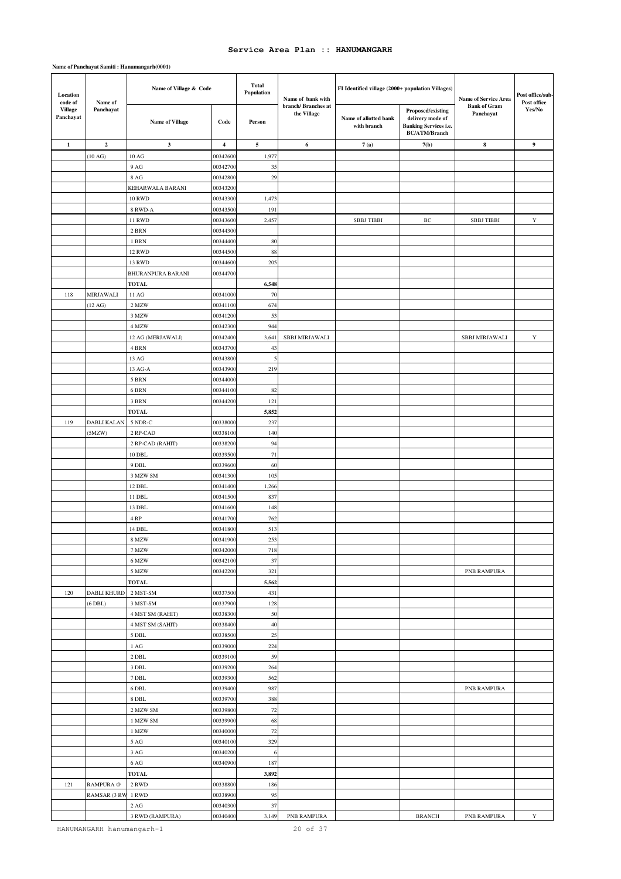| Location<br>code of<br>Name of | Name of Village & Code |                          | <b>Total</b><br>Population | Name of bank with | FI Identified village (2000+ population Villages) |                                      | Name of Service Area                                                                          | Post office/sub-<br>Post office  |             |
|--------------------------------|------------------------|--------------------------|----------------------------|-------------------|---------------------------------------------------|--------------------------------------|-----------------------------------------------------------------------------------------------|----------------------------------|-------------|
| <b>Village</b><br>Panchayat    | Panchayat              | <b>Name of Village</b>   | Code                       | Person            | branch/Branches at<br>the Village                 | Name of allotted bank<br>with branch | Proposed/existing<br>delivery mode of<br><b>Banking Services i.e.</b><br><b>BC/ATM/Branch</b> | <b>Bank of Gram</b><br>Panchayat | Yes/No      |
| $\mathbf{1}$                   | $\boldsymbol{2}$       | 3                        | $\overline{\mathbf{4}}$    | 5                 | 6                                                 | 7(a)                                 | 7(b)                                                                                          | 8                                | 9           |
|                                | $(10 \text{ AG})$      | $10\ \mathrm{AG}$        | 0034260                    | 1,977             |                                                   |                                      |                                                                                               |                                  |             |
|                                |                        | 9 AG                     | 00342700                   | 35                |                                                   |                                      |                                                                                               |                                  |             |
|                                |                        | 8 AG                     | 00342800                   | 29                |                                                   |                                      |                                                                                               |                                  |             |
|                                |                        | KEHARWALA BARANI         | 00343200                   |                   |                                                   |                                      |                                                                                               |                                  |             |
|                                |                        | <b>10 RWD</b>            | 0034330                    | 1,473             |                                                   |                                      |                                                                                               |                                  |             |
|                                |                        | 8 RWD-A                  | 00343500                   | 191               |                                                   |                                      |                                                                                               |                                  |             |
|                                |                        | <b>11 RWD</b>            | 00343600                   | 2,457             |                                                   | <b>SBBJ TIBBI</b>                    | ВC                                                                                            | <b>SBBJ TIBBI</b>                | $\mathbf Y$ |
|                                |                        | 2 BRN                    | 00344300                   |                   |                                                   |                                      |                                                                                               |                                  |             |
|                                |                        | 1 BRN                    | 00344400                   | 80                |                                                   |                                      |                                                                                               |                                  |             |
|                                |                        | <b>12 RWD</b>            | 00344500                   | 88                |                                                   |                                      |                                                                                               |                                  |             |
|                                |                        | 13 RWD                   | 0034460                    | 205               |                                                   |                                      |                                                                                               |                                  |             |
|                                |                        | <b>BHURANPURA BARANI</b> | 00344700                   |                   |                                                   |                                      |                                                                                               |                                  |             |
|                                |                        | <b>TOTAL</b>             |                            | 6,548             |                                                   |                                      |                                                                                               |                                  |             |
| 118                            | MIRJAWALI              | $11\,\mathrm{AG}$        | 00341000                   | 70                |                                                   |                                      |                                                                                               |                                  |             |
|                                | $(12 \text{ AG})$      | 2 MZW                    | 0034110                    | 674               |                                                   |                                      |                                                                                               |                                  |             |
|                                |                        | 3 MZW                    | 00341200                   | 53                |                                                   |                                      |                                                                                               |                                  |             |
|                                |                        | 4 MZW                    | 00342300                   | 944               |                                                   |                                      |                                                                                               |                                  |             |
|                                |                        | 12 AG (MERJAWALI)        | 00342400                   | 3,641             | SBBJ MIRJAWALI                                    |                                      |                                                                                               | <b>SBBJ MIRJAWALI</b>            | Y           |
|                                |                        | 4 BRN                    | 00343700                   | 43                |                                                   |                                      |                                                                                               |                                  |             |
|                                |                        | 13 AG                    | 00343800                   | 5                 |                                                   |                                      |                                                                                               |                                  |             |
|                                |                        | 13 AG-A                  | 00343900                   | 219               |                                                   |                                      |                                                                                               |                                  |             |
|                                |                        | 5 BRN<br>6 BRN           | 00344000<br>00344100       | 82                |                                                   |                                      |                                                                                               |                                  |             |
|                                |                        | 3 BRN                    | 00344200                   | 121               |                                                   |                                      |                                                                                               |                                  |             |
|                                |                        | <b>TOTAL</b>             |                            | 5,852             |                                                   |                                      |                                                                                               |                                  |             |
| 119                            | DABLI KALAN            | 5 NDR-C                  | 00338000                   | 237               |                                                   |                                      |                                                                                               |                                  |             |
|                                | (5MZW)                 | 2 RP-CAD                 | 00338100                   | 140               |                                                   |                                      |                                                                                               |                                  |             |
|                                |                        | 2 RP-CAD (RAHIT)         | 00338200                   | 94                |                                                   |                                      |                                                                                               |                                  |             |
|                                |                        | 10 DBL                   | 00339500                   | 71                |                                                   |                                      |                                                                                               |                                  |             |
|                                |                        | 9 DBL                    | 00339600                   | 60                |                                                   |                                      |                                                                                               |                                  |             |
|                                |                        | 3 MZW SM                 | 00341300                   | 105               |                                                   |                                      |                                                                                               |                                  |             |
|                                |                        | 12 DBL                   | 00341400                   | 1,266             |                                                   |                                      |                                                                                               |                                  |             |
|                                |                        | 11 DBL                   | 00341500                   | 837               |                                                   |                                      |                                                                                               |                                  |             |
|                                |                        | 13 DBL                   | 00341600                   | 148               |                                                   |                                      |                                                                                               |                                  |             |
|                                |                        | 4 RP                     | 0034170                    | 762               |                                                   |                                      |                                                                                               |                                  |             |
|                                |                        | 14 DBL                   | 00341800                   | 513               |                                                   |                                      |                                                                                               |                                  |             |
|                                |                        | 8 MZW                    | 00341900                   | 253               |                                                   |                                      |                                                                                               |                                  |             |
|                                |                        | 7 MZW                    | 00342000                   | 718               |                                                   |                                      |                                                                                               |                                  |             |
|                                |                        | 6 MZW                    | 00342100                   | 37                |                                                   |                                      |                                                                                               |                                  |             |
|                                |                        | 5 MZW                    | 00342200                   | 321               |                                                   |                                      |                                                                                               | PNB RAMPURA                      |             |
|                                |                        | <b>TOTAL</b>             |                            | 5,562             |                                                   |                                      |                                                                                               |                                  |             |
| 120                            | DABLI KHURD            | 2 MST-SM                 | 00337500                   | 431               |                                                   |                                      |                                                                                               |                                  |             |
|                                | (6 DBL)                | 3 MST-SM                 | 00337900                   | 128               |                                                   |                                      |                                                                                               |                                  |             |
|                                |                        | 4 MST SM (RAHIT)         | 00338300                   | 50                |                                                   |                                      |                                                                                               |                                  |             |
|                                |                        | 4 MST SM (SAHIT)         | 00338400                   | 40                |                                                   |                                      |                                                                                               |                                  |             |
|                                |                        | 5 DBL                    | 00338500                   | 25                |                                                   |                                      |                                                                                               |                                  |             |
|                                |                        | $1\ \mathrm{AG}$         | 00339000<br>00339100       | 224               |                                                   |                                      |                                                                                               |                                  |             |
|                                |                        | 2 DBL                    |                            | 59                |                                                   |                                      |                                                                                               |                                  |             |
|                                |                        | 3 DBL<br>7 DBL           | 00339200<br>00339300       | 264<br>562        |                                                   |                                      |                                                                                               |                                  |             |
|                                |                        | 6 DBL                    | 00339400                   | 987               |                                                   |                                      |                                                                                               | PNB RAMPURA                      |             |
|                                |                        | 8 DBL                    | 00339700                   | 388               |                                                   |                                      |                                                                                               |                                  |             |
|                                |                        | 2 MZW SM                 | 00339800                   | $72\,$            |                                                   |                                      |                                                                                               |                                  |             |
|                                |                        | 1 MZW SM                 | 00339900                   | 68                |                                                   |                                      |                                                                                               |                                  |             |
|                                |                        | 1 MZW                    | 00340000                   | $72\,$            |                                                   |                                      |                                                                                               |                                  |             |
|                                |                        | $5\ \mathrm{AG}$         | 00340100                   | 329               |                                                   |                                      |                                                                                               |                                  |             |
|                                |                        | 3 AG                     | 00340200                   | 6                 |                                                   |                                      |                                                                                               |                                  |             |
|                                |                        | 6 AG                     | 00340900                   | 187               |                                                   |                                      |                                                                                               |                                  |             |
|                                |                        | TOTAL                    |                            | 3,892             |                                                   |                                      |                                                                                               |                                  |             |
| 121                            | RAMPURA @              | 2 RWD                    | 00338800                   | 186               |                                                   |                                      |                                                                                               |                                  |             |
|                                | RAMSAR (3 RW           | 1 RWD                    | 00338900                   | 95                |                                                   |                                      |                                                                                               |                                  |             |
|                                |                        | $2\ \mathrm{AG}$         | 00340300                   | 37                |                                                   |                                      |                                                                                               |                                  |             |
|                                |                        | 3 RWD (RAMPURA)          | 00340400                   | 3,149             | PNB RAMPURA                                       |                                      | <b>BRANCH</b>                                                                                 | PNB RAMPURA                      | $\mathbf Y$ |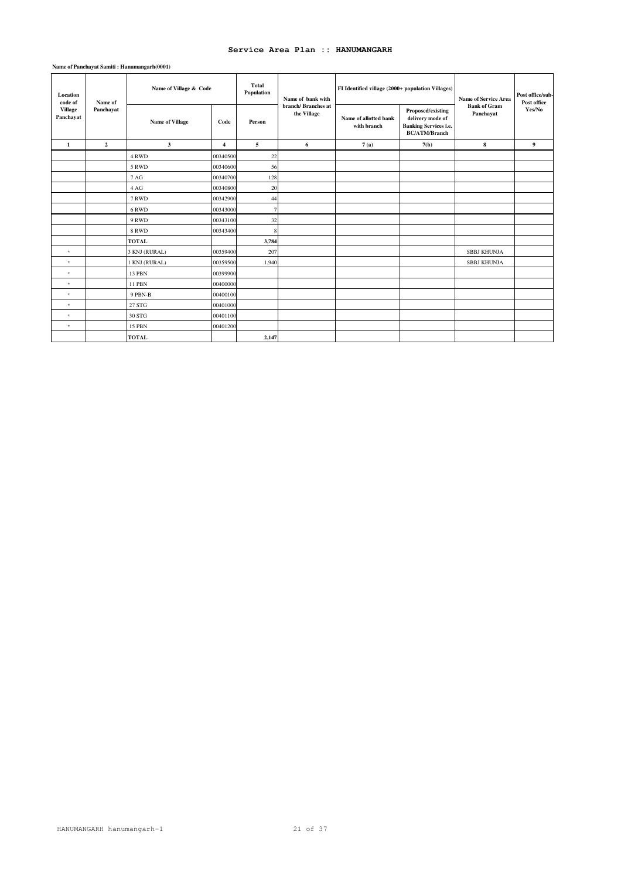| Location<br>code of         | Name of        | Name of Village & Code |                | <b>Total</b><br>Population | Name of bank with                 | FI Identified village (2000+ population Villages) |                                                                                               | <b>Name of Service Area</b>      | Post office/sub-<br>Post office |
|-----------------------------|----------------|------------------------|----------------|----------------------------|-----------------------------------|---------------------------------------------------|-----------------------------------------------------------------------------------------------|----------------------------------|---------------------------------|
| <b>Village</b><br>Panchayat | Panchayat      | <b>Name of Village</b> | Code           | Person                     | branch/Branches at<br>the Village | Name of allotted bank<br>with branch              | Proposed/existing<br>delivery mode of<br><b>Banking Services i.e.</b><br><b>BC/ATM/Branch</b> | <b>Bank of Gram</b><br>Panchayat | Yes/No                          |
| 1                           | $\overline{2}$ | $\mathbf{3}$           | $\overline{4}$ | 5                          | 6                                 | 7(a)                                              | 7(b)                                                                                          | 8                                | 9                               |
|                             |                | 4 RWD                  | 00340500       | 22                         |                                   |                                                   |                                                                                               |                                  |                                 |
|                             |                | 5 RWD                  | 00340600       | 56                         |                                   |                                                   |                                                                                               |                                  |                                 |
|                             |                | 7 AG                   | 00340700       | 128                        |                                   |                                                   |                                                                                               |                                  |                                 |
|                             |                | 4 AG                   | 00340800       | 20                         |                                   |                                                   |                                                                                               |                                  |                                 |
|                             |                | 7 RWD                  | 00342900       | 44                         |                                   |                                                   |                                                                                               |                                  |                                 |
|                             |                | 6 RWD                  | 00343000       | 7                          |                                   |                                                   |                                                                                               |                                  |                                 |
|                             |                | 9 RWD                  | 00343100       | 32                         |                                   |                                                   |                                                                                               |                                  |                                 |
|                             |                | 8 RWD                  | 00343400       |                            |                                   |                                                   |                                                                                               |                                  |                                 |
|                             |                | <b>TOTAL</b>           |                | 3,784                      |                                   |                                                   |                                                                                               |                                  |                                 |
| $\star$                     |                | 3 KNJ (RURAL)          | 00359400       | 207                        |                                   |                                                   |                                                                                               | SBBJ KHUNJA                      |                                 |
| $\star$                     |                | 1 KNJ (RURAL)          | 00359500       | 1,940                      |                                   |                                                   |                                                                                               | SBBJ KHUNJA                      |                                 |
| $\star$                     |                | 13 PBN                 | 00399900       |                            |                                   |                                                   |                                                                                               |                                  |                                 |
| $^\star$                    |                | 11 PBN                 | 00400000       |                            |                                   |                                                   |                                                                                               |                                  |                                 |
| $^\star$                    |                | 9 PBN-B                | 00400100       |                            |                                   |                                                   |                                                                                               |                                  |                                 |
| $^\star$                    |                | 27 STG                 | 00401000       |                            |                                   |                                                   |                                                                                               |                                  |                                 |
| $\star$                     |                | 30 STG                 | 00401100       |                            |                                   |                                                   |                                                                                               |                                  |                                 |
| $\star$                     |                | <b>15 PBN</b>          | 00401200       |                            |                                   |                                                   |                                                                                               |                                  |                                 |
|                             |                | <b>TOTAL</b>           |                | 2,147                      |                                   |                                                   |                                                                                               |                                  |                                 |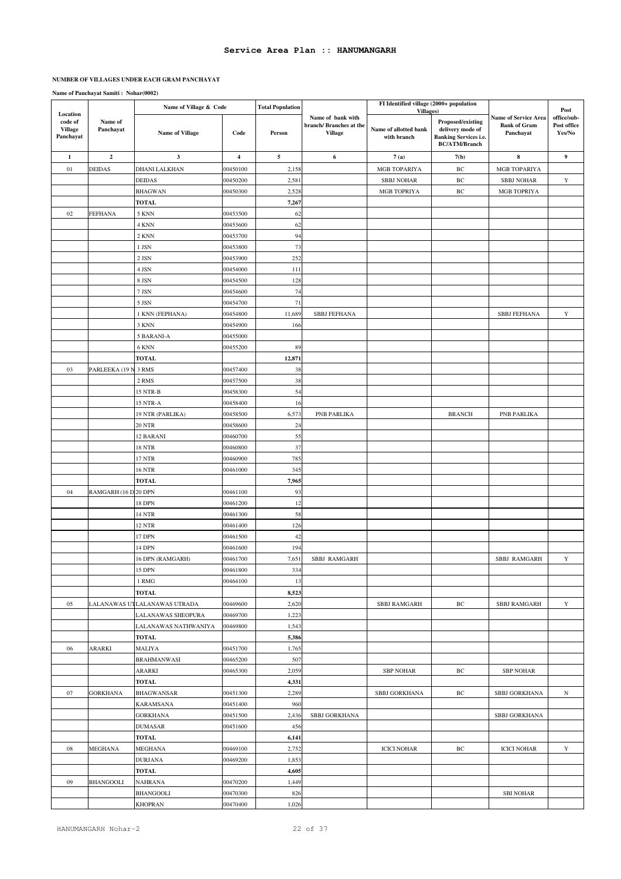#### **NUMBER OF VILLAGES UNDER EACH GRAM PANCHAYAT**

|                                                    |                         | Name of Village & Code            |                         | <b>Total Population</b> |                                                               | FI Identified village (2000+ population<br>Villages) |                                                                                               |                                                                 | Post                                 |
|----------------------------------------------------|-------------------------|-----------------------------------|-------------------------|-------------------------|---------------------------------------------------------------|------------------------------------------------------|-----------------------------------------------------------------------------------------------|-----------------------------------------------------------------|--------------------------------------|
| Location<br>code of<br><b>Village</b><br>Panchayat | Name of<br>Panchayat    | <b>Name of Village</b>            | Code                    | Person                  | Name of bank with<br>branch/Branches at the<br><b>Village</b> | Name of allotted bank<br>with branch                 | Proposed/existing<br>delivery mode of<br><b>Banking Services i.e.</b><br><b>BC/ATM/Branch</b> | <b>Name of Service Area</b><br><b>Bank of Gram</b><br>Panchayat | office/sub-<br>Post office<br>Yes/No |
| 1                                                  | $\overline{\mathbf{c}}$ | $\mathbf{3}$                      | $\overline{\mathbf{4}}$ | $\mathbf{5}$            | 6                                                             | 7(a)                                                 | 7(b)                                                                                          | 8                                                               | $\boldsymbol{9}$                     |
| 01                                                 | DEIDAS                  | DHANI LALKHAN                     | 00450100                | 2,158                   |                                                               | MGB TOPARIYA                                         | $\operatorname{BC}$                                                                           | MGB TOPARIYA                                                    |                                      |
|                                                    |                         | <b>DEIDAS</b>                     | 00450200                | 2,581                   |                                                               | <b>SBBJ NOHAR</b>                                    | $\rm BC$                                                                                      | <b>SBBJ NOHAR</b>                                               | $\mathbf Y$                          |
|                                                    |                         | <b>BHAGWAN</b>                    | 00450300                | 2,528                   |                                                               | MGB TOPRIYA                                          | $\rm BC$                                                                                      | MGB TOPRIYA                                                     |                                      |
|                                                    |                         | <b>TOTAL</b>                      |                         | 7,267                   |                                                               |                                                      |                                                                                               |                                                                 |                                      |
| 02                                                 | FEFHANA                 | 5 KNN                             | 00453500                | 62                      |                                                               |                                                      |                                                                                               |                                                                 |                                      |
|                                                    |                         | 4 KNN                             | 00453600                | 62                      |                                                               |                                                      |                                                                                               |                                                                 |                                      |
|                                                    |                         | 2 KNN                             | 00453700                | 94                      |                                                               |                                                      |                                                                                               |                                                                 |                                      |
|                                                    |                         | 1 JSN                             | 00453800                | 73                      |                                                               |                                                      |                                                                                               |                                                                 |                                      |
|                                                    |                         | 2 JSN                             | 00453900                | 252                     |                                                               |                                                      |                                                                                               |                                                                 |                                      |
|                                                    |                         | 4 JSN                             | 00454000                | 111                     |                                                               |                                                      |                                                                                               |                                                                 |                                      |
|                                                    |                         | 8 JSN                             | 00454500                | 128                     |                                                               |                                                      |                                                                                               |                                                                 |                                      |
|                                                    |                         | 7 JSN                             | 00454600                | 74                      |                                                               |                                                      |                                                                                               |                                                                 |                                      |
|                                                    |                         | 5 JSN                             | 00454700                | 71                      |                                                               |                                                      |                                                                                               |                                                                 |                                      |
|                                                    |                         | 1 KNN (FEPHANA)                   | 00454800                | 11,689                  | <b>SBBJ FEFHANA</b>                                           |                                                      |                                                                                               | <b>SBBJ FEFHANA</b>                                             | Y                                    |
|                                                    |                         | 3 KNN                             | 00454900                | 166                     |                                                               |                                                      |                                                                                               |                                                                 |                                      |
|                                                    |                         | 5 BARANI-A                        | 00455000                |                         |                                                               |                                                      |                                                                                               |                                                                 |                                      |
|                                                    |                         | 6 KNN                             | 00455200                | 89                      |                                                               |                                                      |                                                                                               |                                                                 |                                      |
|                                                    |                         | <b>TOTAL</b>                      |                         | 12,871                  |                                                               |                                                      |                                                                                               |                                                                 |                                      |
| 03                                                 | PARLEEKA (19 N 3 RMS    |                                   | 00457400                | 38                      |                                                               |                                                      |                                                                                               |                                                                 |                                      |
|                                                    |                         | 2 RMS                             |                         |                         |                                                               |                                                      |                                                                                               |                                                                 |                                      |
|                                                    |                         | 15 NTR-B                          | 00457500<br>00458300    | 38                      |                                                               |                                                      |                                                                                               |                                                                 |                                      |
|                                                    |                         |                                   |                         | 54                      |                                                               |                                                      |                                                                                               |                                                                 |                                      |
|                                                    |                         | 15 NTR-A                          | 00458400                | 16                      |                                                               |                                                      |                                                                                               |                                                                 |                                      |
|                                                    |                         | 19 NTR (PARLIKA)<br><b>20 NTR</b> | 00458500<br>00458600    | 6,573<br>24             | PNB PARLIKA                                                   |                                                      | <b>BRANCH</b>                                                                                 | PNB PARLIKA                                                     |                                      |
|                                                    |                         |                                   |                         |                         |                                                               |                                                      |                                                                                               |                                                                 |                                      |
|                                                    |                         | 12 BARANI                         | 00460700                | 55                      |                                                               |                                                      |                                                                                               |                                                                 |                                      |
|                                                    |                         | <b>18 NTR</b>                     | 00460800                | 37                      |                                                               |                                                      |                                                                                               |                                                                 |                                      |
|                                                    |                         | 17 NTR                            | 00460900                | 785                     |                                                               |                                                      |                                                                                               |                                                                 |                                      |
|                                                    |                         | 16 NTR                            | 00461000                | 345                     |                                                               |                                                      |                                                                                               |                                                                 |                                      |
| 04                                                 |                         | <b>TOTAL</b>                      |                         | 7,965                   |                                                               |                                                      |                                                                                               |                                                                 |                                      |
|                                                    | RAMGARH (16 D 20 DPN    |                                   | 00461100                | 93                      |                                                               |                                                      |                                                                                               |                                                                 |                                      |
|                                                    |                         | 18 DPN                            | 00461200                | 12                      |                                                               |                                                      |                                                                                               |                                                                 |                                      |
|                                                    |                         | 14 NTR                            | 00461300                | 58                      |                                                               |                                                      |                                                                                               |                                                                 |                                      |
|                                                    |                         | <b>12 NTR</b>                     | 00461400                | 126                     |                                                               |                                                      |                                                                                               |                                                                 |                                      |
|                                                    |                         | 17 DPN                            | 00461500                | 42                      |                                                               |                                                      |                                                                                               |                                                                 |                                      |
|                                                    |                         | 14 DPN                            | 00461600                | 194                     |                                                               |                                                      |                                                                                               |                                                                 |                                      |
|                                                    |                         | 16 DPN (RAMGARH)                  | 00461700                | 7,651                   | SBBJ RAMGARH                                                  |                                                      |                                                                                               | SBBJ RAMGARH                                                    | Y                                    |
|                                                    |                         | 15 DPN                            | 00461800                | 334                     |                                                               |                                                      |                                                                                               |                                                                 |                                      |
|                                                    |                         | 1 RMG                             | 00464100                | 13                      |                                                               |                                                      |                                                                                               |                                                                 |                                      |
|                                                    |                         | <b>TOTAL</b>                      |                         | 8,523                   |                                                               |                                                      |                                                                                               |                                                                 |                                      |
| 05                                                 |                         | LALANAWAS UTLALANAWAS UTRADA      | 00469600                | 2,620                   |                                                               | SBBJ RAMGARH                                         | $\rm BC$                                                                                      | <b>SBBJ RAMGARH</b>                                             | Y                                    |
|                                                    |                         | LALANAWAS SHEOPURA                | 00469700                | 1,223                   |                                                               |                                                      |                                                                                               |                                                                 |                                      |
|                                                    |                         | LALANAWAS NATHWANIYA              | 00469800                | 1,543                   |                                                               |                                                      |                                                                                               |                                                                 |                                      |
|                                                    |                         | <b>TOTAL</b>                      |                         | 5,386                   |                                                               |                                                      |                                                                                               |                                                                 |                                      |
| 06                                                 | ARARKI                  | <b>MALIYA</b>                     | 00451700                | 1,765                   |                                                               |                                                      |                                                                                               |                                                                 |                                      |
|                                                    |                         | <b>BRAHMANWASI</b>                | 00465200                | 507                     |                                                               |                                                      |                                                                                               |                                                                 |                                      |
|                                                    |                         | ARARKI                            | 00465300                | 2,059                   |                                                               | <b>SBP NOHAR</b>                                     | ВC                                                                                            | <b>SBP NOHAR</b>                                                |                                      |
|                                                    |                         | <b>TOTAL</b>                      |                         | 4,331                   |                                                               |                                                      |                                                                                               |                                                                 |                                      |
| 07                                                 | <b>GORKHANA</b>         | <b>BHAGWANSAR</b>                 | 00451300                | 2,289                   |                                                               | SBBJ GORKHANA                                        | BС                                                                                            | SBBJ GORKHANA                                                   | $_{\rm N}$                           |
|                                                    |                         | KARAMSANA                         | 00451400                | 960                     |                                                               |                                                      |                                                                                               |                                                                 |                                      |
|                                                    |                         | <b>GORKHANA</b>                   | 00451500                | 2,436                   | SBBJ GORKHANA                                                 |                                                      |                                                                                               | SBBJ GORKHANA                                                   |                                      |
|                                                    |                         | <b>DUMASAR</b>                    | 00451600                | 456                     |                                                               |                                                      |                                                                                               |                                                                 |                                      |
|                                                    |                         | <b>TOTAL</b>                      |                         | 6,141                   |                                                               |                                                      |                                                                                               |                                                                 |                                      |
| 08                                                 | MEGHANA                 | MEGHANA                           | 00469100                | 2,752                   |                                                               | <b>ICICI NOHAR</b>                                   | ВC                                                                                            | <b>ICICI NOHAR</b>                                              | Y                                    |
|                                                    |                         | DURJANA                           | 00469200                | 1,853                   |                                                               |                                                      |                                                                                               |                                                                 |                                      |
|                                                    |                         | TOTAL                             |                         | 4,605                   |                                                               |                                                      |                                                                                               |                                                                 |                                      |
| 09                                                 | <b>BHANGOOLI</b>        | NAHRANA                           | 00470200                | 1,449                   |                                                               |                                                      |                                                                                               |                                                                 |                                      |
|                                                    |                         | <b>BHANGOOLI</b>                  | 00470300                | 826                     |                                                               |                                                      |                                                                                               | <b>SBI NOHAR</b>                                                |                                      |
|                                                    |                         | <b>KHOPRAN</b>                    | 00470400                | 1,026                   |                                                               |                                                      |                                                                                               |                                                                 |                                      |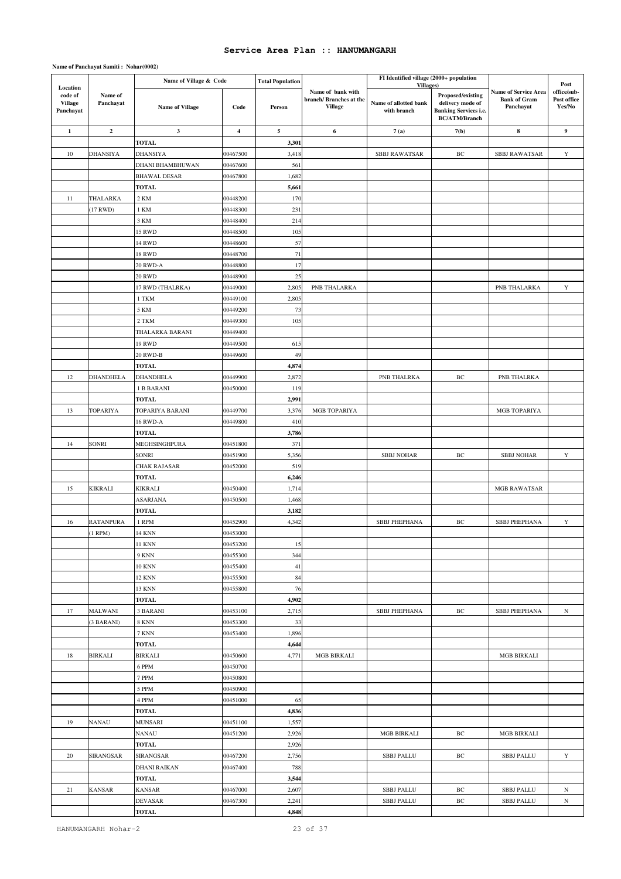|                                                    |                      | Name of Village & Code            |                      | <b>Total Population</b> |                                                                | FI Identified village (2000+ population           |                                                                                               |                                                          |                                              |
|----------------------------------------------------|----------------------|-----------------------------------|----------------------|-------------------------|----------------------------------------------------------------|---------------------------------------------------|-----------------------------------------------------------------------------------------------|----------------------------------------------------------|----------------------------------------------|
| Location<br>code of<br><b>Village</b><br>Panchayat | Name of<br>Panchayat | <b>Name of Village</b>            | Code                 | Person                  | Name of bank with<br>branch/ Branches at the<br><b>Village</b> | Villages)<br>Name of allotted bank<br>with branch | Proposed/existing<br>delivery mode of<br><b>Banking Services i.e.</b><br><b>BC/ATM/Branch</b> | Name of Service Area<br><b>Bank of Gram</b><br>Panchayat | Post<br>office/sub-<br>Post office<br>Yes/No |
| $\mathbf{1}$                                       | $\mathbf 2$          | $\mathbf{3}$                      | $\overline{4}$       | 5                       | 6                                                              | 7(a)                                              | 7(b)                                                                                          | 8                                                        | 9                                            |
|                                                    |                      | <b>TOTAL</b>                      |                      | 3,301                   |                                                                |                                                   |                                                                                               |                                                          |                                              |
| 10                                                 | DHANSIYA             | <b>DHANSIYA</b>                   | 00467500             | 3,418                   |                                                                | <b>SBBJ RAWATSAR</b>                              | BC                                                                                            | <b>SBBJ RAWATSAR</b>                                     | Y                                            |
|                                                    |                      | DHANI BHAMBHUWAN                  | 00467600             | 561                     |                                                                |                                                   |                                                                                               |                                                          |                                              |
|                                                    |                      | <b>BHAWAL DESAR</b>               | 00467800             | 1,682                   |                                                                |                                                   |                                                                                               |                                                          |                                              |
|                                                    |                      | <b>TOTAL</b>                      |                      | 5,661                   |                                                                |                                                   |                                                                                               |                                                          |                                              |
| 11                                                 | THALARKA             | 2 KM                              | 00448200             | 170                     |                                                                |                                                   |                                                                                               |                                                          |                                              |
|                                                    | 17 RWD)              | 1 KM                              | 00448300             | 231                     |                                                                |                                                   |                                                                                               |                                                          |                                              |
|                                                    |                      | 3 KM                              | 00448400             | 214                     |                                                                |                                                   |                                                                                               |                                                          |                                              |
|                                                    |                      | <b>15 RWD</b>                     | 00448500             | 105                     |                                                                |                                                   |                                                                                               |                                                          |                                              |
|                                                    |                      | 14 RWD                            | 00448600             | 57                      |                                                                |                                                   |                                                                                               |                                                          |                                              |
|                                                    |                      | 18 RWD                            | 00448700             | 71                      |                                                                |                                                   |                                                                                               |                                                          |                                              |
|                                                    |                      | 20 RWD-A                          | 00448800             | 17                      |                                                                |                                                   |                                                                                               |                                                          |                                              |
|                                                    |                      | <b>20 RWD</b><br>17 RWD (THALRKA) | 00448900<br>00449000 | 25<br>2,805             | PNB THALARKA                                                   |                                                   |                                                                                               | PNB THALARKA                                             | $\mathbf Y$                                  |
|                                                    |                      | 1 TKM                             | 00449100             | 2,805                   |                                                                |                                                   |                                                                                               |                                                          |                                              |
|                                                    |                      | 5 KM                              | 00449200             | 73                      |                                                                |                                                   |                                                                                               |                                                          |                                              |
|                                                    |                      | 2 TKM                             | 00449300             | 105                     |                                                                |                                                   |                                                                                               |                                                          |                                              |
|                                                    |                      | THALARKA BARANI                   | 00449400             |                         |                                                                |                                                   |                                                                                               |                                                          |                                              |
|                                                    |                      | <b>19 RWD</b>                     | 00449500             | 615                     |                                                                |                                                   |                                                                                               |                                                          |                                              |
|                                                    |                      | 20 RWD-B                          | 00449600             | 49                      |                                                                |                                                   |                                                                                               |                                                          |                                              |
|                                                    |                      | <b>TOTAL</b>                      |                      | 4,874                   |                                                                |                                                   |                                                                                               |                                                          |                                              |
| 12                                                 | <b>DHANDHELA</b>     | <b>DHANDHELA</b>                  | 00449900             | 2,872                   |                                                                | PNB THALRKA                                       | BC                                                                                            | PNB THALRKA                                              |                                              |
|                                                    |                      | 1 B BARANI                        | 00450000             | 119                     |                                                                |                                                   |                                                                                               |                                                          |                                              |
|                                                    |                      | <b>TOTAL</b>                      |                      | 2,991                   |                                                                |                                                   |                                                                                               |                                                          |                                              |
| 13                                                 | TOPARIYA             | TOPARIYA BARANI                   | 00449700             | 3,376                   | MGB TOPARIYA                                                   |                                                   |                                                                                               | MGB TOPARIYA                                             |                                              |
|                                                    |                      | 16 RWD-A                          | 00449800             | 410                     |                                                                |                                                   |                                                                                               |                                                          |                                              |
|                                                    |                      | <b>TOTAL</b>                      |                      | 3,786                   |                                                                |                                                   |                                                                                               |                                                          |                                              |
| 14                                                 | SONRI                | MEGHSINGHPURA                     | 00451800             | 371                     |                                                                |                                                   |                                                                                               |                                                          |                                              |
|                                                    |                      | SONRI                             | 00451900             | 5,356                   |                                                                | <b>SBBJ NOHAR</b>                                 | BC                                                                                            | <b>SBBJ NOHAR</b>                                        | $\mathbf Y$                                  |
|                                                    |                      | CHAK RAJASAR                      | 00452000             | 519                     |                                                                |                                                   |                                                                                               |                                                          |                                              |
|                                                    |                      | <b>TOTAL</b>                      |                      | 6,246                   |                                                                |                                                   |                                                                                               |                                                          |                                              |
| 15                                                 | KIKRALI              | KIKRALI                           | 00450400             | 1,714                   |                                                                |                                                   |                                                                                               | <b>MGB RAWATSAR</b>                                      |                                              |
|                                                    |                      | <b>ASARJANA</b>                   | 00450500             | 1,468                   |                                                                |                                                   |                                                                                               |                                                          |                                              |
|                                                    | <b>RATANPURA</b>     | <b>TOTAL</b>                      |                      | 3,182                   |                                                                |                                                   |                                                                                               |                                                          | $\mathbf Y$                                  |
| 16                                                 |                      | 1 RPM                             | 00452900<br>00453000 | 4,342                   |                                                                | SBBJ PHEPHANA                                     | BC                                                                                            | <b>SBBJ PHEPHANA</b>                                     |                                              |
|                                                    | $(1$ RPM $)$         | 14 KNN<br><b>11 KNN</b>           | 00453200             | 15                      |                                                                |                                                   |                                                                                               |                                                          |                                              |
|                                                    |                      | $9~\mathrm{KNN}$                  | 00455300             | 344                     |                                                                |                                                   |                                                                                               |                                                          |                                              |
|                                                    |                      | $10$ KNN $\,$                     | 00455400             | 41                      |                                                                |                                                   |                                                                                               |                                                          |                                              |
|                                                    |                      | <b>12 KNN</b>                     | 00455500             | 84                      |                                                                |                                                   |                                                                                               |                                                          |                                              |
|                                                    |                      | 13 KNN                            | 00455800             | 76                      |                                                                |                                                   |                                                                                               |                                                          |                                              |
|                                                    |                      | <b>TOTAL</b>                      |                      | 4,902                   |                                                                |                                                   |                                                                                               |                                                          |                                              |
| 17                                                 | MALWANI              | 3 BARANI                          | 00453100             | 2,715                   |                                                                | SBBJ PHEPHANA                                     | BC                                                                                            | SBBJ PHEPHANA                                            | $_{\rm N}$                                   |
|                                                    | 3 BARANI)            | <b>8 KNN</b>                      | 00453300             | 33                      |                                                                |                                                   |                                                                                               |                                                          |                                              |
|                                                    |                      | 7 KNN                             | 00453400             | 1,896                   |                                                                |                                                   |                                                                                               |                                                          |                                              |
|                                                    |                      | <b>TOTAL</b>                      |                      | 4,644                   |                                                                |                                                   |                                                                                               |                                                          |                                              |
| 18                                                 | <b>BIRKALI</b>       | BIRKALI                           | 00450600             | 4,771                   | <b>MGB BIRKALI</b>                                             |                                                   |                                                                                               | <b>MGB BIRKALI</b>                                       |                                              |
|                                                    |                      | 6 PPM                             | 00450700             |                         |                                                                |                                                   |                                                                                               |                                                          |                                              |
|                                                    |                      | 7 PPM                             | 00450800             |                         |                                                                |                                                   |                                                                                               |                                                          |                                              |
|                                                    |                      | 5 PPM                             | 00450900             |                         |                                                                |                                                   |                                                                                               |                                                          |                                              |
|                                                    |                      | 4 PPM                             | 00451000             | 65                      |                                                                |                                                   |                                                                                               |                                                          |                                              |
|                                                    |                      | TOTAL                             |                      | 4,836                   |                                                                |                                                   |                                                                                               |                                                          |                                              |
| 19                                                 | NANAU                | MUNSARI                           | 00451100             | 1,557                   |                                                                |                                                   |                                                                                               |                                                          |                                              |
|                                                    |                      | NANAU                             | 00451200             | 2,926                   |                                                                | <b>MGB BIRKALI</b>                                | BC                                                                                            | MGB BIRKALI                                              |                                              |
|                                                    |                      | <b>TOTAL</b>                      |                      | 2,926                   |                                                                |                                                   |                                                                                               |                                                          |                                              |
| $20\,$                                             | SIRANGSAR            | SIRANGSAR                         | 00467200             | 2,756                   |                                                                | <b>SBBJ PALLU</b>                                 | BC                                                                                            | <b>SBBJ PALLU</b>                                        | $\mathbf Y$                                  |
|                                                    |                      | DHANI RAIKAN                      | 00467400             | 788                     |                                                                |                                                   |                                                                                               |                                                          |                                              |
|                                                    |                      | <b>TOTAL</b>                      |                      | 3,544                   |                                                                |                                                   |                                                                                               |                                                          |                                              |
| 21                                                 | KANSAR               | KANSAR                            | 00467000             | 2,607                   |                                                                | <b>SBBJ PALLU</b>                                 | ВC<br>BC                                                                                      | <b>SBBJ PALLU</b>                                        | N                                            |
|                                                    |                      | DEVASAR                           | 00467300             | 2,241                   |                                                                | <b>SBBJ PALLU</b>                                 |                                                                                               | <b>SBBJ PALLU</b>                                        | $_{\rm N}$                                   |
|                                                    |                      | TOTAL                             |                      | 4,848                   |                                                                |                                                   |                                                                                               |                                                          |                                              |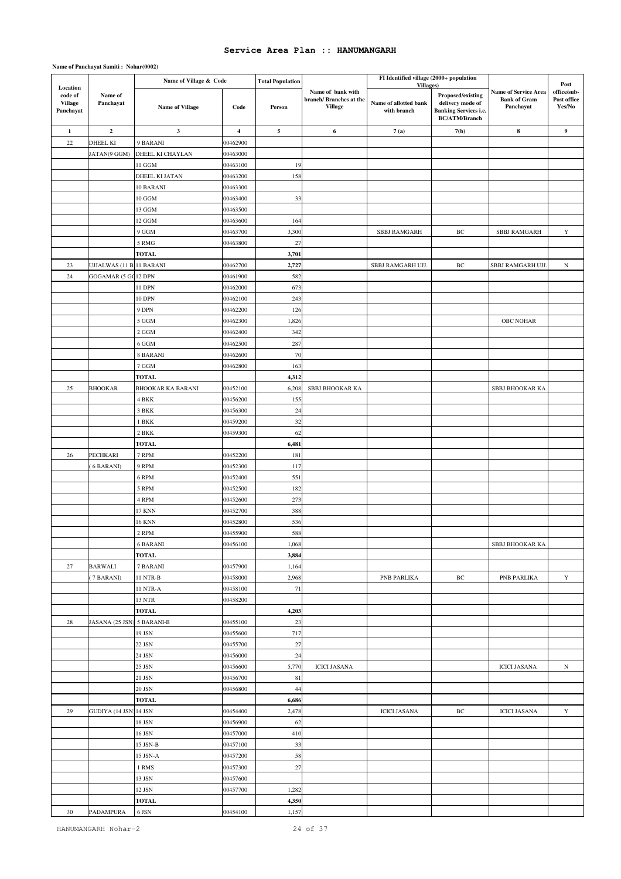|                                                    |                          | Name of Village & Code   |                      | <b>Total Population</b> |                                                               | FI Identified village (2000+ population           |                                                                                               |                                                          |                                              |
|----------------------------------------------------|--------------------------|--------------------------|----------------------|-------------------------|---------------------------------------------------------------|---------------------------------------------------|-----------------------------------------------------------------------------------------------|----------------------------------------------------------|----------------------------------------------|
| Location<br>code of<br><b>Village</b><br>Panchayat | Name of<br>Panchayat     | Name of Village          | Code                 | Person                  | Name of bank with<br>branch/Branches at the<br><b>Village</b> | Villages)<br>Name of allotted bank<br>with branch | Proposed/existing<br>delivery mode of<br><b>Banking Services i.e.</b><br><b>BC/ATM/Branch</b> | Name of Service Area<br><b>Bank of Gram</b><br>Panchayat | Post<br>office/sub-<br>Post office<br>Yes/No |
| $\mathbf{1}$                                       | $\overline{\mathbf{c}}$  | $\mathbf{3}$             | $\boldsymbol{4}$     | 5                       | 6                                                             | 7(a)                                              | 7(b)                                                                                          | $\bf8$                                                   | 9                                            |
| 22                                                 | DHEEL KI                 | 9 BARANI                 | 00462900             |                         |                                                               |                                                   |                                                                                               |                                                          |                                              |
|                                                    | JATAN(9 GGM)             | DHEEL KI CHAYLAN         | 00463000             |                         |                                                               |                                                   |                                                                                               |                                                          |                                              |
|                                                    |                          | $11~\mathrm{GGM}$        | 00463100             | 19                      |                                                               |                                                   |                                                                                               |                                                          |                                              |
|                                                    |                          | DHEEL KI JATAN           | 00463200             | 158                     |                                                               |                                                   |                                                                                               |                                                          |                                              |
|                                                    |                          | 10 BARANI                | 00463300             |                         |                                                               |                                                   |                                                                                               |                                                          |                                              |
|                                                    |                          | 10 GGM                   | 00463400             | 33                      |                                                               |                                                   |                                                                                               |                                                          |                                              |
|                                                    |                          | 13 GGM                   | 00463500             |                         |                                                               |                                                   |                                                                                               |                                                          |                                              |
|                                                    |                          | 12 GGM                   | 00463600             | 164                     |                                                               |                                                   |                                                                                               |                                                          |                                              |
|                                                    |                          | 9 GGM                    | 00463700             | 3,300                   |                                                               | SBBJ RAMGARH                                      | BC                                                                                            | SBBJ RAMGARH                                             | Y                                            |
|                                                    |                          | 5 RMG                    | 00463800             | 27                      |                                                               |                                                   |                                                                                               |                                                          |                                              |
|                                                    |                          | <b>TOTAL</b>             |                      | 3,701                   |                                                               |                                                   |                                                                                               |                                                          |                                              |
| 23                                                 | UJJALWAS (11 B.11 BARANI |                          | 00462700             | 2,727                   |                                                               | SBBJ RAMGARH UJJ.                                 | BC                                                                                            | SBBJ RAMGARH UJJ                                         | $\, {\rm N}$                                 |
| 24                                                 | GOGAMAR (5 GC12 DPN      |                          | 00461900             | 582                     |                                                               |                                                   |                                                                                               |                                                          |                                              |
|                                                    |                          | 11 DPN                   | 00462000             | 673                     |                                                               |                                                   |                                                                                               |                                                          |                                              |
|                                                    |                          | 10 DPN                   | 00462100             | 243                     |                                                               |                                                   |                                                                                               |                                                          |                                              |
|                                                    |                          | 9 DPN                    | 00462200             | 126                     |                                                               |                                                   |                                                                                               |                                                          |                                              |
|                                                    |                          | 5 GGM                    | 00462300             | 1,826                   |                                                               |                                                   |                                                                                               | OBC NOHAR                                                |                                              |
|                                                    |                          | 2 GGM                    | 00462400             | 342                     |                                                               |                                                   |                                                                                               |                                                          |                                              |
|                                                    |                          | 6 GGM                    | 00462500             | 287                     |                                                               |                                                   |                                                                                               |                                                          |                                              |
|                                                    |                          | 8 BARANI                 | 00462600             | 70                      |                                                               |                                                   |                                                                                               |                                                          |                                              |
|                                                    |                          | 7 GGM                    | 00462800             | 163                     |                                                               |                                                   |                                                                                               |                                                          |                                              |
|                                                    |                          | <b>TOTAL</b>             |                      | 4,312                   |                                                               |                                                   |                                                                                               |                                                          |                                              |
| 25                                                 | <b>BHOOKAR</b>           | <b>BHOOKAR KA BARANI</b> | 00452100             | 6,208                   | SBBJ BHOOKAR KA                                               |                                                   |                                                                                               | SBBJ BHOOKAR KA                                          |                                              |
|                                                    |                          | 4 BKK                    | 00456200             | 155                     |                                                               |                                                   |                                                                                               |                                                          |                                              |
|                                                    |                          | 3 BKK                    | 00456300             | 24                      |                                                               |                                                   |                                                                                               |                                                          |                                              |
|                                                    |                          |                          |                      |                         |                                                               |                                                   |                                                                                               |                                                          |                                              |
|                                                    |                          | 1 BKK                    | 00459200<br>00459300 | 32                      |                                                               |                                                   |                                                                                               |                                                          |                                              |
|                                                    |                          | 2 BKK                    |                      | 62                      |                                                               |                                                   |                                                                                               |                                                          |                                              |
|                                                    |                          | TOTAL                    |                      | 6,481                   |                                                               |                                                   |                                                                                               |                                                          |                                              |
| 26                                                 | PECHKARI                 | 7 RPM                    | 00452200             | 181                     |                                                               |                                                   |                                                                                               |                                                          |                                              |
|                                                    | 6 BARANI)                | 9 RPM                    | 00452300             | 117                     |                                                               |                                                   |                                                                                               |                                                          |                                              |
|                                                    |                          | 6 RPM                    | 00452400             | 551                     |                                                               |                                                   |                                                                                               |                                                          |                                              |
|                                                    |                          | 5 RPM                    | 00452500             | 182                     |                                                               |                                                   |                                                                                               |                                                          |                                              |
|                                                    |                          | 4 RPM                    | 00452600             | 273                     |                                                               |                                                   |                                                                                               |                                                          |                                              |
|                                                    |                          | 17 KNN                   | 00452700             | 388                     |                                                               |                                                   |                                                                                               |                                                          |                                              |
|                                                    |                          | 16 KNN                   | 00452800             | 536                     |                                                               |                                                   |                                                                                               |                                                          |                                              |
|                                                    |                          | 2 RPM                    | 00455900             | 588                     |                                                               |                                                   |                                                                                               |                                                          |                                              |
|                                                    |                          | <b>6 BARANI</b>          | 00456100             | 1,068                   |                                                               |                                                   |                                                                                               | SBBJ BHOOKAR KA                                          |                                              |
|                                                    |                          | <b>TOTAL</b>             |                      | 3,884                   |                                                               |                                                   |                                                                                               |                                                          |                                              |
| 27                                                 | <b>BARWALI</b>           | 7 BARANI                 | 00457900             | 1,164                   |                                                               |                                                   |                                                                                               |                                                          |                                              |
|                                                    | 7 BARANI)                | 11 NTR-B                 | 00458000             | 2,968                   |                                                               | PNB PARLIKA                                       | BC                                                                                            | PNB PARLIKA                                              | Y                                            |
|                                                    |                          | 11 NTR-A                 | 00458100             | 71                      |                                                               |                                                   |                                                                                               |                                                          |                                              |
|                                                    |                          | 13 NTR                   | 00458200             |                         |                                                               |                                                   |                                                                                               |                                                          |                                              |
|                                                    |                          | <b>TOTAL</b>             |                      | 4,203                   |                                                               |                                                   |                                                                                               |                                                          |                                              |
| 28                                                 | JASANA (25 JSN)          | 5 BARANI-B               | 00455100             | 23                      |                                                               |                                                   |                                                                                               |                                                          |                                              |
|                                                    |                          | 19 JSN                   | 00455600             | 717                     |                                                               |                                                   |                                                                                               |                                                          |                                              |
|                                                    |                          | 22 JSN                   | 00455700             | 27                      |                                                               |                                                   |                                                                                               |                                                          |                                              |
|                                                    |                          | 24 JSN                   | 00456000             | 24                      |                                                               |                                                   |                                                                                               |                                                          |                                              |
|                                                    |                          | 25 JSN                   | 00456600             | 5,770                   | <b>ICICI JASANA</b>                                           |                                                   |                                                                                               | <b>ICICI JASANA</b>                                      | N                                            |
|                                                    |                          | 21 JSN                   | 00456700             | 81                      |                                                               |                                                   |                                                                                               |                                                          |                                              |
|                                                    |                          | 20 JSN                   | 00456800             | 44                      |                                                               |                                                   |                                                                                               |                                                          |                                              |
|                                                    |                          | <b>TOTAL</b>             |                      | 6,686                   |                                                               |                                                   |                                                                                               |                                                          |                                              |
| 29                                                 | GUDIYA (14 JSN) 14 JSN   |                          | 00454400             | 2,478                   |                                                               | <b>ICICI JASANA</b>                               | BC                                                                                            | <b>ICICI JASANA</b>                                      | Y                                            |
|                                                    |                          | 18 JSN                   | 00456900             | 62                      |                                                               |                                                   |                                                                                               |                                                          |                                              |
|                                                    |                          | 16 JSN                   | 00457000             | 410                     |                                                               |                                                   |                                                                                               |                                                          |                                              |
|                                                    |                          | 15 JSN-B                 | 00457100             | 33                      |                                                               |                                                   |                                                                                               |                                                          |                                              |
|                                                    |                          | 15 JSN-A                 | 00457200             | 58                      |                                                               |                                                   |                                                                                               |                                                          |                                              |
|                                                    |                          | 1 RMS                    | 00457300             | 27                      |                                                               |                                                   |                                                                                               |                                                          |                                              |
|                                                    |                          | 13 JSN                   | 00457600             |                         |                                                               |                                                   |                                                                                               |                                                          |                                              |
|                                                    |                          | $12$ ${\rm JSN}$         | 00457700             | 1,282                   |                                                               |                                                   |                                                                                               |                                                          |                                              |
|                                                    |                          | <b>TOTAL</b>             |                      | 4,350                   |                                                               |                                                   |                                                                                               |                                                          |                                              |
| $30\,$                                             | PADAMPURA                | 6 JSN                    | 00454100             | 1,157                   |                                                               |                                                   |                                                                                               |                                                          |                                              |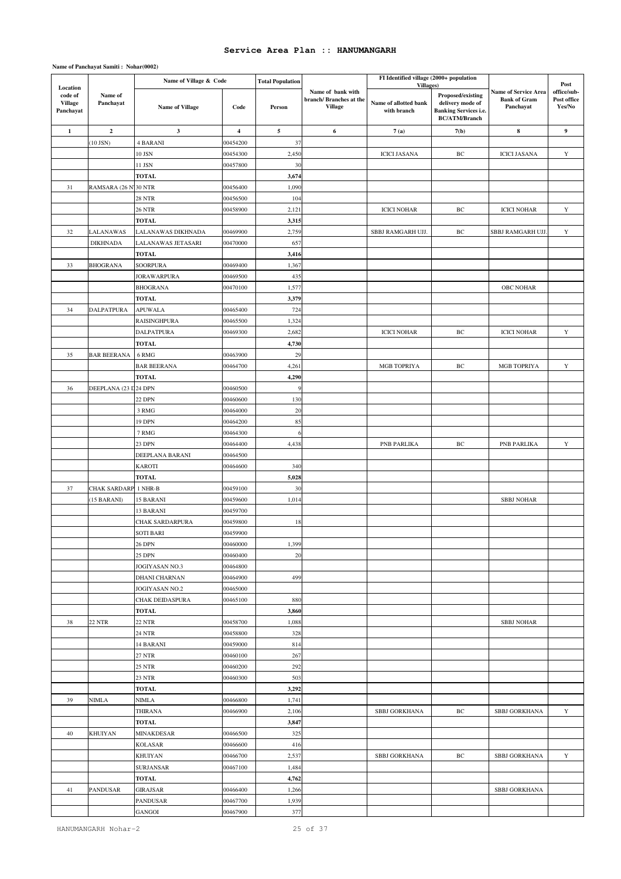|                                                    |                      | Name of Village & Code            |                         | <b>Total Population</b> |                                                                | FI Identified village (2000+ population           |                                                                                                      |                                                                 | Post                                 |
|----------------------------------------------------|----------------------|-----------------------------------|-------------------------|-------------------------|----------------------------------------------------------------|---------------------------------------------------|------------------------------------------------------------------------------------------------------|-----------------------------------------------------------------|--------------------------------------|
| Location<br>code of<br><b>Village</b><br>Panchayat | Name of<br>Panchayat | <b>Name of Village</b>            | Code                    | Person                  | Name of bank with<br>branch/ Branches at the<br><b>Village</b> | Villages)<br>Name of allotted bank<br>with branch | <b>Proposed/existing</b><br>delivery mode of<br><b>Banking Services i.e.</b><br><b>BC/ATM/Branch</b> | <b>Name of Service Area</b><br><b>Bank of Gram</b><br>Panchayat | office/sub-<br>Post office<br>Yes/No |
| $\mathbf{1}$                                       | $\boldsymbol{2}$     | $\mathbf{3}$                      | $\overline{\mathbf{4}}$ | 5                       | 6                                                              | 7(a)                                              | 7(b)                                                                                                 | ${\bf 8}$                                                       | $\boldsymbol{9}$                     |
|                                                    | $(10$ JSN $)$        | <b>4 BARANI</b>                   | 00454200                | 37                      |                                                                |                                                   |                                                                                                      |                                                                 |                                      |
|                                                    |                      | 10 JSN                            | 00454300                | 2,450                   |                                                                | <b>ICICI JASANA</b>                               | BC                                                                                                   | <b>ICICI JASANA</b>                                             | Y                                    |
|                                                    |                      | 11 JSN                            | 00457800                | 30                      |                                                                |                                                   |                                                                                                      |                                                                 |                                      |
|                                                    |                      | TOTAL                             |                         | 3,674                   |                                                                |                                                   |                                                                                                      |                                                                 |                                      |
| 31                                                 | RAMSARA (26 N'30 NTR |                                   | 00456400                | 1,090                   |                                                                |                                                   |                                                                                                      |                                                                 |                                      |
|                                                    |                      | <b>28 NTR</b>                     | 00456500                | 104                     |                                                                |                                                   |                                                                                                      |                                                                 |                                      |
|                                                    |                      | 26 NTR                            | 00458900                | 2,121                   |                                                                | <b>ICICI NOHAR</b>                                | BC                                                                                                   | <b>ICICI NOHAR</b>                                              | Y                                    |
|                                                    |                      | <b>TOTAL</b>                      |                         | 3,315                   |                                                                |                                                   |                                                                                                      |                                                                 |                                      |
| 32                                                 | LALANAWAS            | LALANAWAS DIKHNADA                | 00469900                | 2,759                   |                                                                | SBBJ RAMGARH UJJ.                                 | $\rm BC$                                                                                             | SBBJ RAMGARH UJJ.                                               | $\mathbf Y$                          |
|                                                    | <b>DIKHNADA</b>      | LALANAWAS JETASARI                | 00470000                | 657                     |                                                                |                                                   |                                                                                                      |                                                                 |                                      |
|                                                    |                      | <b>TOTAL</b>                      |                         | 3,416                   |                                                                |                                                   |                                                                                                      |                                                                 |                                      |
| 33                                                 | <b>BHOGRANA</b>      | SOORPURA                          | 00469400                | 1,367                   |                                                                |                                                   |                                                                                                      |                                                                 |                                      |
|                                                    |                      | <b>JORAWARPURA</b>                | 00469500                | 435                     |                                                                |                                                   |                                                                                                      |                                                                 |                                      |
|                                                    |                      | <b>BHOGRANA</b>                   | 00470100                | 1,577                   |                                                                |                                                   |                                                                                                      | <b>OBC NOHAR</b>                                                |                                      |
|                                                    |                      | <b>TOTAL</b>                      |                         | 3,379                   |                                                                |                                                   |                                                                                                      |                                                                 |                                      |
| 34                                                 | <b>DALPATPURA</b>    | APUWALA                           | 00465400                | 724                     |                                                                |                                                   |                                                                                                      |                                                                 |                                      |
|                                                    |                      | <b>RAISINGHPURA</b>               | 00465500                | 1,324                   |                                                                |                                                   |                                                                                                      |                                                                 |                                      |
|                                                    |                      | <b>DALPATPURA</b>                 | 00469300                | 2,682                   |                                                                | <b>ICICI NOHAR</b>                                | BC                                                                                                   | <b>ICICI NOHAR</b>                                              | Y                                    |
|                                                    |                      | <b>TOTAL</b>                      |                         | 4,730                   |                                                                |                                                   |                                                                                                      |                                                                 |                                      |
| 35                                                 | <b>BAR BEERANA</b>   | 6 RMG                             | 00463900                | 29                      |                                                                |                                                   |                                                                                                      |                                                                 |                                      |
|                                                    |                      | <b>BAR BEERANA</b>                | 00464700                | 4,261                   |                                                                | MGB TOPRIYA                                       | BC                                                                                                   | MGB TOPRIYA                                                     | $\mathbf Y$                          |
|                                                    |                      | <b>TOTAL</b>                      |                         | 4,290                   |                                                                |                                                   |                                                                                                      |                                                                 |                                      |
| 36                                                 | DEEPLANA (23 D24 DPN |                                   | 00460500                |                         |                                                                |                                                   |                                                                                                      |                                                                 |                                      |
|                                                    |                      | 22 DPN                            | 00460600                | 130                     |                                                                |                                                   |                                                                                                      |                                                                 |                                      |
|                                                    |                      | 3 RMG                             | 00464000                | 20                      |                                                                |                                                   |                                                                                                      |                                                                 |                                      |
|                                                    |                      | 19 DPN                            | 00464200                | 85                      |                                                                |                                                   |                                                                                                      |                                                                 |                                      |
|                                                    |                      | 7 RMG                             | 00464300                | $\epsilon$              |                                                                |                                                   |                                                                                                      |                                                                 |                                      |
|                                                    |                      | 23 DPN                            | 00464400                | 4,438                   |                                                                | PNB PARLIKA                                       | BC                                                                                                   | PNB PARLIKA                                                     | Y                                    |
|                                                    |                      | DEEPLANA BARANI                   | 00464500                |                         |                                                                |                                                   |                                                                                                      |                                                                 |                                      |
|                                                    |                      | KAROTI                            | 00464600                | 340                     |                                                                |                                                   |                                                                                                      |                                                                 |                                      |
|                                                    |                      | <b>TOTAL</b>                      |                         | 5,028                   |                                                                |                                                   |                                                                                                      |                                                                 |                                      |
| 37                                                 | <b>CHAK SARDARP</b>  | 1 NHR-B                           | 00459100                | 30                      |                                                                |                                                   |                                                                                                      |                                                                 |                                      |
|                                                    | (15 BARANI)          | 15 BARANI                         | 00459600                | 1,014                   |                                                                |                                                   |                                                                                                      | <b>SBBJ NOHAR</b>                                               |                                      |
|                                                    |                      | 13 BARANI                         | 00459700                |                         |                                                                |                                                   |                                                                                                      |                                                                 |                                      |
|                                                    |                      | CHAK SARDARPURA                   | 00459800                | 18                      |                                                                |                                                   |                                                                                                      |                                                                 |                                      |
|                                                    |                      | SOTI BARI                         | 00459900                |                         |                                                                |                                                   |                                                                                                      |                                                                 |                                      |
|                                                    |                      | 26 DPN                            | 00460000                | 1,399                   |                                                                |                                                   |                                                                                                      |                                                                 |                                      |
|                                                    |                      | 25 DPN                            | 00460400                | 20                      |                                                                |                                                   |                                                                                                      |                                                                 |                                      |
|                                                    |                      | JOGIYASAN NO.3                    | 00464800                |                         |                                                                |                                                   |                                                                                                      |                                                                 |                                      |
|                                                    |                      | <b>DHANI CHARNAN</b>              | 00464900                | 499                     |                                                                |                                                   |                                                                                                      |                                                                 |                                      |
|                                                    |                      | JOGIYASAN NO.2<br>CHAK DEIDASPURA | 00465000<br>00465100    | 880                     |                                                                |                                                   |                                                                                                      |                                                                 |                                      |
|                                                    |                      | <b>TOTAL</b>                      |                         | 3,860                   |                                                                |                                                   |                                                                                                      |                                                                 |                                      |
| 38                                                 | 22 NTR               | 22 NTR                            | 00458700                | 1,088                   |                                                                |                                                   |                                                                                                      | <b>SBBJ NOHAR</b>                                               |                                      |
|                                                    |                      | 24 NTR                            | 00458800                | 328                     |                                                                |                                                   |                                                                                                      |                                                                 |                                      |
|                                                    |                      | 14 BARANI                         | 00459000                | 814                     |                                                                |                                                   |                                                                                                      |                                                                 |                                      |
|                                                    |                      | $27~\mathrm{NTR}$                 | 00460100                | 267                     |                                                                |                                                   |                                                                                                      |                                                                 |                                      |
|                                                    |                      | 25 NTR                            | 00460200                | 292                     |                                                                |                                                   |                                                                                                      |                                                                 |                                      |
|                                                    |                      | 23 NTR                            | 00460300                | 503                     |                                                                |                                                   |                                                                                                      |                                                                 |                                      |
|                                                    |                      | <b>TOTAL</b>                      |                         | 3,292                   |                                                                |                                                   |                                                                                                      |                                                                 |                                      |
| 39                                                 | <b>NIMLA</b>         | NIMLA                             | 00466800                | 1,741                   |                                                                |                                                   |                                                                                                      |                                                                 |                                      |
|                                                    |                      | THIRANA                           | 00466900                | 2,106                   |                                                                | SBBJ GORKHANA                                     | BC                                                                                                   | SBBJ GORKHANA                                                   | Y                                    |
|                                                    |                      | <b>TOTAL</b>                      |                         | 3,847                   |                                                                |                                                   |                                                                                                      |                                                                 |                                      |
| 40                                                 | <b>KHUIYAN</b>       | MINAKDESAR                        | 00466500                | 325                     |                                                                |                                                   |                                                                                                      |                                                                 |                                      |
|                                                    |                      | <b>KOLASAR</b>                    | 00466600                | 416                     |                                                                |                                                   |                                                                                                      |                                                                 |                                      |
|                                                    |                      | KHUIYAN                           | 00466700                | 2,537                   |                                                                | SBBJ GORKHANA                                     | BC                                                                                                   | SBBJ GORKHANA                                                   | Y                                    |
|                                                    |                      | SURJANSAR                         | 00467100                | 1,484                   |                                                                |                                                   |                                                                                                      |                                                                 |                                      |
|                                                    |                      | <b>TOTAL</b>                      |                         | 4,762                   |                                                                |                                                   |                                                                                                      |                                                                 |                                      |
| 41                                                 | <b>PANDUSAR</b>      | GIRAJSAR                          | 00466400                | 1,266                   |                                                                |                                                   |                                                                                                      | SBBJ GORKHANA                                                   |                                      |
|                                                    |                      | PANDUSAR                          | 00467700                | 1,939                   |                                                                |                                                   |                                                                                                      |                                                                 |                                      |
|                                                    |                      | GANGOI                            | 00467900                | 377                     |                                                                |                                                   |                                                                                                      |                                                                 |                                      |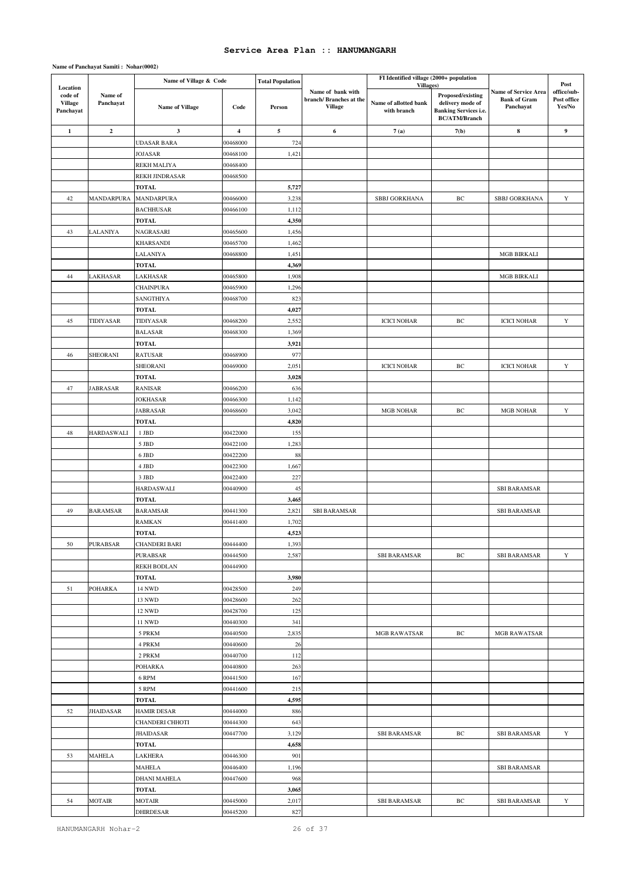|                                                    |                      | Name of Village & Code       |                         | <b>Total Population</b> |                                                                | FI Identified village (2000+ population           |                                                                                               |                                                                 |                                              |
|----------------------------------------------------|----------------------|------------------------------|-------------------------|-------------------------|----------------------------------------------------------------|---------------------------------------------------|-----------------------------------------------------------------------------------------------|-----------------------------------------------------------------|----------------------------------------------|
| Location<br>code of<br><b>Village</b><br>Panchayat | Name of<br>Panchayat | <b>Name of Village</b>       | Code                    | Person                  | Name of bank with<br>branch/ Branches at the<br><b>Village</b> | Villages)<br>Name of allotted bank<br>with branch | Proposed/existing<br>delivery mode of<br><b>Banking Services i.e.</b><br><b>BC/ATM/Branch</b> | <b>Name of Service Area</b><br><b>Bank of Gram</b><br>Panchayat | Post<br>office/sub-<br>Post office<br>Yes/No |
| $\mathbf{1}$                                       | $\mathbf 2$          | $\mathbf 3$                  | $\overline{\mathbf{4}}$ | ${\bf 5}$               | 6                                                              | 7(a)                                              | 7(b)                                                                                          | 8                                                               | 9                                            |
|                                                    |                      | <b>UDASAR BARA</b>           | 00468000                | 724                     |                                                                |                                                   |                                                                                               |                                                                 |                                              |
|                                                    |                      | JOJASAR                      | 00468100                | 1,421                   |                                                                |                                                   |                                                                                               |                                                                 |                                              |
|                                                    |                      | REKH MALIYA                  | 00468400                |                         |                                                                |                                                   |                                                                                               |                                                                 |                                              |
|                                                    |                      | REKH JINDRASAR               | 00468500                |                         |                                                                |                                                   |                                                                                               |                                                                 |                                              |
|                                                    |                      | <b>TOTAL</b>                 |                         | 5,727                   |                                                                |                                                   |                                                                                               |                                                                 |                                              |
| 42                                                 | <b>MANDARPURA</b>    | MANDARPURA                   | 00466000                | 3,238                   |                                                                | SBBJ GORKHANA                                     | BC                                                                                            | SBBJ GORKHANA                                                   | $\mathbf Y$                                  |
|                                                    |                      | <b>BACHHUSAR</b>             | 00466100                | 1,112                   |                                                                |                                                   |                                                                                               |                                                                 |                                              |
|                                                    |                      | <b>TOTAL</b>                 |                         | 4,350                   |                                                                |                                                   |                                                                                               |                                                                 |                                              |
| 43                                                 | LALANIYA             | NAGRASARI                    | 00465600                | 1,456                   |                                                                |                                                   |                                                                                               |                                                                 |                                              |
|                                                    |                      | KHARSANDI                    | 00465700                | 1,462                   |                                                                |                                                   |                                                                                               |                                                                 |                                              |
|                                                    |                      | LALANIYA                     | 00468800                | 1,451                   |                                                                |                                                   |                                                                                               | <b>MGB BIRKALI</b>                                              |                                              |
|                                                    |                      | <b>TOTAL</b>                 |                         | 4,369                   |                                                                |                                                   |                                                                                               | <b>MGB BIRKALI</b>                                              |                                              |
| 44                                                 | LAKHASAR             | LAKHASAR<br><b>CHAINPURA</b> | 00465800<br>00465900    | 1,908<br>1,296          |                                                                |                                                   |                                                                                               |                                                                 |                                              |
|                                                    |                      | SANGTHIYA                    | 00468700                | 823                     |                                                                |                                                   |                                                                                               |                                                                 |                                              |
|                                                    |                      | TOTAL                        |                         | 4,027                   |                                                                |                                                   |                                                                                               |                                                                 |                                              |
| 45                                                 | TIDIYASAR            | TIDIYASAR                    | 00468200                | 2,552                   |                                                                | <b>ICICI NOHAR</b>                                | BC                                                                                            | <b>ICICI NOHAR</b>                                              | $\mathbf Y$                                  |
|                                                    |                      | <b>BALASAR</b>               | 00468300                | 1,369                   |                                                                |                                                   |                                                                                               |                                                                 |                                              |
|                                                    |                      | <b>TOTAL</b>                 |                         | 3,921                   |                                                                |                                                   |                                                                                               |                                                                 |                                              |
| 46                                                 | SHEORANI             | RATUSAR                      | 00468900                | 977                     |                                                                |                                                   |                                                                                               |                                                                 |                                              |
|                                                    |                      | SHEORANI                     | 00469000                | 2,051                   |                                                                | <b>ICICI NOHAR</b>                                | BC                                                                                            | <b>ICICI NOHAR</b>                                              | Y                                            |
|                                                    |                      | <b>TOTAL</b>                 |                         | 3,028                   |                                                                |                                                   |                                                                                               |                                                                 |                                              |
| 47                                                 | <b>JABRASAR</b>      | RANISAR                      | 00466200                | 636                     |                                                                |                                                   |                                                                                               |                                                                 |                                              |
|                                                    |                      | JOKHASAR                     | 00466300                | 1,142                   |                                                                |                                                   |                                                                                               |                                                                 |                                              |
|                                                    |                      | JABRASAR                     | 00468600                | 3,042                   |                                                                | <b>MGB NOHAR</b>                                  | BC                                                                                            | <b>MGB NOHAR</b>                                                | $\mathbf Y$                                  |
|                                                    |                      | TOTAL                        |                         | 4,820                   |                                                                |                                                   |                                                                                               |                                                                 |                                              |
| 48                                                 | HARDASWALI           | 1 JBD                        | 00422000                | 155                     |                                                                |                                                   |                                                                                               |                                                                 |                                              |
|                                                    |                      | 5 JBD                        | 00422100                | 1,283                   |                                                                |                                                   |                                                                                               |                                                                 |                                              |
|                                                    |                      | 6 JBD                        | 00422200                | 88                      |                                                                |                                                   |                                                                                               |                                                                 |                                              |
|                                                    |                      | 4 JBD                        | 00422300                | 1,667                   |                                                                |                                                   |                                                                                               |                                                                 |                                              |
|                                                    |                      | 3 JBD                        | 00422400                | 227                     |                                                                |                                                   |                                                                                               |                                                                 |                                              |
|                                                    |                      | <b>HARDASWALI</b>            | 00440900                | 45                      |                                                                |                                                   |                                                                                               | <b>SBI BARAMSAR</b>                                             |                                              |
|                                                    |                      | <b>TOTAL</b>                 |                         | 3,465                   |                                                                |                                                   |                                                                                               |                                                                 |                                              |
| 49                                                 | <b>BARAMSAR</b>      | <b>BARAMSAR</b>              | 00441300                | 2,82                    | <b>SBI BARAMSAR</b>                                            |                                                   |                                                                                               | <b>SBI BARAMSAR</b>                                             |                                              |
|                                                    |                      | RAMKAN<br><b>TOTAL</b>       | 00441400                | 1,702                   |                                                                |                                                   |                                                                                               |                                                                 |                                              |
| 50                                                 | PURABSAR             | CHANDERI BARI                | 00444400                | 4,523<br>1,393          |                                                                |                                                   |                                                                                               |                                                                 |                                              |
|                                                    |                      | PURABSAR                     | 00444500                | 2,587                   |                                                                | SBI BARAMSAR                                      | BC                                                                                            | <b>SBI BARAMSAR</b>                                             | Y                                            |
|                                                    |                      | REKH BODLAN                  | 00444900                |                         |                                                                |                                                   |                                                                                               |                                                                 |                                              |
|                                                    |                      | <b>TOTAL</b>                 |                         | 3,980                   |                                                                |                                                   |                                                                                               |                                                                 |                                              |
| 51                                                 | POHARKA              | 14 NWD                       | 00428500                | 249                     |                                                                |                                                   |                                                                                               |                                                                 |                                              |
|                                                    |                      | <b>13 NWD</b>                | 00428600                | 262                     |                                                                |                                                   |                                                                                               |                                                                 |                                              |
|                                                    |                      | <b>12 NWD</b>                | 00428700                | 125                     |                                                                |                                                   |                                                                                               |                                                                 |                                              |
|                                                    |                      | 11 NWD                       | 00440300                | 341                     |                                                                |                                                   |                                                                                               |                                                                 |                                              |
|                                                    |                      | 5 PRKM                       | 00440500                | 2,835                   |                                                                | <b>MGB RAWATSAR</b>                               | BC                                                                                            | MGB RAWATSAR                                                    |                                              |
|                                                    |                      | 4 PRKM                       | 00440600                | 26                      |                                                                |                                                   |                                                                                               |                                                                 |                                              |
|                                                    |                      | 2 PRKM                       | 00440700                | 112                     |                                                                |                                                   |                                                                                               |                                                                 |                                              |
|                                                    |                      | POHARKA                      | 00440800                | 263                     |                                                                |                                                   |                                                                                               |                                                                 |                                              |
|                                                    |                      | 6 RPM                        | 00441500                | 167                     |                                                                |                                                   |                                                                                               |                                                                 |                                              |
|                                                    |                      | 5 RPM                        | 00441600                | 215                     |                                                                |                                                   |                                                                                               |                                                                 |                                              |
|                                                    |                      | TOTAL                        |                         | 4,595                   |                                                                |                                                   |                                                                                               |                                                                 |                                              |
| 52                                                 | JHAIDASAR            | <b>HAMIR DESAR</b>           | 00444000                | 886                     |                                                                |                                                   |                                                                                               |                                                                 |                                              |
|                                                    |                      | CHANDERI CHHOTI              | 00444300                | 643                     |                                                                |                                                   |                                                                                               |                                                                 |                                              |
|                                                    |                      | JHAIDASAR                    | 00447700                | 3,129                   |                                                                | SBI BARAMSAR                                      | BC                                                                                            | <b>SBI BARAMSAR</b>                                             | Y                                            |
|                                                    |                      | <b>TOTAL</b>                 |                         | 4,658                   |                                                                |                                                   |                                                                                               |                                                                 |                                              |
| 53                                                 | MAHELA               | LAKHERA                      | 00446300                | 901                     |                                                                |                                                   |                                                                                               |                                                                 |                                              |
|                                                    |                      | MAHELA                       | 00446400                | 1,196                   |                                                                |                                                   |                                                                                               | <b>SBI BARAMSAR</b>                                             |                                              |
|                                                    |                      | DHANI MAHELA<br><b>TOTAL</b> | 00447600                | 968<br>3,065            |                                                                |                                                   |                                                                                               |                                                                 |                                              |
| 54                                                 | MOTAIR               | <b>MOTAIR</b>                | 00445000                | 2,017                   |                                                                | <b>SBI BARAMSAR</b>                               | BC                                                                                            | <b>SBI BARAMSAR</b>                                             | Y                                            |
|                                                    |                      | DHIRDESAR                    | 00445200                | 827                     |                                                                |                                                   |                                                                                               |                                                                 |                                              |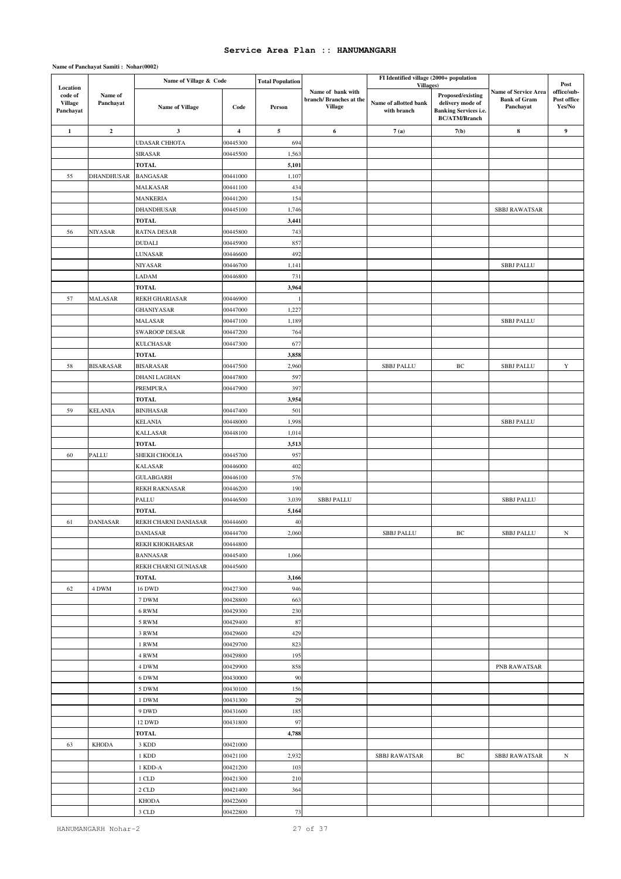|                                                    |                         | Name of Village & Code               |                         | <b>Total Population</b> |                                                               | FI Identified village (2000+ population           |                                                                                               |                                                                 | Post                                 |
|----------------------------------------------------|-------------------------|--------------------------------------|-------------------------|-------------------------|---------------------------------------------------------------|---------------------------------------------------|-----------------------------------------------------------------------------------------------|-----------------------------------------------------------------|--------------------------------------|
| Location<br>code of<br><b>Village</b><br>Panchayat | Name of<br>Panchayat    | Name of Village                      | Code                    | Person                  | Name of bank with<br>branch/Branches at the<br><b>Village</b> | Villages)<br>Name of allotted bank<br>with branch | Proposed/existing<br>delivery mode of<br><b>Banking Services i.e.</b><br><b>BC/ATM/Branch</b> | <b>Name of Service Area</b><br><b>Bank of Gram</b><br>Panchayat | office/sub-<br>Post office<br>Yes/No |
| $\mathbf{1}$                                       | $\overline{\mathbf{c}}$ | $\mathbf{3}$                         | $\overline{\mathbf{4}}$ | 5                       | 6                                                             | 7(a)                                              | 7(b)                                                                                          | $\bf8$                                                          | 9                                    |
|                                                    |                         | <b>UDASAR CHHOTA</b>                 | 00445300                | 694                     |                                                               |                                                   |                                                                                               |                                                                 |                                      |
|                                                    |                         | SIRASAR                              | 00445500                | 1,563                   |                                                               |                                                   |                                                                                               |                                                                 |                                      |
|                                                    |                         | TOTAL                                |                         | 5,101                   |                                                               |                                                   |                                                                                               |                                                                 |                                      |
| 55                                                 | <b>DHANDHUSAR</b>       | <b>BANGASAR</b>                      | 00441000                | 1,107                   |                                                               |                                                   |                                                                                               |                                                                 |                                      |
|                                                    |                         | MALKASAR                             | 00441100                | 434                     |                                                               |                                                   |                                                                                               |                                                                 |                                      |
|                                                    |                         | <b>MANKERIA</b>                      | 00441200                | 154                     |                                                               |                                                   |                                                                                               |                                                                 |                                      |
|                                                    |                         | <b>DHANDHUSAR</b>                    | 00445100                | 1,746                   |                                                               |                                                   |                                                                                               | <b>SBBJ RAWATSAR</b>                                            |                                      |
|                                                    |                         | <b>TOTAL</b>                         |                         | 3,441                   |                                                               |                                                   |                                                                                               |                                                                 |                                      |
| 56                                                 | NIYASAR                 | RATNA DESAR                          | 00445800                | 743                     |                                                               |                                                   |                                                                                               |                                                                 |                                      |
|                                                    |                         | <b>DUDALI</b>                        | 00445900                | 857                     |                                                               |                                                   |                                                                                               |                                                                 |                                      |
|                                                    |                         | LUNASAR                              | 00446600                | 492                     |                                                               |                                                   |                                                                                               |                                                                 |                                      |
|                                                    |                         | NIYASAR                              | 00446700<br>00446800    | 1,141                   |                                                               |                                                   |                                                                                               | <b>SBBJ PALLU</b>                                               |                                      |
|                                                    |                         | LADAM<br><b>TOTAL</b>                |                         | 731<br>3,964            |                                                               |                                                   |                                                                                               |                                                                 |                                      |
| 57                                                 | MALASAR                 | REKH GHARIASAR                       | 00446900                |                         |                                                               |                                                   |                                                                                               |                                                                 |                                      |
|                                                    |                         | <b>GHANIYASAR</b>                    | 00447000                | 1,227                   |                                                               |                                                   |                                                                                               |                                                                 |                                      |
|                                                    |                         | MALASAR                              | 00447100                | 1,189                   |                                                               |                                                   |                                                                                               | <b>SBBJ PALLU</b>                                               |                                      |
|                                                    |                         | <b>SWAROOP DESAR</b>                 | 00447200                | 764                     |                                                               |                                                   |                                                                                               |                                                                 |                                      |
|                                                    |                         | <b>KULCHASAR</b>                     | 00447300                | 677                     |                                                               |                                                   |                                                                                               |                                                                 |                                      |
|                                                    |                         | <b>TOTAL</b>                         |                         | 3,858                   |                                                               |                                                   |                                                                                               |                                                                 |                                      |
| 58                                                 | <b>BISARASAR</b>        | <b>BISARASAR</b>                     | 00447500                | 2,960                   |                                                               | <b>SBBJ PALLU</b>                                 | BC                                                                                            | <b>SBBJ PALLU</b>                                               | $\mathbf Y$                          |
|                                                    |                         | DHANI LAGHAN                         | 00447800                | 597                     |                                                               |                                                   |                                                                                               |                                                                 |                                      |
|                                                    |                         | PREMPURA                             | 00447900                | 397                     |                                                               |                                                   |                                                                                               |                                                                 |                                      |
|                                                    |                         | TOTAL                                |                         | 3,954                   |                                                               |                                                   |                                                                                               |                                                                 |                                      |
| 59                                                 | <b>KELANIA</b>          | <b>BINJHASAR</b>                     | 00447400                | 501                     |                                                               |                                                   |                                                                                               |                                                                 |                                      |
|                                                    |                         | <b>KELANIA</b>                       | 00448000                | 1,998                   |                                                               |                                                   |                                                                                               | <b>SBBJ PALLU</b>                                               |                                      |
|                                                    |                         | <b>KALLASAR</b>                      | 00448100                | 1,014                   |                                                               |                                                   |                                                                                               |                                                                 |                                      |
|                                                    |                         | TOTAL                                |                         | 3,513                   |                                                               |                                                   |                                                                                               |                                                                 |                                      |
| 60                                                 | PALLU                   | SHEKH CHOOLIA                        | 00445700                | 957                     |                                                               |                                                   |                                                                                               |                                                                 |                                      |
|                                                    |                         | <b>KALASAR</b>                       | 00446000                | 402                     |                                                               |                                                   |                                                                                               |                                                                 |                                      |
|                                                    |                         | <b>GULABGARH</b>                     | 00446100                | 576                     |                                                               |                                                   |                                                                                               |                                                                 |                                      |
|                                                    |                         | REKH RAKNASAR                        | 00446200                | 190                     |                                                               |                                                   |                                                                                               |                                                                 |                                      |
|                                                    |                         | PALLU                                | 00446500                | 3,039                   | <b>SBBJ PALLU</b>                                             |                                                   |                                                                                               | <b>SBBJ PALLU</b>                                               |                                      |
| 61                                                 | <b>DANIASAR</b>         | <b>TOTAL</b><br>REKH CHARNI DANIASAR |                         | 5,164<br>40             |                                                               |                                                   |                                                                                               |                                                                 |                                      |
|                                                    |                         | DANIASAR                             | 00444600<br>00444700    | 2,060                   |                                                               | <b>SBBJ PALLU</b>                                 | BC                                                                                            | <b>SBBJ PALLU</b>                                               | $_{\rm N}$                           |
|                                                    |                         | <b>REKH KHOKHARSAR</b>               | 00444800                |                         |                                                               |                                                   |                                                                                               |                                                                 |                                      |
|                                                    |                         | <b>BANNASAR</b>                      | 00445400                | 1,066                   |                                                               |                                                   |                                                                                               |                                                                 |                                      |
|                                                    |                         | REKH CHARNI GUNIASAR                 | 00445600                |                         |                                                               |                                                   |                                                                                               |                                                                 |                                      |
|                                                    |                         | <b>TOTAL</b>                         |                         | 3,166                   |                                                               |                                                   |                                                                                               |                                                                 |                                      |
| 62                                                 | 4 DWM                   | 16 DWD                               | 00427300                | 946                     |                                                               |                                                   |                                                                                               |                                                                 |                                      |
|                                                    |                         | 7 DWM                                | 00428800                | 663                     |                                                               |                                                   |                                                                                               |                                                                 |                                      |
|                                                    |                         | 6 RWM                                | 00429300                | 230                     |                                                               |                                                   |                                                                                               |                                                                 |                                      |
|                                                    |                         | 5 RWM                                | 00429400                | 87                      |                                                               |                                                   |                                                                                               |                                                                 |                                      |
|                                                    |                         | 3 RWM                                | 00429600                | 429                     |                                                               |                                                   |                                                                                               |                                                                 |                                      |
|                                                    |                         | 1 RWM                                | 00429700                | 823                     |                                                               |                                                   |                                                                                               |                                                                 |                                      |
|                                                    |                         | 4 RWM                                | 00429800                | 195                     |                                                               |                                                   |                                                                                               |                                                                 |                                      |
|                                                    |                         | 4 DWM                                | 00429900                | 858                     |                                                               |                                                   |                                                                                               | PNB RAWATSAR                                                    |                                      |
|                                                    |                         | 6 DWM                                | 00430000                | 90                      |                                                               |                                                   |                                                                                               |                                                                 |                                      |
|                                                    |                         | 5 DWM                                | 00430100                | 156                     |                                                               |                                                   |                                                                                               |                                                                 |                                      |
|                                                    |                         | 1 DWM                                | 00431300                | 29                      |                                                               |                                                   |                                                                                               |                                                                 |                                      |
|                                                    |                         | 9 DWD                                | 00431600                | 185                     |                                                               |                                                   |                                                                                               |                                                                 |                                      |
|                                                    |                         | 12 DWD                               | 00431800                | 97                      |                                                               |                                                   |                                                                                               |                                                                 |                                      |
|                                                    |                         | <b>TOTAL</b>                         |                         | 4,788                   |                                                               |                                                   |                                                                                               |                                                                 |                                      |
| 63                                                 | <b>KHODA</b>            | 3 KDD                                | 00421000                |                         |                                                               |                                                   |                                                                                               |                                                                 |                                      |
|                                                    |                         | 1 KDD                                | 00421100                | 2,932                   |                                                               | <b>SBBJ RAWATSAR</b>                              | BC                                                                                            | <b>SBBJ RAWATSAR</b>                                            | $_{\rm N}$                           |
|                                                    |                         | 1 KDD-A                              | 00421200                | 103                     |                                                               |                                                   |                                                                                               |                                                                 |                                      |
|                                                    |                         | 1 CLD                                | 00421300                | 210                     |                                                               |                                                   |                                                                                               |                                                                 |                                      |
|                                                    |                         | 2 CLD                                | 00421400                | 364                     |                                                               |                                                   |                                                                                               |                                                                 |                                      |
|                                                    |                         | <b>KHODA</b><br>3 CLD                | 00422600<br>00422800    | 73                      |                                                               |                                                   |                                                                                               |                                                                 |                                      |
|                                                    |                         |                                      |                         |                         |                                                               |                                                   |                                                                                               |                                                                 |                                      |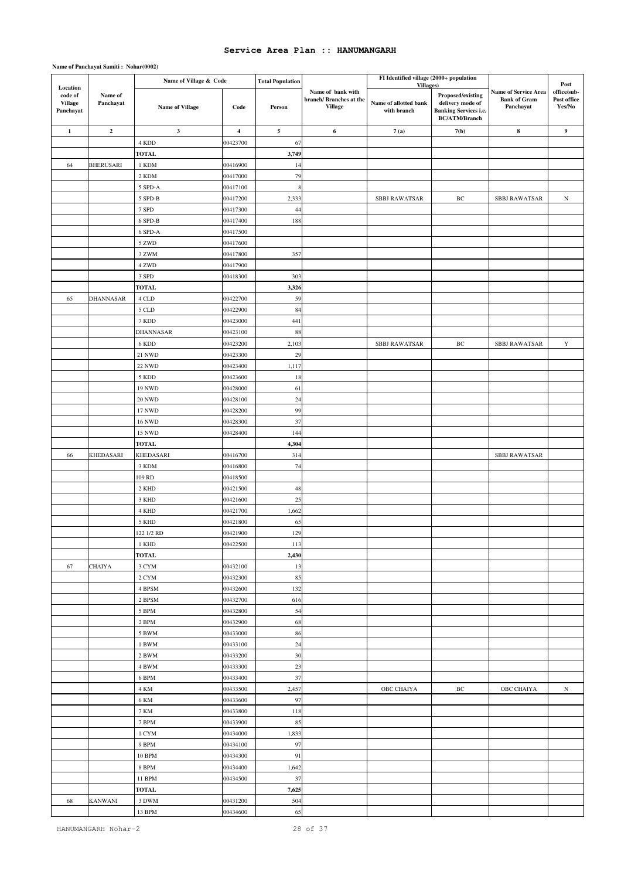|                                                    |                      | Name of Village & Code |                      | <b>Total Population</b> |                                                               | FI Identified village (2000+ population           |                                                                                               |                                                          |                                              |
|----------------------------------------------------|----------------------|------------------------|----------------------|-------------------------|---------------------------------------------------------------|---------------------------------------------------|-----------------------------------------------------------------------------------------------|----------------------------------------------------------|----------------------------------------------|
| Location<br>code of<br><b>Village</b><br>Panchayat | Name of<br>Panchayat | Name of Village        | Code                 | Person                  | Name of bank with<br>branch/Branches at the<br><b>Village</b> | Villages)<br>Name of allotted bank<br>with branch | Proposed/existing<br>delivery mode of<br><b>Banking Services i.e.</b><br><b>BC/ATM/Branch</b> | Name of Service Area<br><b>Bank of Gram</b><br>Panchayat | Post<br>office/sub-<br>Post office<br>Yes/No |
| $\mathbf 1$                                        | $\mathbf 2$          | $\mathbf{3}$           | $\boldsymbol{4}$     | 5                       | 6                                                             | 7(a)                                              | 7(b)                                                                                          | $\bf8$                                                   | 9                                            |
|                                                    |                      | 4 KDD                  | 00423700             | 67                      |                                                               |                                                   |                                                                                               |                                                          |                                              |
|                                                    |                      | <b>TOTAL</b>           |                      | 3,749                   |                                                               |                                                   |                                                                                               |                                                          |                                              |
| 64                                                 | <b>BHERUSARI</b>     | 1 KDM                  | 00416900             | 14                      |                                                               |                                                   |                                                                                               |                                                          |                                              |
|                                                    |                      | 2 KDM                  | 00417000             | 79                      |                                                               |                                                   |                                                                                               |                                                          |                                              |
|                                                    |                      | 5 SPD-A                | 00417100             | 8                       |                                                               |                                                   |                                                                                               |                                                          |                                              |
|                                                    |                      | 5 SPD-B                | 00417200             | 2,333                   |                                                               | <b>SBBJ RAWATSAR</b>                              | BC                                                                                            | <b>SBBJ RAWATSAR</b>                                     | ${\bf N}$                                    |
|                                                    |                      | 7 SPD                  | 00417300             | 44                      |                                                               |                                                   |                                                                                               |                                                          |                                              |
|                                                    |                      | 6 SPD-B                | 00417400             | 188                     |                                                               |                                                   |                                                                                               |                                                          |                                              |
|                                                    |                      | 6 SPD-A                | 00417500             |                         |                                                               |                                                   |                                                                                               |                                                          |                                              |
|                                                    |                      | 5 ZWD                  | 00417600             |                         |                                                               |                                                   |                                                                                               |                                                          |                                              |
|                                                    |                      | 3 ZWM                  | 00417800             | 357                     |                                                               |                                                   |                                                                                               |                                                          |                                              |
|                                                    |                      | 4 ZWD                  | 00417900             |                         |                                                               |                                                   |                                                                                               |                                                          |                                              |
|                                                    |                      | 3 SPD                  | 00418300             | 303                     |                                                               |                                                   |                                                                                               |                                                          |                                              |
|                                                    |                      | <b>TOTAL</b>           |                      | 3,326                   |                                                               |                                                   |                                                                                               |                                                          |                                              |
| 65                                                 | DHANNASAR            | $4\ \mathrm{CLD}$      | 00422700             | 59                      |                                                               |                                                   |                                                                                               |                                                          |                                              |
|                                                    |                      | $5$ CLD $\,$           | 00422900             | 84                      |                                                               |                                                   |                                                                                               |                                                          |                                              |
|                                                    |                      | 7 KDD                  | 00423000             | 441                     |                                                               |                                                   |                                                                                               |                                                          |                                              |
|                                                    |                      | DHANNASAR              | 00423100             | $88\,$                  |                                                               |                                                   |                                                                                               |                                                          |                                              |
|                                                    |                      | 6 KDD                  | 00423200             | 2,103                   |                                                               | <b>SBBJ RAWATSAR</b>                              | BC                                                                                            | <b>SBBJ RAWATSAR</b>                                     | Y                                            |
|                                                    |                      | $21\ \mathrm{NWD}$     | 00423300             | 29                      |                                                               |                                                   |                                                                                               |                                                          |                                              |
|                                                    |                      | <b>22 NWD</b>          | 00423400             | 1,117                   |                                                               |                                                   |                                                                                               |                                                          |                                              |
|                                                    |                      | 5 KDD                  | 00423600             | $18\,$                  |                                                               |                                                   |                                                                                               |                                                          |                                              |
|                                                    |                      | <b>19 NWD</b>          | 00428000             | 61                      |                                                               |                                                   |                                                                                               |                                                          |                                              |
|                                                    |                      | <b>20 NWD</b>          | 00428100             | 24                      |                                                               |                                                   |                                                                                               |                                                          |                                              |
|                                                    |                      | 17 NWD                 | 00428200             | 99                      |                                                               |                                                   |                                                                                               |                                                          |                                              |
|                                                    |                      | <b>16 NWD</b>          | 00428300             | 37                      |                                                               |                                                   |                                                                                               |                                                          |                                              |
|                                                    |                      | 15 NWD                 | 00428400             | 144                     |                                                               |                                                   |                                                                                               |                                                          |                                              |
|                                                    |                      | <b>TOTAL</b>           |                      | 4,304                   |                                                               |                                                   |                                                                                               |                                                          |                                              |
| 66                                                 | KHEDASARI            | KHEDASARI              | 00416700             | 314                     |                                                               |                                                   |                                                                                               | <b>SBBJ RAWATSAR</b>                                     |                                              |
|                                                    |                      | 3 KDM                  | 00416800             | 74                      |                                                               |                                                   |                                                                                               |                                                          |                                              |
|                                                    |                      | 109 RD                 | 00418500             |                         |                                                               |                                                   |                                                                                               |                                                          |                                              |
|                                                    |                      | 2 KHD<br>3 KHD         | 00421500<br>00421600 | 48                      |                                                               |                                                   |                                                                                               |                                                          |                                              |
|                                                    |                      |                        |                      | 25<br>1,662             |                                                               |                                                   |                                                                                               |                                                          |                                              |
|                                                    |                      | 4 KHD<br>5 KHD         | 00421700<br>00421800 | 65                      |                                                               |                                                   |                                                                                               |                                                          |                                              |
|                                                    |                      | 122 1/2 RD             | 00421900             | 129                     |                                                               |                                                   |                                                                                               |                                                          |                                              |
|                                                    |                      | 1 KHD                  | 00422500             | 113                     |                                                               |                                                   |                                                                                               |                                                          |                                              |
|                                                    |                      | <b>TOTAL</b>           |                      | 2,430                   |                                                               |                                                   |                                                                                               |                                                          |                                              |
| 67                                                 | CHAIYA               | 3 CYM                  | 00432100             | 13                      |                                                               |                                                   |                                                                                               |                                                          |                                              |
|                                                    |                      | $2~\mathrm{CYM}$       | 00432300             | 85                      |                                                               |                                                   |                                                                                               |                                                          |                                              |
|                                                    |                      | 4 BPSM                 | 00432600             | 132                     |                                                               |                                                   |                                                                                               |                                                          |                                              |
|                                                    |                      | $2$ BPSM $\,$          | 00432700             | 616                     |                                                               |                                                   |                                                                                               |                                                          |                                              |
|                                                    |                      | 5 BPM                  | 00432800             | 54                      |                                                               |                                                   |                                                                                               |                                                          |                                              |
|                                                    |                      | 2 BPM                  | 00432900             | 68                      |                                                               |                                                   |                                                                                               |                                                          |                                              |
|                                                    |                      | 5 BWM                  | 00433000             | 86                      |                                                               |                                                   |                                                                                               |                                                          |                                              |
|                                                    |                      | 1 BWM                  | 00433100             | 24                      |                                                               |                                                   |                                                                                               |                                                          |                                              |
|                                                    |                      | 2 BWM                  | 00433200             | 30                      |                                                               |                                                   |                                                                                               |                                                          |                                              |
|                                                    |                      | 4 BWM                  | 00433300             | 23                      |                                                               |                                                   |                                                                                               |                                                          |                                              |
|                                                    |                      | 6 BPM                  | 00433400             | 37                      |                                                               |                                                   |                                                                                               |                                                          |                                              |
|                                                    |                      | 4 KM                   | 00433500             | 2,457                   |                                                               | OBC CHAIYA                                        | BC                                                                                            | OBC CHAIYA                                               | ${\rm N}$                                    |
|                                                    |                      | 6 KM                   | 00433600             | 97                      |                                                               |                                                   |                                                                                               |                                                          |                                              |
|                                                    |                      | 7 KM                   | 00433800             | 118                     |                                                               |                                                   |                                                                                               |                                                          |                                              |
|                                                    |                      | 7 BPM                  | 00433900             | 85                      |                                                               |                                                   |                                                                                               |                                                          |                                              |
|                                                    |                      | 1 CYM                  | 00434000             | 1,833                   |                                                               |                                                   |                                                                                               |                                                          |                                              |
|                                                    |                      | 9 BPM                  | 00434100             | 97                      |                                                               |                                                   |                                                                                               |                                                          |                                              |
|                                                    |                      | 10 BPM                 | 00434300             | 91                      |                                                               |                                                   |                                                                                               |                                                          |                                              |
|                                                    |                      | 8 BPM                  | 00434400             | 1,642                   |                                                               |                                                   |                                                                                               |                                                          |                                              |
|                                                    |                      | 11 BPM                 | 00434500             | 37                      |                                                               |                                                   |                                                                                               |                                                          |                                              |
|                                                    |                      | <b>TOTAL</b>           |                      | 7,625                   |                                                               |                                                   |                                                                                               |                                                          |                                              |
| 68                                                 | KANWANI              | 3 DWM                  | 00431200             | 504                     |                                                               |                                                   |                                                                                               |                                                          |                                              |
|                                                    |                      | 13 BPM                 | 00434600             | 65                      |                                                               |                                                   |                                                                                               |                                                          |                                              |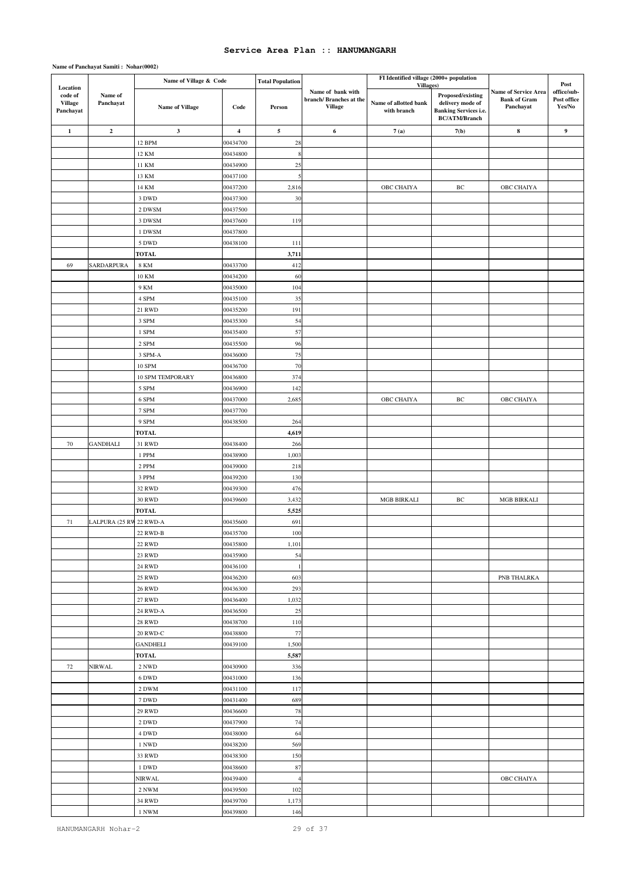|                                                    |                         | Name of Village & Code         |                      | <b>Total Population</b> |                                                               | FI Identified village (2000+ population           |                                                                                               |                                                          |                                              |
|----------------------------------------------------|-------------------------|--------------------------------|----------------------|-------------------------|---------------------------------------------------------------|---------------------------------------------------|-----------------------------------------------------------------------------------------------|----------------------------------------------------------|----------------------------------------------|
| Location<br>code of<br><b>Village</b><br>Panchayat | Name of<br>Panchayat    | Name of Village                | Code                 | Person                  | Name of bank with<br>branch/Branches at the<br><b>Village</b> | Villages)<br>Name of allotted bank<br>with branch | Proposed/existing<br>delivery mode of<br><b>Banking Services i.e.</b><br><b>BC/ATM/Branch</b> | Name of Service Area<br><b>Bank of Gram</b><br>Panchayat | Post<br>office/sub-<br>Post office<br>Yes/No |
| $\mathbf 1$                                        | $\mathbf 2$             | $\mathbf{3}$                   | $\boldsymbol{4}$     | 5                       | 6                                                             | 7(a)                                              | 7(b)                                                                                          | $\bf8$                                                   | 9                                            |
|                                                    |                         | 12 BPM                         | 00434700             | 28                      |                                                               |                                                   |                                                                                               |                                                          |                                              |
|                                                    |                         | 12 KM                          | 00434800             | 8                       |                                                               |                                                   |                                                                                               |                                                          |                                              |
|                                                    |                         | 11 KM                          | 00434900             | 25                      |                                                               |                                                   |                                                                                               |                                                          |                                              |
|                                                    |                         | 13 KM                          | 00437100             | 5                       |                                                               |                                                   |                                                                                               |                                                          |                                              |
|                                                    |                         | 14 KM                          | 00437200             | 2,816                   |                                                               | OBC CHAIYA                                        | BC                                                                                            | OBC CHAIYA                                               |                                              |
|                                                    |                         | 3 DWD                          | 00437300             | 30                      |                                                               |                                                   |                                                                                               |                                                          |                                              |
|                                                    |                         | 2 DWSM                         | 00437500             |                         |                                                               |                                                   |                                                                                               |                                                          |                                              |
|                                                    |                         | 3 DWSM                         | 00437600             | 119                     |                                                               |                                                   |                                                                                               |                                                          |                                              |
|                                                    |                         | 1 DWSM                         | 00437800             |                         |                                                               |                                                   |                                                                                               |                                                          |                                              |
|                                                    |                         | 5 DWD                          | 00438100             | 111                     |                                                               |                                                   |                                                                                               |                                                          |                                              |
|                                                    |                         | <b>TOTAL</b>                   |                      | 3,711                   |                                                               |                                                   |                                                                                               |                                                          |                                              |
| 69                                                 | SARDARPURA              | <b>8 KM</b>                    | 00433700             | 412                     |                                                               |                                                   |                                                                                               |                                                          |                                              |
|                                                    |                         | 10 KM                          | 00434200             | 60                      |                                                               |                                                   |                                                                                               |                                                          |                                              |
|                                                    |                         | 9 KM                           | 00435000             | 104                     |                                                               |                                                   |                                                                                               |                                                          |                                              |
|                                                    |                         | 4 SPM                          | 00435100             | 35                      |                                                               |                                                   |                                                                                               |                                                          |                                              |
|                                                    |                         | 21 RWD                         | 00435200             | 191                     |                                                               |                                                   |                                                                                               |                                                          |                                              |
|                                                    |                         | 3 SPM                          | 00435300             | 54                      |                                                               |                                                   |                                                                                               |                                                          |                                              |
|                                                    |                         | 1 SPM<br>$2$ SPM $\,$          | 00435400<br>00435500 | 57<br>96                |                                                               |                                                   |                                                                                               |                                                          |                                              |
|                                                    |                         | 3 SPM-A                        | 00436000             | 75                      |                                                               |                                                   |                                                                                               |                                                          |                                              |
|                                                    |                         | <b>10 SPM</b>                  | 00436700             | 70                      |                                                               |                                                   |                                                                                               |                                                          |                                              |
|                                                    |                         | 10 SPM TEMPORARY               | 00436800             | 374                     |                                                               |                                                   |                                                                                               |                                                          |                                              |
|                                                    |                         | 5 SPM                          | 00436900             | 142                     |                                                               |                                                   |                                                                                               |                                                          |                                              |
|                                                    |                         | 6 SPM                          | 00437000             | 2,685                   |                                                               | OBC CHAIYA                                        | BC                                                                                            | OBC CHAIYA                                               |                                              |
|                                                    |                         | 7 SPM                          | 00437700             |                         |                                                               |                                                   |                                                                                               |                                                          |                                              |
|                                                    |                         | 9 SPM                          | 00438500             | 264                     |                                                               |                                                   |                                                                                               |                                                          |                                              |
|                                                    |                         | <b>TOTAL</b>                   |                      | 4,619                   |                                                               |                                                   |                                                                                               |                                                          |                                              |
| 70                                                 | <b>GANDHALI</b>         | 31 RWD                         | 00438400             | 266                     |                                                               |                                                   |                                                                                               |                                                          |                                              |
|                                                    |                         | 1 PPM                          | 00438900             | 1,003                   |                                                               |                                                   |                                                                                               |                                                          |                                              |
|                                                    |                         | 2 PPM                          | 00439000             | 218                     |                                                               |                                                   |                                                                                               |                                                          |                                              |
|                                                    |                         | 3 PPM                          | 00439200             | 130                     |                                                               |                                                   |                                                                                               |                                                          |                                              |
|                                                    |                         | 32 RWD                         | 00439300             | 476                     |                                                               |                                                   |                                                                                               |                                                          |                                              |
|                                                    |                         | <b>30 RWD</b>                  | 00439600             | 3,432                   |                                                               | <b>MGB BIRKALI</b>                                | BC                                                                                            | <b>MGB BIRKALI</b>                                       |                                              |
|                                                    |                         | <b>TOTAL</b>                   |                      | 5,525                   |                                                               |                                                   |                                                                                               |                                                          |                                              |
| 71                                                 | LALPURA (25 RW 22 RWD-A |                                | 00435600             | 691                     |                                                               |                                                   |                                                                                               |                                                          |                                              |
|                                                    |                         | 22 RWD-B                       | 00435700             | 100                     |                                                               |                                                   |                                                                                               |                                                          |                                              |
|                                                    |                         | <b>22 RWD</b>                  | 00435800             | 1,101                   |                                                               |                                                   |                                                                                               |                                                          |                                              |
|                                                    |                         | 23 RWD                         | 00435900             | 54                      |                                                               |                                                   |                                                                                               |                                                          |                                              |
|                                                    |                         | <b>24 RWD</b>                  | 00436100             |                         |                                                               |                                                   |                                                                                               |                                                          |                                              |
|                                                    |                         | <b>25 RWD</b><br><b>26 RWD</b> | 00436200<br>00436300 | 603<br>293              |                                                               |                                                   |                                                                                               | PNB THALRKA                                              |                                              |
|                                                    |                         | <b>27 RWD</b>                  | 00436400             | 1,032                   |                                                               |                                                   |                                                                                               |                                                          |                                              |
|                                                    |                         | 24 RWD-A                       | 00436500             | 25                      |                                                               |                                                   |                                                                                               |                                                          |                                              |
|                                                    |                         | $28~\mathrm{RWD}$              | 00438700             | 110                     |                                                               |                                                   |                                                                                               |                                                          |                                              |
|                                                    |                         | 20 RWD-C                       | 00438800             | $77\,$                  |                                                               |                                                   |                                                                                               |                                                          |                                              |
|                                                    |                         | <b>GANDHELI</b>                | 00439100             | 1,500                   |                                                               |                                                   |                                                                                               |                                                          |                                              |
|                                                    |                         | <b>TOTAL</b>                   |                      | 5,587                   |                                                               |                                                   |                                                                                               |                                                          |                                              |
| 72                                                 | NIRWAL                  | 2 NWD                          | 00430900             | 336                     |                                                               |                                                   |                                                                                               |                                                          |                                              |
|                                                    |                         | 6 DWD                          | 00431000             | 136                     |                                                               |                                                   |                                                                                               |                                                          |                                              |
|                                                    |                         | 2 DWM                          | 00431100             | 117                     |                                                               |                                                   |                                                                                               |                                                          |                                              |
|                                                    |                         | 7 DWD                          | 00431400             | 689                     |                                                               |                                                   |                                                                                               |                                                          |                                              |
|                                                    |                         | <b>29 RWD</b>                  | 00436600             | 78                      |                                                               |                                                   |                                                                                               |                                                          |                                              |
|                                                    |                         | 2 DWD                          | 00437900             | 74                      |                                                               |                                                   |                                                                                               |                                                          |                                              |
|                                                    |                         | 4 DWD                          | 00438000             | 64                      |                                                               |                                                   |                                                                                               |                                                          |                                              |
|                                                    |                         | 1 NWD                          | 00438200             | 569                     |                                                               |                                                   |                                                                                               |                                                          |                                              |
|                                                    |                         | 33 RWD                         | 00438300             | 150                     |                                                               |                                                   |                                                                                               |                                                          |                                              |
|                                                    |                         | 1 DWD                          | 00438600             | 87                      |                                                               |                                                   |                                                                                               |                                                          |                                              |
|                                                    |                         | NIRWAL                         | 00439400             | 4                       |                                                               |                                                   |                                                                                               | OBC CHAIYA                                               |                                              |
|                                                    |                         | 2 NWM                          | 00439500             | 102                     |                                                               |                                                   |                                                                                               |                                                          |                                              |
|                                                    |                         | <b>34 RWD</b>                  | 00439700             | 1,173                   |                                                               |                                                   |                                                                                               |                                                          |                                              |
|                                                    |                         | 1 NWM                          | 00439800             | 146                     |                                                               |                                                   |                                                                                               |                                                          |                                              |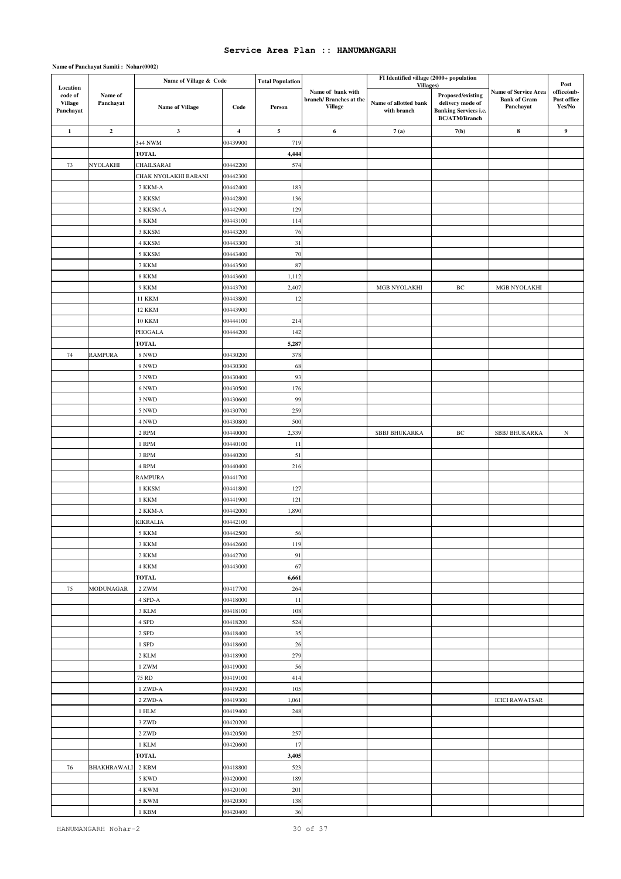|                                                    |                         | Name of Village & Code  |                      | <b>Total Population</b> |                                                               | FI Identified village (2000+ population           |                                                                                               |                                                          |                                              |
|----------------------------------------------------|-------------------------|-------------------------|----------------------|-------------------------|---------------------------------------------------------------|---------------------------------------------------|-----------------------------------------------------------------------------------------------|----------------------------------------------------------|----------------------------------------------|
| Location<br>code of<br><b>Village</b><br>Panchayat | Name of<br>Panchayat    | Name of Village         | Code                 | Person                  | Name of bank with<br>branch/Branches at the<br><b>Village</b> | Villages)<br>Name of allotted bank<br>with branch | Proposed/existing<br>delivery mode of<br><b>Banking Services i.e.</b><br><b>BC/ATM/Branch</b> | Name of Service Area<br><b>Bank of Gram</b><br>Panchayat | Post<br>office/sub-<br>Post office<br>Yes/No |
| $\mathbf 1$                                        | $\overline{\mathbf{c}}$ | $\mathbf{3}$            | $\boldsymbol{4}$     | 5                       | 6                                                             | 7(a)                                              | 7(b)                                                                                          | $\bf8$                                                   | 9                                            |
|                                                    |                         | 3+4 NWM                 | 00439900             | 719                     |                                                               |                                                   |                                                                                               |                                                          |                                              |
|                                                    |                         | <b>TOTAL</b>            |                      | 4,444                   |                                                               |                                                   |                                                                                               |                                                          |                                              |
| 73                                                 | NYOLAKHI                | CHAILSARAI              | 00442200             | 574                     |                                                               |                                                   |                                                                                               |                                                          |                                              |
|                                                    |                         | CHAK NYOLAKHI BARANI    | 00442300             |                         |                                                               |                                                   |                                                                                               |                                                          |                                              |
|                                                    |                         | 7 KKM-A                 | 00442400             | 183                     |                                                               |                                                   |                                                                                               |                                                          |                                              |
|                                                    |                         | 2 KKSM                  | 00442800             | 136                     |                                                               |                                                   |                                                                                               |                                                          |                                              |
|                                                    |                         | 2 KKSM-A                | 00442900             | 129                     |                                                               |                                                   |                                                                                               |                                                          |                                              |
|                                                    |                         | 6 KKM                   | 00443100             | 114                     |                                                               |                                                   |                                                                                               |                                                          |                                              |
|                                                    |                         | 3 KKSM                  | 00443200             | 76                      |                                                               |                                                   |                                                                                               |                                                          |                                              |
|                                                    |                         | 4 KKSM                  | 00443300             | 31                      |                                                               |                                                   |                                                                                               |                                                          |                                              |
|                                                    |                         | 5 KKSM                  | 00443400             | 70                      |                                                               |                                                   |                                                                                               |                                                          |                                              |
|                                                    |                         | 7 KKM                   | 00443500             | 87                      |                                                               |                                                   |                                                                                               |                                                          |                                              |
|                                                    |                         | <b>8 KKM</b>            | 00443600             | 1,112                   |                                                               |                                                   |                                                                                               |                                                          |                                              |
|                                                    |                         | <b>9 KKM</b>            | 00443700             | 2,407                   |                                                               | MGB NYOLAKHI                                      | BC                                                                                            | MGB NYOLAKHI                                             |                                              |
|                                                    |                         | <b>11 KKM</b>           | 00443800             | 12                      |                                                               |                                                   |                                                                                               |                                                          |                                              |
|                                                    |                         | <b>12 KKM</b>           | 00443900             |                         |                                                               |                                                   |                                                                                               |                                                          |                                              |
|                                                    |                         | <b>10 KKM</b>           | 00444100             | 214                     |                                                               |                                                   |                                                                                               |                                                          |                                              |
|                                                    |                         | PHOGALA                 | 00444200             | 142                     |                                                               |                                                   |                                                                                               |                                                          |                                              |
|                                                    |                         | <b>TOTAL</b>            |                      | 5,287                   |                                                               |                                                   |                                                                                               |                                                          |                                              |
| 74                                                 | <b>RAMPURA</b>          | 8 NWD                   | 00430200             | 378                     |                                                               |                                                   |                                                                                               |                                                          |                                              |
|                                                    |                         | 9 NWD                   | 00430300             | 68                      |                                                               |                                                   |                                                                                               |                                                          |                                              |
|                                                    |                         | 7 NWD                   | 00430400             | 93                      |                                                               |                                                   |                                                                                               |                                                          |                                              |
|                                                    |                         | 6 NWD                   | 00430500             | 176                     |                                                               |                                                   |                                                                                               |                                                          |                                              |
|                                                    |                         | 3 NWD                   | 00430600             | 99                      |                                                               |                                                   |                                                                                               |                                                          |                                              |
|                                                    |                         | 5 NWD                   | 00430700             | 259                     |                                                               |                                                   |                                                                                               |                                                          |                                              |
|                                                    |                         | 4 NWD                   | 00430800             | 500                     |                                                               |                                                   |                                                                                               |                                                          |                                              |
|                                                    |                         | 2 RPM                   | 00440000             | 2,339                   |                                                               | <b>SBBJ BHUKARKA</b>                              | BC                                                                                            | <b>SBBJ BHUKARKA</b>                                     | $_{\rm N}$                                   |
|                                                    |                         | 1 RPM                   | 00440100             | 11                      |                                                               |                                                   |                                                                                               |                                                          |                                              |
|                                                    |                         | 3 RPM                   | 00440200             | 51                      |                                                               |                                                   |                                                                                               |                                                          |                                              |
|                                                    |                         | 4 RPM                   | 00440400             | 216                     |                                                               |                                                   |                                                                                               |                                                          |                                              |
|                                                    |                         | RAMPURA                 | 00441700             |                         |                                                               |                                                   |                                                                                               |                                                          |                                              |
|                                                    |                         | 1 KKSM                  | 00441800             | 127                     |                                                               |                                                   |                                                                                               |                                                          |                                              |
|                                                    |                         | 1 KKM                   | 00441900             | 121                     |                                                               |                                                   |                                                                                               |                                                          |                                              |
|                                                    |                         | 2 KKM-A                 | 00442000             | 1,890                   |                                                               |                                                   |                                                                                               |                                                          |                                              |
|                                                    |                         | KIKRALIA                | 00442100             |                         |                                                               |                                                   |                                                                                               |                                                          |                                              |
|                                                    |                         | 5 KKM                   | 00442500             | 56                      |                                                               |                                                   |                                                                                               |                                                          |                                              |
|                                                    |                         | 3 KKM                   | 00442600             | 119                     |                                                               |                                                   |                                                                                               |                                                          |                                              |
|                                                    |                         | 2 KKM                   | 00442700             | 91                      |                                                               |                                                   |                                                                                               |                                                          |                                              |
|                                                    |                         | 4 KKM                   | 00443000             | 67                      |                                                               |                                                   |                                                                                               |                                                          |                                              |
|                                                    |                         | <b>TOTAL</b>            |                      | 6,661                   |                                                               |                                                   |                                                                                               |                                                          |                                              |
| 75                                                 | MODUNAGAR               | 2 ZWM                   | 00417700             | 264                     |                                                               |                                                   |                                                                                               |                                                          |                                              |
|                                                    |                         | $4$ SPD-A $\,$<br>3 KLM | 00418000<br>00418100 | 11<br>108               |                                                               |                                                   |                                                                                               |                                                          |                                              |
|                                                    |                         | 4 SPD                   | 00418200             | 524                     |                                                               |                                                   |                                                                                               |                                                          |                                              |
|                                                    |                         | 2 SPD                   | 00418400             | 35                      |                                                               |                                                   |                                                                                               |                                                          |                                              |
|                                                    |                         | 1 SPD                   | 00418600             | 26                      |                                                               |                                                   |                                                                                               |                                                          |                                              |
|                                                    |                         | 2 KLM                   | 00418900             | 279                     |                                                               |                                                   |                                                                                               |                                                          |                                              |
|                                                    |                         | 1 ZWM                   | 00419000             | 56                      |                                                               |                                                   |                                                                                               |                                                          |                                              |
|                                                    |                         | 75 RD                   | 00419100             | 414                     |                                                               |                                                   |                                                                                               |                                                          |                                              |
|                                                    |                         | 1 ZWD-A                 | 00419200             | 105                     |                                                               |                                                   |                                                                                               |                                                          |                                              |
|                                                    |                         | 2 ZWD-A                 | 00419300             | 1,061                   |                                                               |                                                   |                                                                                               | <b>ICICI RAWATSAR</b>                                    |                                              |
|                                                    |                         | 1 HLM                   | 00419400             | 248                     |                                                               |                                                   |                                                                                               |                                                          |                                              |
|                                                    |                         | 3 ZWD                   | 00420200             |                         |                                                               |                                                   |                                                                                               |                                                          |                                              |
|                                                    |                         | 2 ZWD                   | 00420500             | 257                     |                                                               |                                                   |                                                                                               |                                                          |                                              |
|                                                    |                         | 1 KLM                   | 00420600             | 17                      |                                                               |                                                   |                                                                                               |                                                          |                                              |
|                                                    |                         | <b>TOTAL</b>            |                      | 3,405                   |                                                               |                                                   |                                                                                               |                                                          |                                              |
| 76                                                 | BHAKHRAWALI             | 2 KBM                   | 00418800             | 523                     |                                                               |                                                   |                                                                                               |                                                          |                                              |
|                                                    |                         | 5 KWD                   | 00420000             | 189                     |                                                               |                                                   |                                                                                               |                                                          |                                              |
|                                                    |                         | 4 KWM                   | 00420100             | 201                     |                                                               |                                                   |                                                                                               |                                                          |                                              |
|                                                    |                         | 5 KWM                   | 00420300             | 138                     |                                                               |                                                   |                                                                                               |                                                          |                                              |
|                                                    |                         | 1 KBM                   | 00420400             | 36                      |                                                               |                                                   |                                                                                               |                                                          |                                              |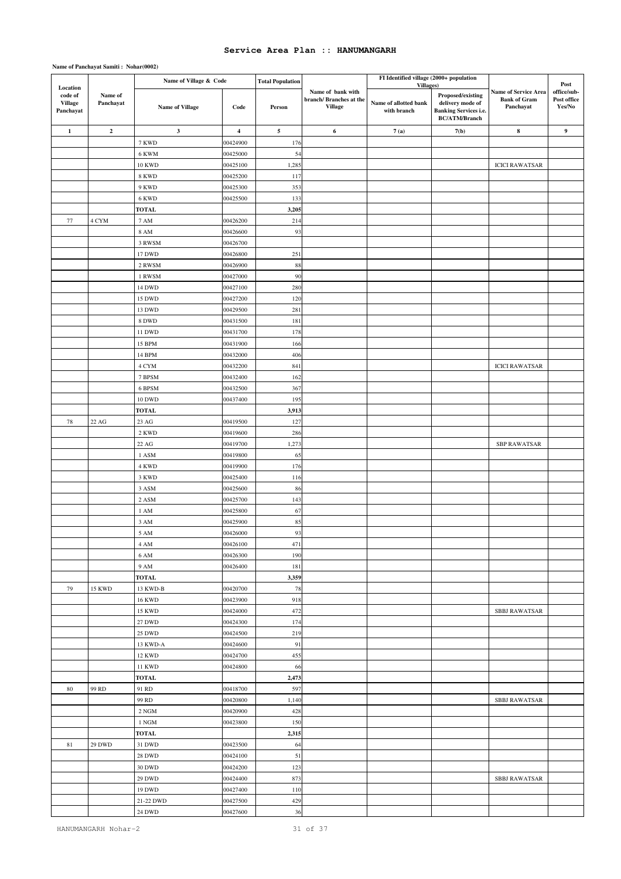|                                                    |                         | Name of Village & Code         |                      | <b>Total Population</b> |                                                                | FI Identified village (2000+ population           |                                                                                               |                                                                 | Post                                 |
|----------------------------------------------------|-------------------------|--------------------------------|----------------------|-------------------------|----------------------------------------------------------------|---------------------------------------------------|-----------------------------------------------------------------------------------------------|-----------------------------------------------------------------|--------------------------------------|
| Location<br>code of<br><b>Village</b><br>Panchayat | Name of<br>Panchayat    | <b>Name of Village</b>         | Code                 | Person                  | Name of bank with<br>branch/ Branches at the<br><b>Village</b> | Villages)<br>Name of allotted bank<br>with branch | Proposed/existing<br>delivery mode of<br><b>Banking Services i.e.</b><br><b>BC/ATM/Branch</b> | <b>Name of Service Area</b><br><b>Bank of Gram</b><br>Panchayat | office/sub-<br>Post office<br>Yes/No |
| $\mathbf 1$                                        | $\overline{\mathbf{c}}$ | $\mathbf{3}$                   | $\boldsymbol{4}$     | ${\mathbf 5}$           | 6                                                              | 7(a)                                              | 7(b)                                                                                          | $\bf8$                                                          | 9                                    |
|                                                    |                         | 7 KWD                          | 00424900             | 176                     |                                                                |                                                   |                                                                                               |                                                                 |                                      |
|                                                    |                         | 6 KWM                          | 00425000             | 54                      |                                                                |                                                   |                                                                                               |                                                                 |                                      |
|                                                    |                         | $10~\rm KWD$                   | 00425100             | 1,285                   |                                                                |                                                   |                                                                                               | <b>ICICI RAWATSAR</b>                                           |                                      |
|                                                    |                         | 8 KWD                          | 00425200             | 117                     |                                                                |                                                   |                                                                                               |                                                                 |                                      |
|                                                    |                         | 9 KWD                          | 00425300             | 353                     |                                                                |                                                   |                                                                                               |                                                                 |                                      |
|                                                    |                         | 6 KWD                          | 00425500             | 133                     |                                                                |                                                   |                                                                                               |                                                                 |                                      |
|                                                    |                         | <b>TOTAL</b>                   |                      | 3,205                   |                                                                |                                                   |                                                                                               |                                                                 |                                      |
| 77                                                 | 4 CYM                   | 7 AM                           | 00426200             | 214                     |                                                                |                                                   |                                                                                               |                                                                 |                                      |
|                                                    |                         | <b>8 AM</b>                    | 00426600             | 93                      |                                                                |                                                   |                                                                                               |                                                                 |                                      |
|                                                    |                         | 3 RWSM                         | 00426700             |                         |                                                                |                                                   |                                                                                               |                                                                 |                                      |
|                                                    |                         | 17 DWD<br>2 RWSM               | 00426800<br>00426900 | 251<br>88               |                                                                |                                                   |                                                                                               |                                                                 |                                      |
|                                                    |                         | 1 RWSM                         | 00427000             | 90                      |                                                                |                                                   |                                                                                               |                                                                 |                                      |
|                                                    |                         | 14 DWD                         | 00427100             | 280                     |                                                                |                                                   |                                                                                               |                                                                 |                                      |
|                                                    |                         | 15 DWD                         | 00427200             | 120                     |                                                                |                                                   |                                                                                               |                                                                 |                                      |
|                                                    |                         | 13 DWD                         | 00429500             | 281                     |                                                                |                                                   |                                                                                               |                                                                 |                                      |
|                                                    |                         | 8 DWD                          | 00431500             | 181                     |                                                                |                                                   |                                                                                               |                                                                 |                                      |
|                                                    |                         | 11 DWD                         | 00431700             | 178                     |                                                                |                                                   |                                                                                               |                                                                 |                                      |
|                                                    |                         | 15 BPM                         | 00431900             | 166                     |                                                                |                                                   |                                                                                               |                                                                 |                                      |
|                                                    |                         | 14 BPM                         | 00432000             | 406                     |                                                                |                                                   |                                                                                               |                                                                 |                                      |
|                                                    |                         | 4 CYM                          | 00432200             | 841                     |                                                                |                                                   |                                                                                               | <b>ICICI RAWATSAR</b>                                           |                                      |
|                                                    |                         | 7 BPSM                         | 00432400             | 162                     |                                                                |                                                   |                                                                                               |                                                                 |                                      |
|                                                    |                         | 6 BPSM                         | 00432500             | 367                     |                                                                |                                                   |                                                                                               |                                                                 |                                      |
|                                                    |                         | 10 DWD                         | 00437400             | 195                     |                                                                |                                                   |                                                                                               |                                                                 |                                      |
|                                                    |                         | <b>TOTAL</b>                   |                      | 3,913                   |                                                                |                                                   |                                                                                               |                                                                 |                                      |
| 78                                                 | 22 AG                   | $23\ \mathrm{AG}$              | 00419500             | 127                     |                                                                |                                                   |                                                                                               |                                                                 |                                      |
|                                                    |                         | 2 KWD                          | 00419600             | 286                     |                                                                |                                                   |                                                                                               |                                                                 |                                      |
|                                                    |                         | 22 AG                          | 00419700             | 1,273                   |                                                                |                                                   |                                                                                               | <b>SBP RAWATSAR</b>                                             |                                      |
|                                                    |                         | 1 ASM                          | 00419800             | 65                      |                                                                |                                                   |                                                                                               |                                                                 |                                      |
|                                                    |                         | 4 KWD                          | 00419900             | 176                     |                                                                |                                                   |                                                                                               |                                                                 |                                      |
|                                                    |                         | 3 KWD                          | 00425400             | 116                     |                                                                |                                                   |                                                                                               |                                                                 |                                      |
|                                                    |                         | 3 ASM<br>2 ASM                 | 00425600<br>00425700 | 86                      |                                                                |                                                   |                                                                                               |                                                                 |                                      |
|                                                    |                         | 1 AM                           | 00425800             | 143<br>67               |                                                                |                                                   |                                                                                               |                                                                 |                                      |
|                                                    |                         | 3 AM                           | 00425900             | 85                      |                                                                |                                                   |                                                                                               |                                                                 |                                      |
|                                                    |                         | 5 AM                           | 00426000             | 93                      |                                                                |                                                   |                                                                                               |                                                                 |                                      |
|                                                    |                         | 4 AM                           | 00426100             | 471                     |                                                                |                                                   |                                                                                               |                                                                 |                                      |
|                                                    |                         | 6 AM                           | 00426300             | 190                     |                                                                |                                                   |                                                                                               |                                                                 |                                      |
|                                                    |                         | 9 AM                           | 00426400             | 181                     |                                                                |                                                   |                                                                                               |                                                                 |                                      |
|                                                    |                         | <b>TOTAL</b>                   |                      | 3,359                   |                                                                |                                                   |                                                                                               |                                                                 |                                      |
| 79                                                 | <b>15 KWD</b>           | 13 KWD-B                       | 00420700             | 78                      |                                                                |                                                   |                                                                                               |                                                                 |                                      |
|                                                    |                         | <b>16 KWD</b>                  | 00423900             | 918                     |                                                                |                                                   |                                                                                               |                                                                 |                                      |
|                                                    |                         | <b>15 KWD</b>                  | 00424000             | 472                     |                                                                |                                                   |                                                                                               | SBBJ RAWATSAR                                                   |                                      |
|                                                    |                         | 27 DWD                         | 00424300             | 174                     |                                                                |                                                   |                                                                                               |                                                                 |                                      |
|                                                    |                         | <b>25 DWD</b>                  | 00424500             | 219                     |                                                                |                                                   |                                                                                               |                                                                 |                                      |
|                                                    |                         | 13 KWD-A                       | 00424600             | 91                      |                                                                |                                                   |                                                                                               |                                                                 |                                      |
|                                                    |                         | 12 KWD                         | 00424700             | 455                     |                                                                |                                                   |                                                                                               |                                                                 |                                      |
|                                                    |                         | 11 KWD                         | 00424800             | 66                      |                                                                |                                                   |                                                                                               |                                                                 |                                      |
|                                                    |                         | <b>TOTAL</b>                   |                      | 2,473                   |                                                                |                                                   |                                                                                               |                                                                 |                                      |
| 80                                                 | 99 RD                   | 91 RD                          | 00418700             | 597                     |                                                                |                                                   |                                                                                               |                                                                 |                                      |
|                                                    |                         | 99 RD                          | 00420800             | 1,140                   |                                                                |                                                   |                                                                                               | <b>SBBJ RAWATSAR</b>                                            |                                      |
|                                                    |                         | 2 NGM                          | 00420900             | 428                     |                                                                |                                                   |                                                                                               |                                                                 |                                      |
|                                                    |                         | 1 NGM                          | 00423800             | 150                     |                                                                |                                                   |                                                                                               |                                                                 |                                      |
|                                                    |                         | <b>TOTAL</b>                   |                      | 2,315                   |                                                                |                                                   |                                                                                               |                                                                 |                                      |
| 81                                                 | 29 DWD                  | $31$ DWD                       | 00423500             | 64                      |                                                                |                                                   |                                                                                               |                                                                 |                                      |
|                                                    |                         | <b>28 DWD</b><br><b>30 DWD</b> | 00424100<br>00424200 | 51<br>123               |                                                                |                                                   |                                                                                               |                                                                 |                                      |
|                                                    |                         | <b>29 DWD</b>                  | 00424400             | 873                     |                                                                |                                                   |                                                                                               | SBBJ RAWATSAR                                                   |                                      |
|                                                    |                         | 19 DWD                         | 00427400             | 110                     |                                                                |                                                   |                                                                                               |                                                                 |                                      |
|                                                    |                         | 21-22 DWD                      | 00427500             | 429                     |                                                                |                                                   |                                                                                               |                                                                 |                                      |
|                                                    |                         | $24~\rm{DWD}$                  | 00427600             | 36                      |                                                                |                                                   |                                                                                               |                                                                 |                                      |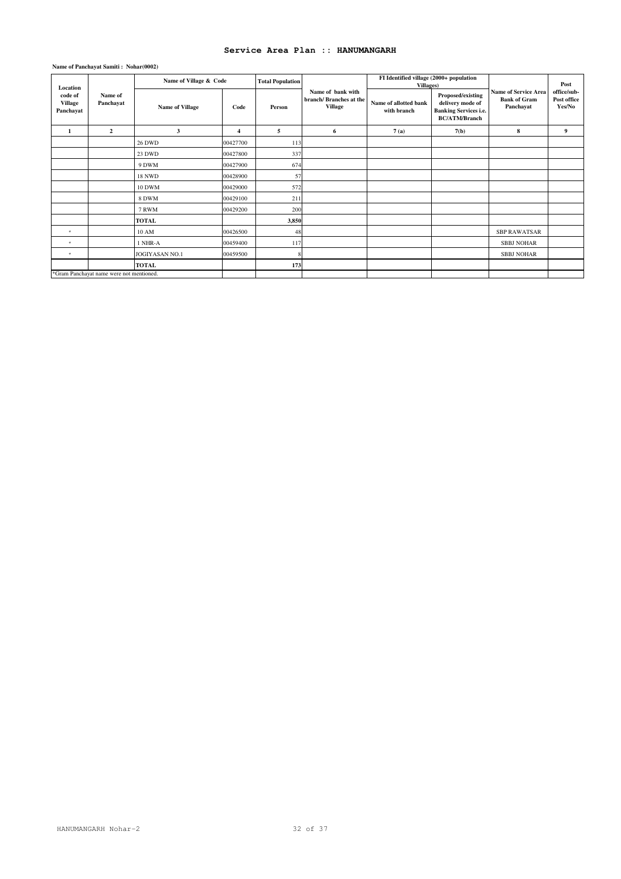| Location                               |                                          | Name of Village & Code |                | <b>Total Population</b> |                                                                | FI Identified village (2000+ population<br>Villages) |                                                                                               |                                                                 | Post                                 |
|----------------------------------------|------------------------------------------|------------------------|----------------|-------------------------|----------------------------------------------------------------|------------------------------------------------------|-----------------------------------------------------------------------------------------------|-----------------------------------------------------------------|--------------------------------------|
| code of<br><b>Village</b><br>Panchayat | Name of<br>Panchayat                     | <b>Name of Village</b> | Code           | Person                  | Name of bank with<br>branch/ Branches at the<br><b>Village</b> | Name of allotted bank<br>with branch                 | Proposed/existing<br>delivery mode of<br><b>Banking Services i.e.</b><br><b>BC/ATM/Branch</b> | <b>Name of Service Area</b><br><b>Bank of Gram</b><br>Panchayat | office/sub-<br>Post office<br>Yes/No |
| 1                                      | $\overline{2}$                           | 3                      | $\overline{4}$ | 5                       | 6                                                              | 7(a)                                                 | 7(b)                                                                                          | 8                                                               | 9                                    |
|                                        |                                          | <b>26 DWD</b>          | 00427700       | 113                     |                                                                |                                                      |                                                                                               |                                                                 |                                      |
|                                        |                                          | 23 DWD                 | 00427800       | 337                     |                                                                |                                                      |                                                                                               |                                                                 |                                      |
|                                        |                                          | 9 DWM                  | 00427900       | 674                     |                                                                |                                                      |                                                                                               |                                                                 |                                      |
|                                        |                                          | <b>18 NWD</b>          | 00428900       | 57                      |                                                                |                                                      |                                                                                               |                                                                 |                                      |
|                                        |                                          | <b>10 DWM</b>          | 00429000       | 572                     |                                                                |                                                      |                                                                                               |                                                                 |                                      |
|                                        |                                          | 8 DWM                  | 00429100       | 211                     |                                                                |                                                      |                                                                                               |                                                                 |                                      |
|                                        |                                          | 7 RWM                  | 00429200       | 200                     |                                                                |                                                      |                                                                                               |                                                                 |                                      |
|                                        |                                          | <b>TOTAL</b>           |                | 3,850                   |                                                                |                                                      |                                                                                               |                                                                 |                                      |
| $\star$                                |                                          | 10 AM                  | 00426500       | 48                      |                                                                |                                                      |                                                                                               | <b>SBP RAWATSAR</b>                                             |                                      |
| $\star$                                |                                          | 1 NHR-A                | 00459400       | 117                     |                                                                |                                                      |                                                                                               | <b>SBBJ NOHAR</b>                                               |                                      |
| $\star$                                |                                          | JOGIYASAN NO.1         | 00459500       |                         |                                                                |                                                      |                                                                                               | <b>SBBJ NOHAR</b>                                               |                                      |
|                                        |                                          | <b>TOTAL</b>           |                | 173                     |                                                                |                                                      |                                                                                               |                                                                 |                                      |
|                                        | *Gram Panchayat name were not mentioned. |                        |                |                         |                                                                |                                                      |                                                                                               |                                                                 |                                      |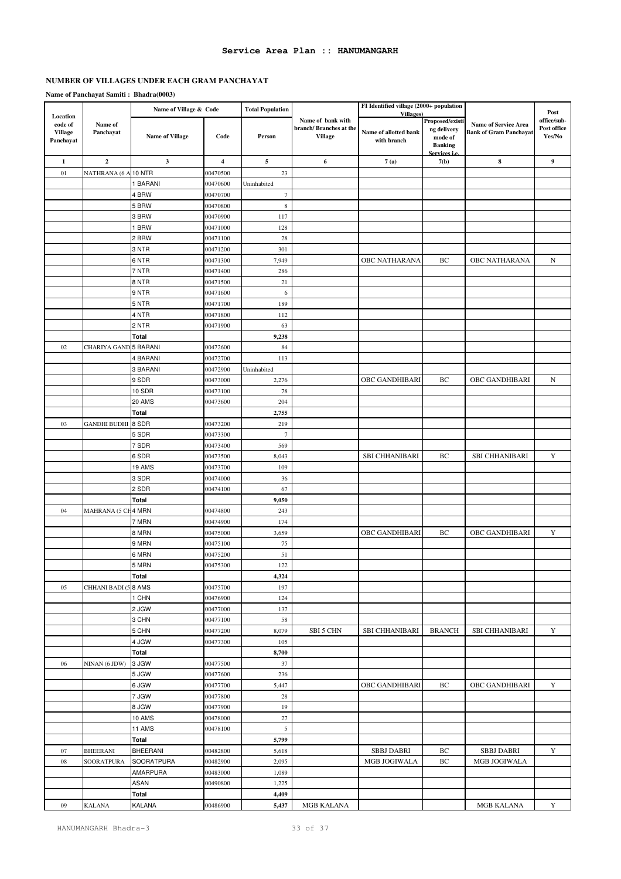# **NUMBER OF VILLAGES UNDER EACH GRAM PANCHAYAT**

|                                                    |                       | Name of Village & Code |                         | <b>Total Population</b> |                                                                | FI Identified village (2000+ population<br>Villages) |                                                             |                                                              | Post                                 |
|----------------------------------------------------|-----------------------|------------------------|-------------------------|-------------------------|----------------------------------------------------------------|------------------------------------------------------|-------------------------------------------------------------|--------------------------------------------------------------|--------------------------------------|
| Location<br>code of<br><b>Village</b><br>Panchayat | Name of<br>Panchayat  | <b>Name of Village</b> | Code                    | Person                  | Name of bank with<br>branch/ Branches at the<br><b>Village</b> | Name of allotted bank<br>with branch                 | Proposed/existi<br>ng delivery<br>mode of<br><b>Banking</b> | <b>Name of Service Area</b><br><b>Bank of Gram Panchayat</b> | office/sub-<br>Post office<br>Yes/No |
| 1                                                  | $\mathbf 2$           | $\mathbf{3}$           | $\overline{\mathbf{4}}$ | $\sqrt{5}$              | 6                                                              | 7(a)                                                 | Services <i>i.e.</i><br>7(b)                                | $\bf 8$                                                      | 9                                    |
| 01                                                 | NATHRANA (6 A         | <b>10 NTR</b>          | 00470500                | 23                      |                                                                |                                                      |                                                             |                                                              |                                      |
|                                                    |                       | 1 BARANI               | 00470600                | Uninhabited             |                                                                |                                                      |                                                             |                                                              |                                      |
|                                                    |                       | 4 BRW                  | 00470700                | $\boldsymbol{7}$        |                                                                |                                                      |                                                             |                                                              |                                      |
|                                                    |                       | 5 BRW                  | 00470800                | $\,$ 8 $\,$             |                                                                |                                                      |                                                             |                                                              |                                      |
|                                                    |                       | 3 BRW                  | 00470900                | 117                     |                                                                |                                                      |                                                             |                                                              |                                      |
|                                                    |                       | 1 BRW                  | 00471000                | 128                     |                                                                |                                                      |                                                             |                                                              |                                      |
|                                                    |                       | 2 BRW                  | 00471100                | 28                      |                                                                |                                                      |                                                             |                                                              |                                      |
|                                                    |                       | 3 NTR                  | 00471200                | 301                     |                                                                |                                                      |                                                             |                                                              |                                      |
|                                                    |                       | 6 NTR                  | 00471300                | 7,949                   |                                                                | OBC NATHARANA                                        | BC                                                          | OBC NATHARANA                                                | N                                    |
|                                                    |                       | 7 NTR                  | 00471400                | 286                     |                                                                |                                                      |                                                             |                                                              |                                      |
|                                                    |                       | 8 NTR                  | 00471500                | 21                      |                                                                |                                                      |                                                             |                                                              |                                      |
|                                                    |                       | 9 NTR                  | 00471600                | 6                       |                                                                |                                                      |                                                             |                                                              |                                      |
|                                                    |                       | 5 NTR                  | 00471700                | 189                     |                                                                |                                                      |                                                             |                                                              |                                      |
|                                                    |                       | 4 NTR                  | 00471800                | 112                     |                                                                |                                                      |                                                             |                                                              |                                      |
|                                                    |                       | 2 NTR                  | 00471900                | 63                      |                                                                |                                                      |                                                             |                                                              |                                      |
|                                                    |                       | Total                  |                         | 9,238                   |                                                                |                                                      |                                                             |                                                              |                                      |
| 02                                                 | CHARIYA GAND 5 BARANI |                        | 00472600                | 84                      |                                                                |                                                      |                                                             |                                                              |                                      |
|                                                    |                       | 4 BARANI               | 00472700                | 113                     |                                                                |                                                      |                                                             |                                                              |                                      |
|                                                    |                       | 3 BARANI               | 00472900                | Uninhabited             |                                                                |                                                      |                                                             |                                                              |                                      |
|                                                    |                       | 9 SDR                  | 00473000                | 2,276                   |                                                                | OBC GANDHIBARI                                       | BС                                                          | OBC GANDHIBARI                                               | $\mathbf N$                          |
|                                                    |                       | 10 SDR                 | 00473100                | 78                      |                                                                |                                                      |                                                             |                                                              |                                      |
|                                                    |                       | 20 AMS                 | 00473600                | 204                     |                                                                |                                                      |                                                             |                                                              |                                      |
|                                                    |                       | Total                  |                         | 2,755                   |                                                                |                                                      |                                                             |                                                              |                                      |
| 03                                                 | <b>GANDHI BUDHI</b>   | 8 SDR                  | 00473200                | 219                     |                                                                |                                                      |                                                             |                                                              |                                      |
|                                                    |                       | 5 SDR                  | 00473300                | $\boldsymbol{7}$        |                                                                |                                                      |                                                             |                                                              |                                      |
|                                                    |                       | 7 SDR                  | 00473400                | 569                     |                                                                | <b>SBI CHHANIBARI</b>                                | BC                                                          | <b>SBI CHHANIBARI</b>                                        | $\mathbf Y$                          |
|                                                    |                       | 6 SDR<br>19 AMS        | 00473500<br>00473700    | 8,043<br>109            |                                                                |                                                      |                                                             |                                                              |                                      |
|                                                    |                       | 3 SDR                  | 00474000                | 36                      |                                                                |                                                      |                                                             |                                                              |                                      |
|                                                    |                       | 2 SDR                  | 00474100                | 67                      |                                                                |                                                      |                                                             |                                                              |                                      |
|                                                    |                       | <b>Total</b>           |                         | 9,050                   |                                                                |                                                      |                                                             |                                                              |                                      |
| 04                                                 | MAHRANA (5 CH 4 MRN   |                        | 00474800                | 243                     |                                                                |                                                      |                                                             |                                                              |                                      |
|                                                    |                       | 7 MRN                  | 00474900                | 174                     |                                                                |                                                      |                                                             |                                                              |                                      |
|                                                    |                       | 8 MRN                  | 00475000                | 3,659                   |                                                                | OBC GANDHIBARI                                       | BC                                                          | OBC GANDHIBARI                                               | Y                                    |
|                                                    |                       | 9 MRN                  | 00475100                | 75                      |                                                                |                                                      |                                                             |                                                              |                                      |
|                                                    |                       | 6 MRN                  | 00475200                | 51                      |                                                                |                                                      |                                                             |                                                              |                                      |
|                                                    |                       | 5 MRN                  | 00475300                | 122                     |                                                                |                                                      |                                                             |                                                              |                                      |
|                                                    |                       | Total                  |                         | 4,324                   |                                                                |                                                      |                                                             |                                                              |                                      |
| 05                                                 | CHHANI BADI (5        | 8 AMS                  | 00475700                | 197                     |                                                                |                                                      |                                                             |                                                              |                                      |
|                                                    |                       | 1 CHN                  | 00476900                | 124                     |                                                                |                                                      |                                                             |                                                              |                                      |
|                                                    |                       | 2 JGW                  | 00477000                | 137                     |                                                                |                                                      |                                                             |                                                              |                                      |
|                                                    |                       | 3 CHN                  | 00477100                | 58                      |                                                                |                                                      |                                                             |                                                              |                                      |
|                                                    |                       | 5 CHN                  | 00477200                | 8,079                   | SBI 5 CHN                                                      | SBI CHHANIBARI                                       | <b>BRANCH</b>                                               | <b>SBI CHHANIBARI</b>                                        | Y                                    |
|                                                    |                       | 4 JGW                  | 00477300                | 105                     |                                                                |                                                      |                                                             |                                                              |                                      |
|                                                    |                       | Total<br>3 JGW         |                         | 8,700                   |                                                                |                                                      |                                                             |                                                              |                                      |
| 06                                                 | NINAN (6 JDW)         |                        | 00477500                | 37                      |                                                                |                                                      |                                                             |                                                              |                                      |
|                                                    |                       | 5 JGW<br>6 JGW         | 00477600<br>00477700    | 236<br>5,447            |                                                                | OBC GANDHIBARI                                       | BС                                                          | OBC GANDHIBARI                                               | Y                                    |
|                                                    |                       | 7 JGW                  | 00477800                | 28                      |                                                                |                                                      |                                                             |                                                              |                                      |
|                                                    |                       | 8 JGW                  | 00477900                | 19                      |                                                                |                                                      |                                                             |                                                              |                                      |
|                                                    |                       | 10 AMS                 | 00478000                | 27                      |                                                                |                                                      |                                                             |                                                              |                                      |
|                                                    |                       | 11 AMS                 | 00478100                | $\mathfrak{S}$          |                                                                |                                                      |                                                             |                                                              |                                      |
|                                                    |                       | Total                  |                         | 5,799                   |                                                                |                                                      |                                                             |                                                              |                                      |
| 07                                                 | <b>BHEERANI</b>       | <b>BHEERANI</b>        | 00482800                | 5,618                   |                                                                | <b>SBBJ DABRI</b>                                    | ВC                                                          | <b>SBBJ DABRI</b>                                            | Y                                    |
| 08                                                 | SOORATPURA            | SOORATPURA             | 00482900                | 2,095                   |                                                                | MGB JOGIWALA                                         | ВC                                                          | MGB JOGIWALA                                                 |                                      |
|                                                    |                       | AMARPURA               | 00483000                | 1,089                   |                                                                |                                                      |                                                             |                                                              |                                      |
|                                                    |                       | ASAN                   | 00490800                | 1,225                   |                                                                |                                                      |                                                             |                                                              |                                      |
|                                                    |                       | Total                  |                         | 4,409                   |                                                                |                                                      |                                                             |                                                              |                                      |
| 09                                                 | <b>KALANA</b>         | KALANA                 | 00486900                | 5,437                   | MGB KALANA                                                     |                                                      |                                                             | MGB KALANA                                                   | Y                                    |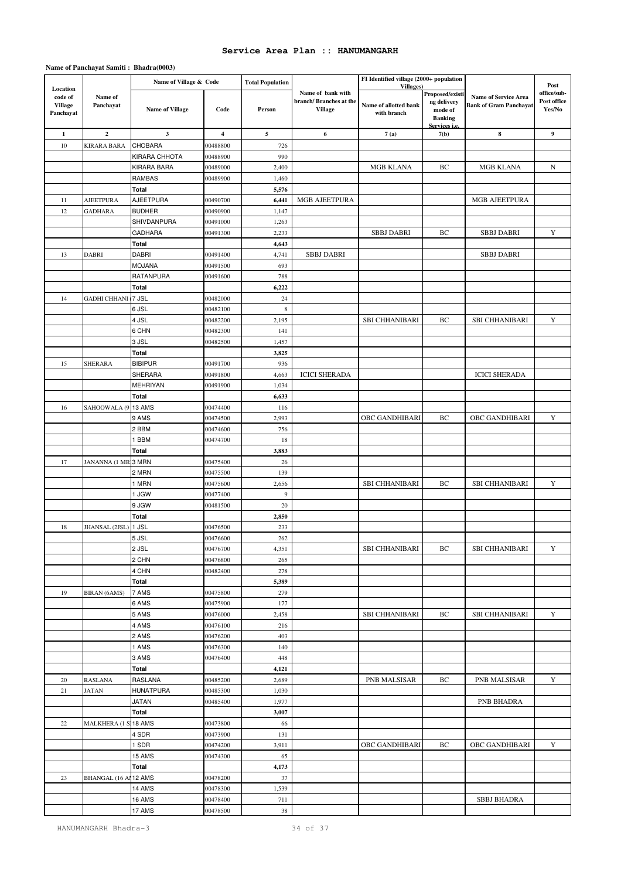|                                                    |                           | Name of Village & Code |                         | <b>Total Population</b> |                                                               | FI Identified village (2000+ population           |                                                             |                                                              |                                              |
|----------------------------------------------------|---------------------------|------------------------|-------------------------|-------------------------|---------------------------------------------------------------|---------------------------------------------------|-------------------------------------------------------------|--------------------------------------------------------------|----------------------------------------------|
| Location<br>code of<br><b>Village</b><br>Panchayat | Name of<br>Panchayat      | <b>Name of Village</b> | Code                    | Person                  | Name of bank with<br>branch/Branches at the<br><b>Village</b> | Villages)<br>Name of allotted bank<br>with branch | Proposed/existi<br>ng delivery<br>mode of<br><b>Banking</b> | <b>Name of Service Area</b><br><b>Bank of Gram Panchayat</b> | Post<br>office/sub-<br>Post office<br>Yes/No |
| $\mathbf{1}$                                       | $\mathbf 2$               | $\mathbf{3}$           | $\overline{\mathbf{4}}$ | 5                       | 6                                                             | 7(a)                                              | Services <i>i.e.</i><br>7(b)                                | 8                                                            | 9                                            |
| 10                                                 | KIRARA BARA               | CHOBARA                | 00488800                | 726                     |                                                               |                                                   |                                                             |                                                              |                                              |
|                                                    |                           | KIRARA CHHOTA          | 00488900                | 990                     |                                                               |                                                   |                                                             |                                                              |                                              |
|                                                    |                           | KIRARA BARA            | 00489000                | 2,400                   |                                                               | MGB KLANA                                         | ВC                                                          | MGB KLANA                                                    | N                                            |
|                                                    |                           | RAMBAS                 | 00489900                | 1,460                   |                                                               |                                                   |                                                             |                                                              |                                              |
|                                                    |                           | Total                  |                         | 5,576                   |                                                               |                                                   |                                                             |                                                              |                                              |
| 11                                                 | <b>AJEETPURA</b>          | AJEETPURA              | 00490700                | 6,441                   | MGB AJEETPURA                                                 |                                                   |                                                             | MGB AJEETPURA                                                |                                              |
| 12                                                 | GADHARA                   | <b>BUDHER</b>          | 00490900                | 1,147                   |                                                               |                                                   |                                                             |                                                              |                                              |
|                                                    |                           | SHIVDANPURA            | 00491000                | 1,263                   |                                                               |                                                   |                                                             |                                                              |                                              |
|                                                    |                           | <b>GADHARA</b>         | 00491300                | 2,233                   |                                                               | <b>SBBJ DABRI</b>                                 | BC                                                          | <b>SBBJ DABRI</b>                                            | Y                                            |
|                                                    |                           | Total                  |                         | 4,643                   |                                                               |                                                   |                                                             |                                                              |                                              |
| 13                                                 | DABRI                     | DABRI                  | 00491400                | 4,741                   | <b>SBBJ DABRI</b>                                             |                                                   |                                                             | <b>SBBJ DABRI</b>                                            |                                              |
|                                                    |                           | <b>MOJANA</b>          | 00491500                | 693                     |                                                               |                                                   |                                                             |                                                              |                                              |
|                                                    |                           | RATANPURA              | 00491600                | 788                     |                                                               |                                                   |                                                             |                                                              |                                              |
|                                                    | <b>GADHI CHHANI</b> 7 JSL | <b>Total</b>           |                         | 6,222                   |                                                               |                                                   |                                                             |                                                              |                                              |
| 14                                                 |                           | 6 JSL                  | 00482000<br>00482100    | 24<br>$\,$ 8 $\,$       |                                                               |                                                   |                                                             |                                                              |                                              |
|                                                    |                           | 4 JSL                  | 00482200                | 2,195                   |                                                               | <b>SBI CHHANIBARI</b>                             | BC                                                          | <b>SBI CHHANIBARI</b>                                        | Y                                            |
|                                                    |                           | 6 CHN                  | 00482300                | 141                     |                                                               |                                                   |                                                             |                                                              |                                              |
|                                                    |                           | 3 JSL                  | 00482500                | 1,457                   |                                                               |                                                   |                                                             |                                                              |                                              |
|                                                    |                           | Total                  |                         | 3,825                   |                                                               |                                                   |                                                             |                                                              |                                              |
| 15                                                 | <b>SHERARA</b>            | <b>BIBIPUR</b>         | 00491700                | 936                     |                                                               |                                                   |                                                             |                                                              |                                              |
|                                                    |                           | SHERARA                | 00491800                | 4,663                   | <b>ICICI SHERADA</b>                                          |                                                   |                                                             | <b>ICICI SHERADA</b>                                         |                                              |
|                                                    |                           | MEHRIYAN               | 00491900                | 1,034                   |                                                               |                                                   |                                                             |                                                              |                                              |
|                                                    |                           | Total                  |                         | 6,633                   |                                                               |                                                   |                                                             |                                                              |                                              |
| 16                                                 | SAHOOWALA (9              | 13 AMS                 | 00474400                | 116                     |                                                               |                                                   |                                                             |                                                              |                                              |
|                                                    |                           | 9 AMS                  | 00474500                | 2,993                   |                                                               | OBC GANDHIBARI                                    | BC                                                          | OBC GANDHIBARI                                               | Y                                            |
|                                                    |                           | 2 BBM                  | 00474600                | 756                     |                                                               |                                                   |                                                             |                                                              |                                              |
|                                                    |                           | 1 BBM                  | 00474700                | 18                      |                                                               |                                                   |                                                             |                                                              |                                              |
|                                                    |                           | Total                  |                         | 3,883                   |                                                               |                                                   |                                                             |                                                              |                                              |
| 17                                                 | JANANNA (1 MR 3 MRN       |                        | 00475400                | 26                      |                                                               |                                                   |                                                             |                                                              |                                              |
|                                                    |                           | 2 MRN<br>1 MRN         | 00475500                | 139                     |                                                               | <b>SBI CHHANIBARI</b>                             | BC                                                          | <b>SBI CHHANIBARI</b>                                        | Y                                            |
|                                                    |                           | 1 JGW                  | 00475600<br>00477400    | 2,656<br>9              |                                                               |                                                   |                                                             |                                                              |                                              |
|                                                    |                           | 9 JGW                  | 00481500                | $20\,$                  |                                                               |                                                   |                                                             |                                                              |                                              |
|                                                    |                           | Total                  |                         | 2,850                   |                                                               |                                                   |                                                             |                                                              |                                              |
| 18                                                 | JHANSAL (2JSL)            | 1 JSL                  | 00476500                | 233                     |                                                               |                                                   |                                                             |                                                              |                                              |
|                                                    |                           | 5 JSL                  | 00476600                | 262                     |                                                               |                                                   |                                                             |                                                              |                                              |
|                                                    |                           | 2 JSL                  | 00476700                | 4,351                   |                                                               | SBI CHHANIBARI                                    | BC                                                          | SBI CHHANIBARI                                               | Y                                            |
|                                                    |                           | 2 CHN                  | 00476800                | 265                     |                                                               |                                                   |                                                             |                                                              |                                              |
|                                                    |                           | 4 CHN                  | 00482400                | 278                     |                                                               |                                                   |                                                             |                                                              |                                              |
|                                                    |                           | Total                  |                         | 5,389                   |                                                               |                                                   |                                                             |                                                              |                                              |
| 19                                                 | <b>BIRAN</b> (6AMS)       | 7 AMS                  | 00475800                | 279                     |                                                               |                                                   |                                                             |                                                              |                                              |
|                                                    |                           | 6 AMS                  | 00475900                | 177                     |                                                               |                                                   |                                                             |                                                              |                                              |
|                                                    |                           | 5 AMS                  | 00476000                | 2,458                   |                                                               | SBI CHHANIBARI                                    | ВC                                                          | SBI CHHANIBARI                                               | Y                                            |
|                                                    |                           | 4 AMS                  | 00476100                | 216                     |                                                               |                                                   |                                                             |                                                              |                                              |
|                                                    |                           | 2 AMS                  | 00476200                | 403                     |                                                               |                                                   |                                                             |                                                              |                                              |
|                                                    |                           | 1 AMS<br>3 AMS         | 00476300<br>00476400    | 140<br>448              |                                                               |                                                   |                                                             |                                                              |                                              |
|                                                    |                           | Total                  |                         | 4,121                   |                                                               |                                                   |                                                             |                                                              |                                              |
| 20                                                 | <b>RASLANA</b>            | RASLANA                | 00485200                | 2,689                   |                                                               | PNB MALSISAR                                      | BC                                                          | PNB MALSISAR                                                 | Y                                            |
| 21                                                 | JATAN                     | <b>HUNATPURA</b>       | 00485300                | 1,030                   |                                                               |                                                   |                                                             |                                                              |                                              |
|                                                    |                           | JATAN                  | 00485400                | 1,977                   |                                                               |                                                   |                                                             | PNB BHADRA                                                   |                                              |
|                                                    |                           | Total                  |                         | 3,007                   |                                                               |                                                   |                                                             |                                                              |                                              |
| $22\,$                                             | <b>MALKHERA (1 S</b>      | 18 AMS                 | 00473800                | 66                      |                                                               |                                                   |                                                             |                                                              |                                              |
|                                                    |                           | 4 SDR                  | 00473900                | 131                     |                                                               |                                                   |                                                             |                                                              |                                              |
|                                                    |                           | 1 SDR                  | 00474200                | 3,911                   |                                                               | OBC GANDHIBARI                                    | ВC                                                          | OBC GANDHIBARI                                               | Y                                            |
|                                                    |                           | 15 AMS                 | 00474300                | 65                      |                                                               |                                                   |                                                             |                                                              |                                              |
|                                                    |                           | Total                  |                         | 4,173                   |                                                               |                                                   |                                                             |                                                              |                                              |
| 23                                                 | <b>BHANGAL (16 Al</b>     | 12 AMS                 | 00478200                | 37                      |                                                               |                                                   |                                                             |                                                              |                                              |
|                                                    |                           | 14 AMS                 | 00478300                | 1,539                   |                                                               |                                                   |                                                             |                                                              |                                              |
|                                                    |                           | 16 AMS                 | 00478400                | 711                     |                                                               |                                                   |                                                             | SBBJ BHADRA                                                  |                                              |
|                                                    |                           | 17 AMS                 | 00478500                | 38                      |                                                               |                                                   |                                                             |                                                              |                                              |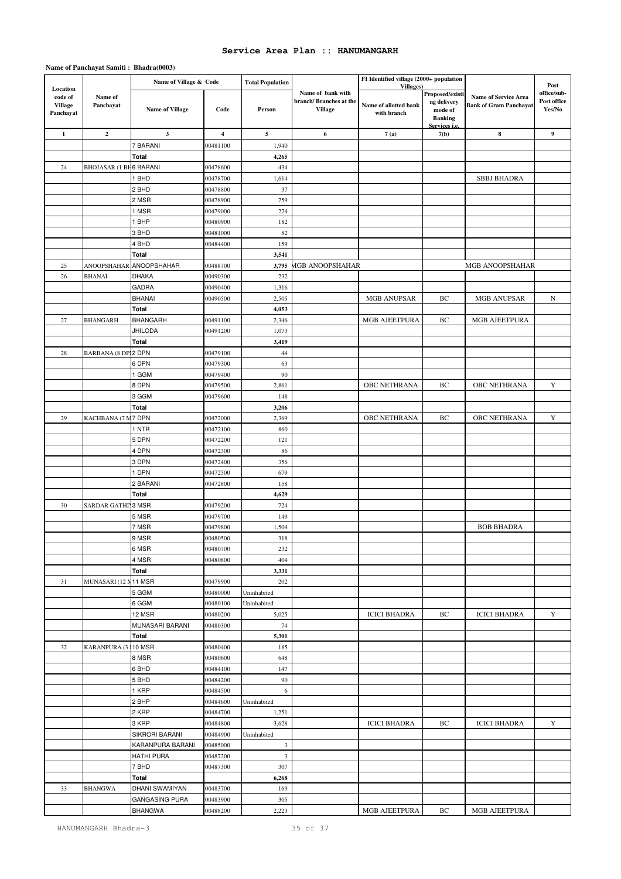|                                                    |                               | Name of Village & Code  |                         | <b>Total Population</b> |                                                               | FI Identified village (2000+ population           |                                                             |                                                              |                                              |
|----------------------------------------------------|-------------------------------|-------------------------|-------------------------|-------------------------|---------------------------------------------------------------|---------------------------------------------------|-------------------------------------------------------------|--------------------------------------------------------------|----------------------------------------------|
| Location<br>code of<br><b>Village</b><br>Panchayat | Name of<br>Panchayat          | <b>Name of Village</b>  | Code                    | Person                  | Name of bank with<br>branch/Branches at the<br><b>Village</b> | Villages)<br>Name of allotted bank<br>with branch | Proposed/existi<br>ng delivery<br>mode of<br><b>Banking</b> | <b>Name of Service Area</b><br><b>Bank of Gram Panchavat</b> | Post<br>office/sub-<br>Post office<br>Yes/No |
| $\mathbf{1}$                                       | $\mathbf{2}$                  | $\mathbf{3}$            | $\overline{\mathbf{4}}$ | 5                       | 6                                                             | 7(a)                                              | Services <i>i.e</i><br>7(b)                                 | $\bf 8$                                                      | $\boldsymbol{9}$                             |
|                                                    |                               | 7 BARANI                | 00481100                | 1,940                   |                                                               |                                                   |                                                             |                                                              |                                              |
|                                                    |                               | Total                   |                         | 4,265                   |                                                               |                                                   |                                                             |                                                              |                                              |
| 24                                                 | <b>BHOJASAR (1 BH6 BARANI</b> |                         | 00478600                | 434                     |                                                               |                                                   |                                                             |                                                              |                                              |
|                                                    |                               | 1 BHD                   | 00478700                | 1,614                   |                                                               |                                                   |                                                             | <b>SBBJ BHADRA</b>                                           |                                              |
|                                                    |                               | 2 BHD                   | 00478800                | 37                      |                                                               |                                                   |                                                             |                                                              |                                              |
|                                                    |                               | 2 MSR                   | 00478900                | 759                     |                                                               |                                                   |                                                             |                                                              |                                              |
|                                                    |                               | 1 MSR                   | 00479000                | 274                     |                                                               |                                                   |                                                             |                                                              |                                              |
|                                                    |                               | 1 BHP                   | 00480900                | 182                     |                                                               |                                                   |                                                             |                                                              |                                              |
|                                                    |                               | 3 BHD                   | 00481000                | 82                      |                                                               |                                                   |                                                             |                                                              |                                              |
|                                                    |                               | 4 BHD                   | 00484400                | 159                     |                                                               |                                                   |                                                             |                                                              |                                              |
|                                                    |                               | Total                   |                         | 3,541                   |                                                               |                                                   |                                                             |                                                              |                                              |
| $25\,$                                             | ANOOPSHAHAR                   | ANOOPSHAHAR             | 00488700                | 3,795                   | <b>MGB ANOOPSHAHAR</b>                                        |                                                   |                                                             | MGB ANOOPSHAHAR                                              |                                              |
| 26                                                 | <b>BHANAI</b>                 | DHAKA<br><b>GADRA</b>   | 00490300<br>00490400    | 232<br>1,316            |                                                               |                                                   |                                                             |                                                              |                                              |
|                                                    |                               | <b>BHANAI</b>           | 00490500                | 2,505                   |                                                               | MGB ANUPSAR                                       | BC                                                          | <b>MGB ANUPSAR</b>                                           | N                                            |
|                                                    |                               | Total                   |                         | 4,053                   |                                                               |                                                   |                                                             |                                                              |                                              |
| $27\,$                                             | <b>BHANGARH</b>               | <b>BHANGARH</b>         | 00491100                | 2,346                   |                                                               | MGB AJEETPURA                                     | ВC                                                          | MGB AJEETPURA                                                |                                              |
|                                                    |                               | <b>JHILODA</b>          | 00491200                | 1,073                   |                                                               |                                                   |                                                             |                                                              |                                              |
|                                                    |                               | Total                   |                         | 3,419                   |                                                               |                                                   |                                                             |                                                              |                                              |
| 28                                                 | <b>BARBANA (8 DPI2 DPN</b>    |                         | 00479100                | 44                      |                                                               |                                                   |                                                             |                                                              |                                              |
|                                                    |                               | 6 DPN                   | 00479300                | 63                      |                                                               |                                                   |                                                             |                                                              |                                              |
|                                                    |                               | 1 GGM                   | 00479400                | 90                      |                                                               |                                                   |                                                             |                                                              |                                              |
|                                                    |                               | 8 DPN                   | 00479500                | 2,861                   |                                                               | <b>OBC NETHRANA</b>                               | BC                                                          | OBC NETHRANA                                                 | Y                                            |
|                                                    |                               | 3 GGM                   | 00479600                | 148                     |                                                               |                                                   |                                                             |                                                              |                                              |
|                                                    |                               | Total                   |                         | 3,206                   |                                                               |                                                   |                                                             |                                                              |                                              |
| 29                                                 | KACHBANA (7 M 7 DPN           |                         | 00472000                | 2,369                   |                                                               | OBC NETHRANA                                      | BC                                                          | OBC NETHRANA                                                 | Y                                            |
|                                                    |                               | 1 NTR                   | 00472100                | 860                     |                                                               |                                                   |                                                             |                                                              |                                              |
|                                                    |                               | 5 DPN                   | 00472200                | 121                     |                                                               |                                                   |                                                             |                                                              |                                              |
|                                                    |                               | 4 DPN<br>3 DPN          | 00472300<br>00472400    | 86<br>356               |                                                               |                                                   |                                                             |                                                              |                                              |
|                                                    |                               | 1 DPN                   | 00472500                | 679                     |                                                               |                                                   |                                                             |                                                              |                                              |
|                                                    |                               | 2 BARANI                | 00472800                | 158                     |                                                               |                                                   |                                                             |                                                              |                                              |
|                                                    |                               | <b>Total</b>            |                         | 4,629                   |                                                               |                                                   |                                                             |                                                              |                                              |
| 30                                                 | SARDAR GATHI 3 MSR            |                         | 00479200                | 724                     |                                                               |                                                   |                                                             |                                                              |                                              |
|                                                    |                               | 5 MSR                   | 00479700                | 149                     |                                                               |                                                   |                                                             |                                                              |                                              |
|                                                    |                               | 7 MSR                   | 00479800                | 1,504                   |                                                               |                                                   |                                                             | <b>BOB BHADRA</b>                                            |                                              |
|                                                    |                               | 9 MSR                   | 00480500                | 318                     |                                                               |                                                   |                                                             |                                                              |                                              |
|                                                    |                               | 6 MSR                   | 00480700                | 232                     |                                                               |                                                   |                                                             |                                                              |                                              |
|                                                    |                               | 4 MSR                   | 00480800                | 404                     |                                                               |                                                   |                                                             |                                                              |                                              |
|                                                    |                               | Total                   |                         | 3,331                   |                                                               |                                                   |                                                             |                                                              |                                              |
| 31                                                 | MUNASARI (12 N 11 MSR         |                         | 00479900                | 202                     |                                                               |                                                   |                                                             |                                                              |                                              |
|                                                    |                               | 5 GGM                   | 00480000                | Uninhabited             |                                                               |                                                   |                                                             |                                                              |                                              |
|                                                    |                               | 6 GGM<br>12 MSR         | 00480100<br>00480200    | Uninhabited<br>5,025    |                                                               | <b>ICICI BHADRA</b>                               | ВC                                                          | <b>ICICI BHADRA</b>                                          | Y                                            |
|                                                    |                               | MUNASARI BARANI         | 00480300                | 74                      |                                                               |                                                   |                                                             |                                                              |                                              |
|                                                    |                               | Total                   |                         | 5,301                   |                                                               |                                                   |                                                             |                                                              |                                              |
| 32                                                 | KARANPURA (3 10 MSR           |                         | 00480400                | 185                     |                                                               |                                                   |                                                             |                                                              |                                              |
|                                                    |                               | 8 MSR                   | 00480600                | 648                     |                                                               |                                                   |                                                             |                                                              |                                              |
|                                                    |                               | 6 BHD                   | 00484100                | 147                     |                                                               |                                                   |                                                             |                                                              |                                              |
|                                                    |                               | 5 BHD                   | 00484200                | 90                      |                                                               |                                                   |                                                             |                                                              |                                              |
|                                                    |                               | 1 KRP                   | 00484500                | 6                       |                                                               |                                                   |                                                             |                                                              |                                              |
|                                                    |                               | 2 BHP                   | 00484600                | Uninhabited             |                                                               |                                                   |                                                             |                                                              |                                              |
|                                                    |                               | 2 KRP                   | 00484700                | 1,251                   |                                                               |                                                   |                                                             |                                                              |                                              |
|                                                    |                               | 3 KRP                   | 00484800                | 3,628                   |                                                               | <b>ICICI BHADRA</b>                               | ВC                                                          | <b>ICICI BHADRA</b>                                          | Y                                            |
|                                                    |                               | SIKRORI BARANI          | 00484900                | Uninhabited             |                                                               |                                                   |                                                             |                                                              |                                              |
|                                                    |                               | KARANPURA BARANI        | 00485000                | 3                       |                                                               |                                                   |                                                             |                                                              |                                              |
|                                                    |                               | <b>HATHI PURA</b>       | 00487200                | $\overline{\mathbf{3}}$ |                                                               |                                                   |                                                             |                                                              |                                              |
|                                                    |                               | 7 BHD                   | 00487300                | 307                     |                                                               |                                                   |                                                             |                                                              |                                              |
| 33                                                 | <b>BHANGWA</b>                | Total<br>DHANI SWAMIYAN | 00483700                | 6,268<br>169            |                                                               |                                                   |                                                             |                                                              |                                              |
|                                                    |                               | <b>GANGASING PURA</b>   | 00483900                | 305                     |                                                               |                                                   |                                                             |                                                              |                                              |
|                                                    |                               | <b>BHANGWA</b>          | 00488200                | 2,223                   |                                                               | MGB AJEETPURA                                     | BC                                                          | MGB AJEETPURA                                                |                                              |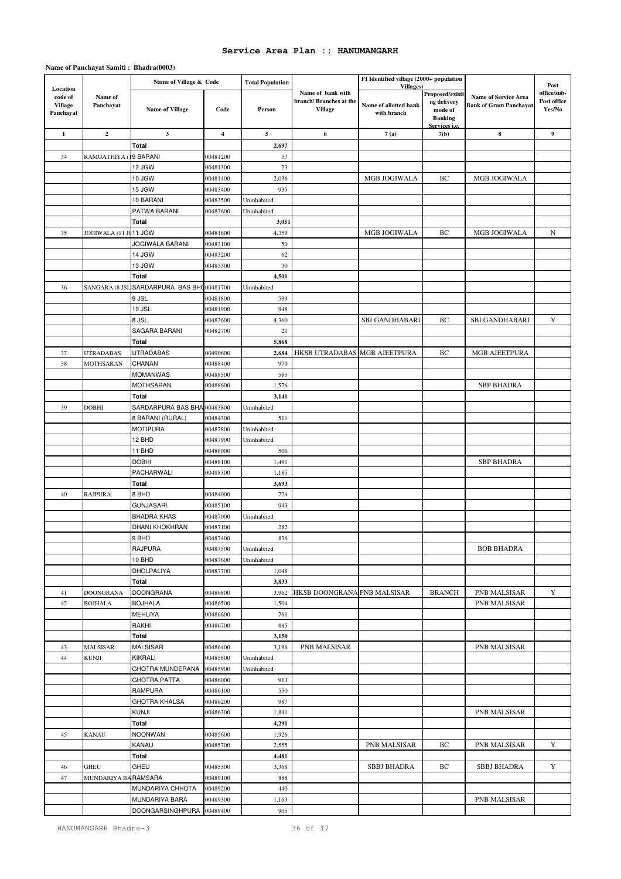|                                                    |                       | Name of Village & Code               |                         | <b>Total Population</b>    |                                                               | FI Identified village (2000+ population           |                                                             |                                                              | Post                                 |
|----------------------------------------------------|-----------------------|--------------------------------------|-------------------------|----------------------------|---------------------------------------------------------------|---------------------------------------------------|-------------------------------------------------------------|--------------------------------------------------------------|--------------------------------------|
| Location<br>code of<br><b>Village</b><br>Panchayat | Name of<br>Panchayat  | <b>Name of Village</b>               | Code                    | Person                     | Name of bank with<br>branch/Branches at the<br><b>Village</b> | Villages)<br>Name of allotted bank<br>with branch | Proposed/existi<br>ng delivery<br>mode of<br><b>Banking</b> | <b>Name of Service Area</b><br><b>Bank of Gram Panchavat</b> | office/sub-<br>Post office<br>Yes/No |
| 1                                                  | $\mathbf{2}$          | $\mathbf{3}$                         | $\overline{\mathbf{4}}$ | 5                          | 6                                                             | 7(a)                                              | Services <i>i.e.</i><br>7(b)                                | 8                                                            | 9                                    |
|                                                    |                       | Total                                |                         | 2,697                      |                                                               |                                                   |                                                             |                                                              |                                      |
| 34                                                 | RAMGATHIYA (          | 9 BARANI                             | 00481200                | 57                         |                                                               |                                                   |                                                             |                                                              |                                      |
|                                                    |                       | 12 JGW                               | 00481300                | 23                         |                                                               |                                                   |                                                             |                                                              |                                      |
|                                                    |                       | 10 JGW                               | 00481400                | 2,036                      |                                                               | MGB JOGIWALA                                      | BC                                                          | MGB JOGIWALA                                                 |                                      |
|                                                    |                       | 15 JGW                               | 00483400                | 935                        |                                                               |                                                   |                                                             |                                                              |                                      |
|                                                    |                       | 10 BARANI                            | 00483500                | Uninhabited                |                                                               |                                                   |                                                             |                                                              |                                      |
|                                                    |                       | PATWA BARANI                         | 00483600                | Uninhabited                |                                                               |                                                   |                                                             |                                                              |                                      |
|                                                    |                       | Total                                |                         | 3,051                      |                                                               |                                                   |                                                             |                                                              |                                      |
| 35                                                 | JOGIWALA (11 JC11 JGW |                                      | 00481600                | 4,359                      |                                                               | MGB JOGIWALA                                      | BC                                                          | MGB JOGIWALA                                                 | N                                    |
|                                                    |                       | JOGIWALA BARANI<br>14 JGW            | 00483100<br>00483200    | 50<br>62                   |                                                               |                                                   |                                                             |                                                              |                                      |
|                                                    |                       | 13 JGW                               | 00483300                | 30                         |                                                               |                                                   |                                                             |                                                              |                                      |
|                                                    |                       | Total                                |                         | 4,501                      |                                                               |                                                   |                                                             |                                                              |                                      |
| 36                                                 | SANGARA (8 JSI        | SARDARPURA BAS BHO00481700           |                         | Uninhabited                |                                                               |                                                   |                                                             |                                                              |                                      |
|                                                    |                       | 9 JSL                                | 00481800                | 539                        |                                                               |                                                   |                                                             |                                                              |                                      |
|                                                    |                       | 10 JSL                               | 00481900                | 948                        |                                                               |                                                   |                                                             |                                                              |                                      |
|                                                    |                       | 8 JSL                                | 00482600                | 4,360                      |                                                               | SBI GANDHABARI                                    | BC                                                          | SBI GANDHABARI                                               | Y                                    |
|                                                    |                       | SAGARA BARANI                        | 00482700                | 21                         |                                                               |                                                   |                                                             |                                                              |                                      |
|                                                    |                       | Total                                |                         | 5,868                      |                                                               |                                                   |                                                             |                                                              |                                      |
| 37                                                 | <b>UTRADABAS</b>      | <b>UTRADABAS</b>                     | 00490600                | 2,684                      | HKSB UTRADABAS MGB AJEETPURA                                  |                                                   | BC                                                          | MGB AJEETPURA                                                |                                      |
| 38                                                 | <b>MOTHSARAN</b>      | CHANAN                               | 00488400                | 970                        |                                                               |                                                   |                                                             |                                                              |                                      |
|                                                    |                       | <b>MOMANWAS</b>                      | 00488500                | 595                        |                                                               |                                                   |                                                             |                                                              |                                      |
|                                                    |                       | <b>MOTHSARAN</b>                     | 00488600                | 1,576                      |                                                               |                                                   |                                                             | <b>SBP BHADRA</b>                                            |                                      |
| 39                                                 | <b>DOBHI</b>          | Total<br>SARDARPURA BAS BHA 00483800 |                         | 3,141<br>Uninhabited       |                                                               |                                                   |                                                             |                                                              |                                      |
|                                                    |                       | 8 BARANI (RURAL)                     | 00484300                | 511                        |                                                               |                                                   |                                                             |                                                              |                                      |
|                                                    |                       | <b>MOTIPURA</b>                      | 00487800                | Uninhabited                |                                                               |                                                   |                                                             |                                                              |                                      |
|                                                    |                       | 12 BHD                               | 00487900                | Uninhabited                |                                                               |                                                   |                                                             |                                                              |                                      |
|                                                    |                       | 11 BHD                               | 00488000                | 506                        |                                                               |                                                   |                                                             |                                                              |                                      |
|                                                    |                       | <b>DOBHI</b>                         | 00488100                | 1,491                      |                                                               |                                                   |                                                             | <b>SBP BHADRA</b>                                            |                                      |
|                                                    |                       | PACHARWALI                           | 00488300                | 1,185                      |                                                               |                                                   |                                                             |                                                              |                                      |
|                                                    |                       | Total                                |                         | 3,693                      |                                                               |                                                   |                                                             |                                                              |                                      |
| 40                                                 | <b>RAJPURA</b>        | 8 BHD                                | 00484000                | 724                        |                                                               |                                                   |                                                             |                                                              |                                      |
|                                                    |                       | <b>GUNJASARI</b>                     | 00485100                | 943                        |                                                               |                                                   |                                                             |                                                              |                                      |
|                                                    |                       | <b>BHADRA KHAS</b>                   | 00487000                | Uninhabited                |                                                               |                                                   |                                                             |                                                              |                                      |
|                                                    |                       | DHANI KHOKHRAN<br>9 BHD              | 00487100<br>00487400    | 282<br>836                 |                                                               |                                                   |                                                             |                                                              |                                      |
|                                                    |                       | <b>RAJPURA</b>                       | 00487500                | Uninhabited                |                                                               |                                                   |                                                             | <b>BOB BHADRA</b>                                            |                                      |
|                                                    |                       | 10 BHD                               | 00487600                | Uninhabited                |                                                               |                                                   |                                                             |                                                              |                                      |
|                                                    |                       | DHOLPALIYA                           | 00487700                | 1,048                      |                                                               |                                                   |                                                             |                                                              |                                      |
|                                                    |                       | Total                                |                         | 3,833                      |                                                               |                                                   |                                                             |                                                              |                                      |
| 41                                                 | <b>DOONGRANA</b>      | <b>DOONGRANA</b>                     | 00486800                | 3,962                      | HKSB DOONGRANA PNB MALSISAR                                   |                                                   | <b>BRANCH</b>                                               | PNB MALSISAR                                                 | Y                                    |
| 42                                                 | <b>BOJHALA</b>        | <b>BOJHALA</b>                       | 00486500                | 1,504                      |                                                               |                                                   |                                                             | PNB MALSISAR                                                 |                                      |
|                                                    |                       | MEHLIYA                              | 00486600                | 761                        |                                                               |                                                   |                                                             |                                                              |                                      |
|                                                    |                       | RAKHI                                | 00486700                | 885                        |                                                               |                                                   |                                                             |                                                              |                                      |
|                                                    |                       | Total                                |                         | 3,150                      |                                                               |                                                   |                                                             |                                                              |                                      |
| 43                                                 | <b>MALSISAR</b>       | <b>MALSISAR</b>                      | 00486400                | 3,196                      | PNB MALSISAR                                                  |                                                   |                                                             | PNB MALSISAR                                                 |                                      |
| 44                                                 | <b>KUNJI</b>          | KIKRALI<br>GHOTRA MUNDERANA          | 00485800<br>00485900    | Uninhabited<br>Uninhabited |                                                               |                                                   |                                                             |                                                              |                                      |
|                                                    |                       | GHOTRA PATTA                         | 00486000                | 913                        |                                                               |                                                   |                                                             |                                                              |                                      |
|                                                    |                       | RAMPURA                              | 00486100                | 550                        |                                                               |                                                   |                                                             |                                                              |                                      |
|                                                    |                       | <b>GHOTRA KHALSA</b>                 | 00486200                | 987                        |                                                               |                                                   |                                                             |                                                              |                                      |
|                                                    |                       | <b>KUNJI</b>                         | 00486300                | 1,841                      |                                                               |                                                   |                                                             | PNB MALSISAR                                                 |                                      |
|                                                    |                       | Total                                |                         | 4,291                      |                                                               |                                                   |                                                             |                                                              |                                      |
| 45                                                 | <b>KANAU</b>          | <b>NOONWAN</b>                       | 00485600                | 1,926                      |                                                               |                                                   |                                                             |                                                              |                                      |
|                                                    |                       | KANAU                                | 00485700                | 2,555                      |                                                               | PNB MALSISAR                                      | ВC                                                          | PNB MALSISAR                                                 | Y                                    |
|                                                    |                       | Total                                |                         | 4,481                      |                                                               |                                                   |                                                             |                                                              |                                      |
| 46                                                 | GHEU                  | GHEU                                 | 00485500                | 3,368                      |                                                               | <b>SBBJ BHADRA</b>                                | BС                                                          | <b>SBBJ BHADRA</b>                                           | Y                                    |
| 47                                                 | MUNDARIYA BA RAMSARA  |                                      | 00489100                | 888                        |                                                               |                                                   |                                                             |                                                              |                                      |
|                                                    |                       | MUNDARIYA CHHOTA<br>MUNDARIYA BARA   | 00489200<br>00489300    | 440<br>1,163               |                                                               |                                                   |                                                             | PNB MALSISAR                                                 |                                      |
|                                                    |                       | DOONGARSINGHPURA                     | 00489400                | 905                        |                                                               |                                                   |                                                             |                                                              |                                      |